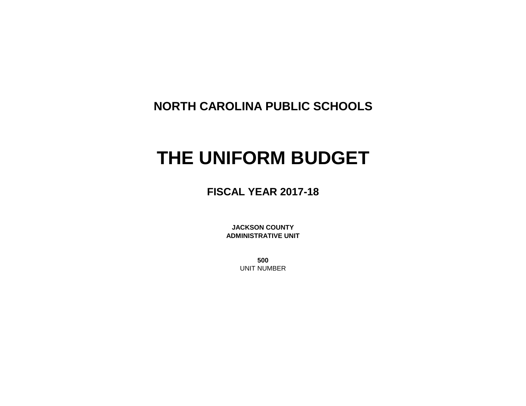**NORTH CAROLINA PUBLIC SCHOOLS**

# **THE UNIFORM BUDGET**

**FISCAL YEAR 2017-18**

**JACKSON COUNTY ADMINISTRATIVE UNIT**

> **500** UNIT NUMBER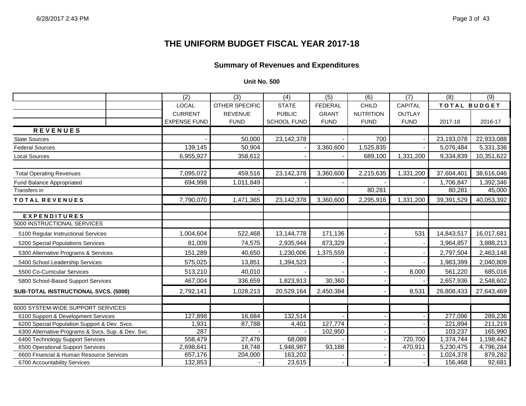# **Summary of Revenues and Expenditures**

### **Unit No. 500**

|                                                    | $\overline{(2)}$    | $\overline{(3)}$      | $\overline{(4)}$   | $\overline{(5)}$ | $\overline{(6)}$ | $\overline{(7)}$ | (8)                 | $\overline{(9)}$ |
|----------------------------------------------------|---------------------|-----------------------|--------------------|------------------|------------------|------------------|---------------------|------------------|
|                                                    | <b>LOCAL</b>        | <b>OTHER SPECIFIC</b> | <b>STATE</b>       | <b>FEDERAL</b>   | <b>CHILD</b>     | <b>CAPITAL</b>   | <b>TOTAL BUDGET</b> |                  |
|                                                    | <b>CURRENT</b>      | <b>REVENUE</b>        | <b>PUBLIC</b>      | <b>GRANT</b>     | <b>NUTRITION</b> | <b>OUTLAY</b>    |                     |                  |
|                                                    | <b>EXPENSE FUND</b> | <b>FUND</b>           | <b>SCHOOL FUND</b> | <b>FUND</b>      | <b>FUND</b>      | <b>FUND</b>      | 2017-18             | 2016-17          |
| <b>REVENUES</b>                                    |                     |                       |                    |                  |                  |                  |                     |                  |
| <b>State Sources</b>                               |                     | 50,000                | 23,142,378         |                  | 700              |                  | 23,193,078          | 22,933,088       |
| <b>Federal Sources</b>                             | 139,145             | 50,904                |                    | 3,360,600        | 1,525,835        |                  | 5,076,484           | 5,331,336        |
| <b>Local Sources</b>                               | 6,955,927           | 358,612               |                    |                  | 689,100          | 1,331,200        | 9,334,839           | 10,351,622       |
| <b>Total Operating Revenues</b>                    | 7,095,072           | 459,516               | 23,142,378         | 3,360,600        | 2,215,635        | 1,331,200        | 37,604,401          | 38,616,046       |
| Fund Balance Appropriated                          | 694,998             | 1,011,849             |                    |                  |                  |                  | 1,706,847           | 1,392,346        |
| Transfers in                                       |                     |                       |                    |                  | 80,281           |                  | 80,281              | 45,000           |
| TOTAL REVENUES                                     | 7,790,070           | 1,471,365             | 23,142,378         | 3,360,600        | 2,295,916        | 1,331,200        | 39,391,529          | 40,053,392       |
| <b>EXPENDITURES</b>                                |                     |                       |                    |                  |                  |                  |                     |                  |
| 5000 INSTRUCTIONAL SERVICES                        |                     |                       |                    |                  |                  |                  |                     |                  |
| 5100 Regular Instructional Services                | 1,004,604           | 522,468               | 13,144,778         | 171,136          |                  | 531              | 14,843,517          | 16,017,681       |
| 5200 Special Populations Services                  | 81,009              | 74,575                | 2,935,944          | 873,329          |                  |                  | 3,964,857           | 3,888,213        |
| 5300 Alternative Programs & Services               | 151,289             | 40,650                | 1,230,006          | 1,375,559        |                  |                  | 2,797,504           | 2,463,148        |
| 5400 School Leadership Services                    | 575,025             | 13,851                | 1,394,523          |                  |                  |                  | 1,983,399           | 2,040,809        |
| 5500 Co-Curricular Services                        | 513,210             | 40,010                |                    |                  |                  | 8,000            | 561,220             | 685,016          |
| 5800 School-Based Support Services                 | 467,004             | 336,659               | 1,823,913          | 30,360           |                  |                  | 2,657,936           | 2,548,602        |
| SUB-TOTAL INSTRUCTIONAL SVCS. (5000)               | 2,792,141           | 1,028,213             | 20,529,164         | 2,450,384        |                  | 8,531            | 26,808,433          | 27,643,469       |
| 6000 SYSTEM-WIDE SUPPORT SERVICES                  |                     |                       |                    |                  |                  |                  |                     |                  |
| 6100 Support & Development Services                | 127,898             | 16,684                | 132,514            |                  |                  |                  | 277,096             | 289,236          |
| 6200 Special Population Support & Dev. Svcs.       | 1,931               | 87,788                | 4,401              | 127,774          |                  |                  | 221,894             | 211,219          |
| 6300 Alternative Programs & Svcs. Sup. & Dev. Svc. | 287                 |                       |                    | 102,950          |                  |                  | 103,237             | 165,990          |
| 6400 Technology Support Services                   | 558,479             | 27,476                | 68,089             |                  |                  | 720,700          | 1,374,744           | 1,198,442        |
| 6500 Operational Support Services                  | 2,698,641           | 18,748                | 1,948,987          | 93,188           |                  | 470,911          | 5,230,475           | 4,796,284        |
| 6600 Financial & Human Resource Services           | 657,176             | 204,000               | 163,202            |                  |                  |                  | 1,024,378           | 879,282          |
| 6700 Accountability Services                       | 132,853             |                       | 23,615             |                  |                  |                  | 156,468             | 92,681           |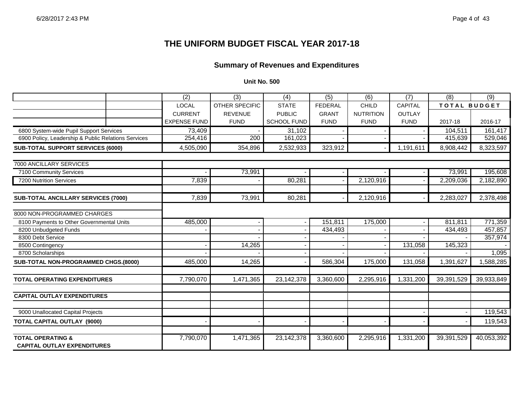# **Summary of Revenues and Expenditures**

#### **Unit No. 500**

|                                                                    | (2)                 | (3)                   | (4)                | (5)            | (6)              | (7)           | (8)                 | $\overline{(9)}$ |
|--------------------------------------------------------------------|---------------------|-----------------------|--------------------|----------------|------------------|---------------|---------------------|------------------|
|                                                                    | <b>LOCAL</b>        | <b>OTHER SPECIFIC</b> | <b>STATE</b>       | <b>FEDERAL</b> | <b>CHILD</b>     | CAPITAL       | <b>TOTAL BUDGET</b> |                  |
|                                                                    | <b>CURRENT</b>      | <b>REVENUE</b>        | <b>PUBLIC</b>      | <b>GRANT</b>   | <b>NUTRITION</b> | <b>OUTLAY</b> |                     |                  |
|                                                                    | <b>EXPENSE FUND</b> | <b>FUND</b>           | <b>SCHOOL FUND</b> | <b>FUND</b>    | <b>FUND</b>      | <b>FUND</b>   | 2017-18             | 2016-17          |
| 6800 System-wide Pupil Support Services                            | 73,409              |                       | 31,102             |                |                  |               | 104,511             | 161,417          |
| 6900 Policy, Leadership & Public Relations Services                | 254,416             | 200                   | 161,023            |                |                  |               | 415,639             | 529,046          |
| SUB-TOTAL SUPPORT SERVICES (6000)                                  | 4,505,090           | 354,896               | 2,532,933          | 323,912        |                  | 1,191,611     | 8,908,442           | 8,323,597        |
| 7000 ANCILLARY SERVICES                                            |                     |                       |                    |                |                  |               |                     |                  |
| 7100 Community Services                                            |                     | 73,991                |                    |                |                  |               | 73,991              | 195,608          |
| 7200 Nutrition Services                                            | 7,839               |                       | 80,281             |                | 2,120,916        |               | 2,209,036           | 2,182,890        |
|                                                                    |                     |                       |                    |                |                  |               |                     |                  |
| <b>SUB-TOTAL ANCILLARY SERVICES (7000)</b>                         | 7.839               | 73.991                | 80,281             |                | 2,120,916        |               | 2,283,027           | 2,378,498        |
| 8000 NON-PROGRAMMED CHARGES                                        |                     |                       |                    |                |                  |               |                     |                  |
| 8100 Payments to Other Governmental Units                          | 485,000             |                       |                    | 151,811        | 175,000          |               | 811,811             | 771,359          |
| 8200 Unbudgeted Funds                                              |                     |                       |                    | 434,493        |                  |               | 434,493             | 457,857          |
| 8300 Debt Service                                                  |                     |                       |                    |                |                  |               |                     | 357,974          |
| 8500 Contingency                                                   |                     | 14,265                |                    |                |                  | 131,058       | 145,323             |                  |
| 8700 Scholarships                                                  |                     |                       |                    |                |                  |               |                     | 1,095            |
| SUB-TOTAL NON-PROGRAMMED CHGS.(8000)                               | 485,000             | 14,265                |                    | 586,304        | 175,000          | 131,058       | 1,391,627           | 1,588,285        |
|                                                                    |                     |                       |                    |                |                  |               |                     |                  |
| <b>TOTAL OPERATING EXPENDITURES</b>                                | 7,790,070           | 1,471,365             | 23,142,378         | 3,360,600      | 2,295,916        | 1,331,200     | 39,391,529          | 39,933,849       |
| <b>CAPITAL OUTLAY EXPENDITURES</b>                                 |                     |                       |                    |                |                  |               |                     |                  |
| 9000 Unallocated Capital Projects                                  |                     |                       |                    |                |                  |               |                     | 119,543          |
| <b>TOTAL CAPITAL OUTLAY (9000)</b>                                 |                     |                       |                    |                |                  |               |                     | 119,543          |
|                                                                    |                     |                       |                    |                |                  |               |                     |                  |
| <b>TOTAL OPERATING &amp;</b><br><b>CAPITAL OUTLAY EXPENDITURES</b> | 7,790,070           | 1,471,365             | 23, 142, 378       | 3,360,600      | 2,295,916        | 1,331,200     | 39,391,529          | 40,053,392       |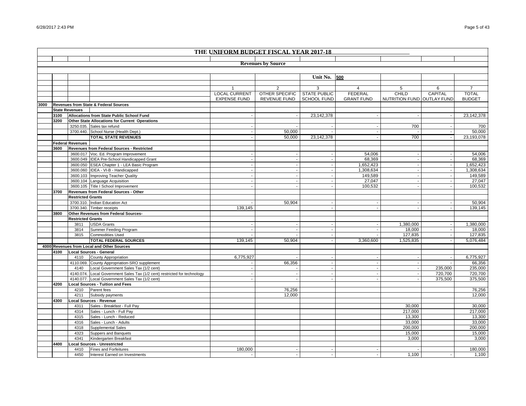|      |      |                          |                                                                           |                          | THE UNIFORM BUDGET FISCAL YEAR 2017-18 |                     |                   |                            |                |                |
|------|------|--------------------------|---------------------------------------------------------------------------|--------------------------|----------------------------------------|---------------------|-------------------|----------------------------|----------------|----------------|
|      |      |                          |                                                                           |                          |                                        |                     |                   |                            |                |                |
|      |      |                          |                                                                           |                          | <b>Revenues by Source</b>              |                     |                   |                            |                |                |
|      |      |                          |                                                                           |                          |                                        |                     |                   |                            |                |                |
|      |      |                          |                                                                           |                          |                                        | Unit No.            | 500               |                            |                |                |
|      |      |                          |                                                                           |                          |                                        |                     |                   |                            |                |                |
|      |      |                          |                                                                           | $\mathbf{1}$             | 2                                      | 3                   | $\overline{4}$    | 5                          | 6              | $\overline{7}$ |
|      |      |                          |                                                                           | <b>LOCAL CURRENT</b>     | <b>OTHER SPECIFIC</b>                  | <b>STATE PUBLIC</b> | <b>FEDERAL</b>    | CHILD                      | <b>CAPITAL</b> | <b>TOTAL</b>   |
|      |      |                          |                                                                           | <b>EXPENSE FUND</b>      | <b>REVENUE FUND</b>                    | <b>SCHOOL FUND</b>  | <b>GRANT FUND</b> | NUTRITION FUND OUTLAY FUND |                | <b>BUDGET</b>  |
| 3000 |      |                          | Revenues from State & Federal Sources                                     |                          |                                        |                     |                   |                            |                |                |
|      |      | <b>State Revenues</b>    |                                                                           |                          |                                        |                     |                   |                            |                |                |
|      | 3100 |                          | Allocations from State Public School Fund                                 | $\overline{\phantom{a}}$ | $\overline{\phantom{a}}$               | 23,142,378          | $\sim$            |                            | $\sim$         | 23, 142, 378   |
|      | 3200 |                          | Other State Allocations for Current Operations                            |                          |                                        |                     |                   |                            |                |                |
|      |      |                          | 3250.035. Sales tax refund                                                |                          |                                        |                     |                   | 700                        |                | 700            |
|      |      |                          | 3700.440. School Nurse (Health Dept.)                                     |                          | 50,000                                 |                     |                   |                            |                | 50,000         |
|      |      |                          | <b>TOTAL STATE REVENUES</b>                                               |                          | 50,000                                 | 23,142,378          |                   | 700                        |                | 23,193,078     |
|      |      | <b>Federal Revenues</b>  |                                                                           |                          |                                        |                     |                   |                            |                |                |
|      | 3600 |                          | Revenues from Federal Sources - Restricted                                |                          |                                        |                     |                   |                            |                |                |
|      |      |                          | 3600.017 Voc. Ed. Program Improvement                                     |                          |                                        |                     | 54,006            |                            |                | 54,006         |
|      |      |                          | 3600.049 IDEA Pre-School Handicapped Grant                                |                          |                                        |                     | 68,369            |                            |                | 68,369         |
|      |      |                          | 3600.050 ESEA Chapter 1 - LEA Basic Program                               |                          | $\blacksquare$                         |                     | 1,652,423         |                            | $\blacksquare$ | 1,652,423      |
|      |      |                          | 3600.060 IDEA - VI-B - Handicapped                                        |                          |                                        |                     | 1,308,634         |                            |                | 1,308,634      |
|      |      |                          | 3600.103 Improving Teacher Quality                                        |                          |                                        |                     | 149,589           |                            |                | 149,589        |
|      |      |                          | 3600.104 Language Acquisition                                             |                          |                                        |                     | 27,047            |                            |                | 27,047         |
|      |      |                          | 3600.105 Title I School Improvement                                       |                          |                                        |                     | 100,532           |                            |                | 100,532        |
|      | 3700 |                          | Revenues from Federal Sources - Other                                     |                          |                                        |                     |                   |                            |                |                |
|      |      | <b>Restricted Grants</b> |                                                                           |                          |                                        |                     |                   |                            |                |                |
|      |      |                          | 3700.310. Indian Education Act                                            |                          | 50,904                                 |                     |                   |                            | $\sim$         | 50,904         |
|      |      |                          | 3700.340. Timber receipts                                                 | 139,145                  |                                        |                     |                   |                            |                | 139,145        |
|      | 3800 |                          | Other Revenues from Federal Sources-                                      |                          |                                        |                     |                   |                            |                |                |
|      |      | <b>Restricted Grants</b> |                                                                           |                          |                                        |                     |                   |                            |                |                |
|      |      | 3811                     | <b>USDA Grants</b>                                                        |                          |                                        |                     |                   | 1,380,000                  |                | 1,380,000      |
|      |      | 3814                     | Summer Feeding Program                                                    |                          |                                        |                     |                   | 18,000                     |                | 18,000         |
|      |      | 3815                     | <b>Commodities Used</b>                                                   |                          |                                        |                     |                   | 127,835                    |                | 127,835        |
|      |      |                          | <b>TOTAL FEDERAL SOURCES</b>                                              | 139,145                  | 50,904                                 |                     | 3,360,600         | 1,525,835                  |                | 5,076,484      |
|      |      |                          | 4000 Revenues from Local and Other Sources                                |                          |                                        |                     |                   |                            |                |                |
|      | 4100 |                          | <b>Local Sources - General</b>                                            |                          |                                        |                     |                   |                            |                |                |
|      |      | 4110                     | <b>County Appropriation</b>                                               | 6,775,927                |                                        |                     |                   |                            |                | 6,775,927      |
|      |      |                          | 4110.069. County Appropriation-SRO supplement                             |                          | 66,356                                 |                     |                   |                            |                | 66,356         |
|      |      | 4140                     | Local Government Sales Tax (1/2 cent)                                     |                          |                                        |                     |                   |                            | 235,000        | 235,000        |
|      |      |                          | 4140.074. Local Government Sales Tax (1/2 cent) restricted for technology | $\sim$                   | $\overline{\phantom{a}}$               |                     | $\overline{a}$    |                            | 720,700        | 720,700        |
|      |      |                          | 4140.077. Local Government Sales Tax (1/2 cent)                           |                          |                                        |                     |                   |                            | 375,500        | 375,500        |
|      | 4200 |                          | <b>Local Sources - Tuition and Fees</b>                                   |                          |                                        |                     |                   |                            |                |                |
|      |      | 4210                     | Parent fees                                                               |                          | 76,256                                 |                     |                   |                            |                | 76,256         |
|      |      | 4211                     | Subsidy payments                                                          |                          | 12,000                                 |                     |                   |                            |                | 12,000         |
|      | 4300 |                          | Local Sources - Revenue                                                   |                          |                                        |                     |                   |                            |                |                |
|      |      | 4311                     | Sales - Breakfast - Full Pay                                              |                          |                                        |                     |                   | 30,000                     |                | 30,000         |
|      |      | 4314                     | Sales - Lunch - Full Pay                                                  |                          |                                        |                     |                   | 217,000                    |                | 217,000        |
|      |      | 4315                     | Sales - Lunch - Reduced                                                   |                          |                                        |                     |                   | 13,300                     |                | 13,300         |
|      |      | 4316                     | Sales - Lunch - Adults                                                    |                          |                                        |                     |                   | 33,000                     |                | 33,000         |
|      |      | 4318                     | Supplemental Sales                                                        |                          |                                        |                     |                   | 200,000                    |                | 200,000        |
|      |      | 4323                     | Suppers and Banquets                                                      |                          |                                        |                     |                   | 15,000                     |                | 15,000         |
|      |      | 4341                     | Kindergarten Breakfast<br>Local Sources - Unrestricted                    |                          |                                        |                     |                   | 3,000                      |                | 3,000          |
|      | 4400 |                          | <b>Fines and Forfeitures</b>                                              | 180.000                  |                                        |                     |                   |                            |                | 180,000        |
|      |      | 4410                     |                                                                           |                          |                                        |                     |                   | 1.100                      |                |                |
|      |      | 4450                     | Interest Earned on Investments                                            | $\sim$                   |                                        |                     |                   |                            |                | 1,100          |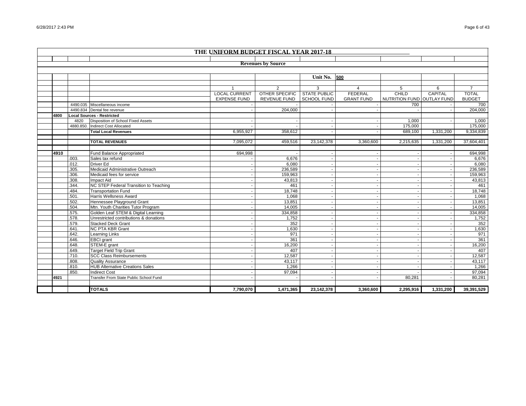|      |       |                                        | THE UNIFORM BUDGET FISCAL YEAR 2017-18 |                           |                     |                          |                            |           |                |
|------|-------|----------------------------------------|----------------------------------------|---------------------------|---------------------|--------------------------|----------------------------|-----------|----------------|
|      |       |                                        |                                        |                           |                     |                          |                            |           |                |
|      |       |                                        |                                        | <b>Revenues by Source</b> |                     |                          |                            |           |                |
|      |       |                                        |                                        |                           |                     |                          |                            |           |                |
|      |       |                                        |                                        |                           | Unit No.            | 500                      |                            |           |                |
|      |       |                                        |                                        |                           |                     |                          |                            |           |                |
|      |       |                                        |                                        | 2                         | 3                   | $\overline{4}$           | 5                          | 6         | $\overline{7}$ |
|      |       |                                        | <b>LOCAL CURRENT</b>                   | <b>OTHER SPECIFIC</b>     | <b>STATE PUBLIC</b> | <b>FEDERAL</b>           | CHILD                      | CAPITAL   | <b>TOTAL</b>   |
|      |       |                                        | <b>EXPENSE FUND</b>                    | <b>REVENUE FUND</b>       | <b>SCHOOL FUND</b>  | <b>GRANT FUND</b>        | NUTRITION FUND OUTLAY FUND |           | <b>BUDGET</b>  |
|      |       | 4490.035 Miscellaneous income          |                                        |                           |                     |                          | 700                        |           | 700            |
|      |       | 4490.834 Dental fee revenue            |                                        | 204,000                   |                     |                          |                            |           | 204,000        |
| 4800 |       | <b>Local Sources - Restricted</b>      |                                        |                           |                     |                          |                            |           |                |
|      | 4820  | Disposition of School Fixed Assets     |                                        |                           |                     |                          | 1,000                      |           | 1,000          |
|      |       | 4880.850. Indirect Cost Allocated      |                                        |                           |                     |                          | 175,000                    |           | 175,000        |
|      |       | <b>Total Local Revenues</b>            | 6,955,927                              | 358,612                   |                     |                          | 689.100                    | 1,331,200 | 9,334,839      |
|      |       |                                        |                                        |                           |                     |                          |                            |           |                |
|      |       | <b>TOTAL REVENUES</b>                  | 7,095,072                              | 459,516                   | 23,142,378          | 3,360,600                | 2,215,635                  | 1,331,200 | 37,604,401     |
|      |       |                                        |                                        |                           |                     |                          |                            |           |                |
| 4910 |       | Fund Balance Appropriated              | 694,998                                |                           |                     |                          |                            |           | 694,998        |
|      | .003. | Sales tax refund                       |                                        | 6,676                     |                     |                          |                            |           | 6,676          |
|      | .012. | <b>Driver Ed</b>                       |                                        | 6.080                     |                     |                          |                            |           | 6,080          |
|      | .305. | Medicaid Administrative Outreach       |                                        | 236,589                   |                     |                          |                            |           | 236,589        |
|      | .306. | Medicaid fees for service              |                                        | 159,963                   |                     |                          |                            |           | 159,963        |
|      | .308. | <b>Impact Aid</b>                      |                                        | 43,813                    |                     |                          |                            |           | 43,813         |
|      | .344. | NC STEP Federal Transition to Teaching |                                        | 461                       |                     |                          |                            |           | 461            |
|      | .484  | <b>Transportation Fund</b>             |                                        | 18,748                    |                     |                          |                            |           | 18,748         |
|      | .501. | Harris Wellsness Award                 |                                        | 1.068                     |                     | $\blacksquare$           |                            |           | 1,068          |
|      | .502. | Hennessee Playground Grant             |                                        | 13,851                    |                     |                          |                            |           | 13,851         |
|      | .504  | Mtn. Youth Charities Tutor Program     |                                        | 14,005                    |                     |                          |                            |           | 14,005         |
|      | .575. | Golden Leaf STEM & Digital Learning    |                                        | 334,858                   |                     | $\overline{\phantom{a}}$ |                            |           | 334,858        |
|      | .578. | Unrestricted contributions & donations |                                        | 1,752                     |                     |                          |                            |           | 1,752          |
|      | .579. | <b>Stacked Deck Grant</b>              |                                        | 352                       |                     |                          |                            |           | 352            |
|      | .641  | <b>NC PTA KBR Grant</b>                |                                        | 1,630                     |                     |                          |                            |           | 1,630          |
|      | .642. | Learning Links                         |                                        | 971                       |                     |                          |                            |           | 971            |
|      | .646. | <b>EBCI</b> grant                      |                                        | 361                       |                     |                          |                            |           | 361            |
|      | .648. | STEM-E grant                           |                                        | 16,200                    |                     |                          |                            |           | 16,200         |
|      | .649. | <b>Target Field Trip Grant</b>         |                                        | 407                       |                     |                          |                            |           | 407            |
|      | .710. | <b>SCC Class Reimbursements</b>        |                                        | 12,587                    |                     |                          |                            |           | 12,587         |
|      | .808. | <b>Quality Assurance</b>               |                                        | 43,117                    |                     |                          |                            |           | 43,117         |
|      | .810. | <b>HUB Alternative Creations Sales</b> |                                        | 1,266                     |                     |                          |                            |           | 1,266          |
|      | .850. | <b>Indirect Cost</b>                   |                                        | 97,094                    |                     |                          |                            |           | 97,094         |
| 4921 |       | Transfer From State Public School Fund |                                        |                           |                     |                          | 80,281                     |           | 80,281         |
|      |       |                                        |                                        |                           |                     |                          |                            |           |                |
|      |       | <b>TOTALS</b>                          | 7,790,070                              | 1,471,365                 | 23, 142, 378        | 3,360,600                | 2,295,916                  | 1,331,200 | 39,391,529     |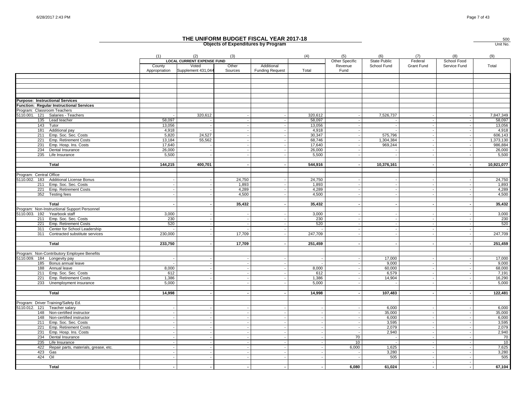|                                                                                    |                         |                                                                  |                  | <b>Objects of Expenditures by Program</b> |                 |                                   |                                    |                          |                             | Unit No.        |
|------------------------------------------------------------------------------------|-------------------------|------------------------------------------------------------------|------------------|-------------------------------------------|-----------------|-----------------------------------|------------------------------------|--------------------------|-----------------------------|-----------------|
|                                                                                    | (1)                     | (2)                                                              | (3)              |                                           | (4)             | (5)                               | (6)                                | (7)                      | (8)                         | (9)             |
|                                                                                    | County<br>Appropriation | <b>LOCAL CURRENT EXPENSE FUND</b><br>Voted<br>Supplement 431,044 | Other<br>Sources | Additional<br><b>Funding Request</b>      | Total           | Other Specific<br>Revenue<br>Fund | <b>State Public</b><br>School Fund | Federal<br>Grant Fund    | School Food<br>Service Fund | Total           |
|                                                                                    |                         |                                                                  |                  |                                           |                 |                                   |                                    |                          |                             |                 |
|                                                                                    |                         |                                                                  |                  |                                           |                 |                                   |                                    |                          |                             |                 |
|                                                                                    |                         |                                                                  |                  |                                           |                 |                                   |                                    |                          |                             |                 |
| <b>Purpose: Instructional Services</b><br>Function: Regular Instructional Services |                         |                                                                  |                  |                                           |                 |                                   |                                    |                          |                             |                 |
| Program: Classroom Teachers                                                        |                         |                                                                  |                  |                                           |                 |                                   |                                    |                          |                             |                 |
| 5110.001. 121 Salaries - Teachers                                                  |                         | 320,612                                                          |                  |                                           | 320,612         |                                   | 7,526,737                          |                          |                             | 7,847,349       |
| 135 Lead teacher                                                                   | 58.097                  |                                                                  |                  |                                           | 58,097          |                                   |                                    |                          |                             | 58,097          |
| 143<br>Tutor                                                                       | 13,056                  |                                                                  |                  |                                           | 13,056          |                                   |                                    |                          |                             | 13,056          |
| 181<br>Additional pay                                                              | 4,918                   |                                                                  |                  |                                           | 4,918           |                                   |                                    |                          |                             | 4,918           |
| Emp. Soc. Sec. Costs<br>211                                                        | 5,820                   | 24,527                                                           |                  |                                           | 30,347          |                                   | 575,796                            |                          |                             | 606,143         |
| 221<br>Emp. Retirement Costs                                                       | 13.184                  | 55,562                                                           |                  |                                           | 68,746          |                                   | 1,304,384                          |                          |                             | 1,373,130       |
| Emp. Hosp. Ins. Costs<br>231                                                       | 17,640                  |                                                                  |                  |                                           | 17,640          |                                   | 969,244                            |                          |                             | 986,884         |
| 234<br>Dental Insurance<br>235<br>Life Insurance                                   | 26,000<br>5,500         |                                                                  |                  |                                           | 26,000<br>5,500 |                                   |                                    |                          |                             | 26,000<br>5,500 |
|                                                                                    |                         |                                                                  |                  |                                           |                 |                                   |                                    |                          |                             |                 |
| Total                                                                              | 144,215                 | 400,701                                                          |                  |                                           | 544,916         |                                   | 10,376,161                         |                          |                             | 10,921,077      |
| Program: Central Office                                                            |                         |                                                                  |                  |                                           |                 |                                   |                                    |                          |                             |                 |
| 5110.002. 183 Additional License Bonus                                             |                         | $\overline{\phantom{a}}$                                         | 24,750           |                                           | 24,750          |                                   |                                    |                          |                             | 24,750          |
| 211 Emp. Soc. Sec. Costs                                                           |                         |                                                                  | 1,893            |                                           | 1,893           |                                   |                                    |                          |                             | 1,893           |
| 221 Emp. Retirement Costs                                                          |                         |                                                                  | 4,289            |                                           | 4,289           |                                   |                                    |                          |                             | 4,289           |
| 352 Testing fees                                                                   |                         |                                                                  | 4,500            |                                           | 4,500           |                                   |                                    |                          |                             | 4,500           |
|                                                                                    |                         |                                                                  |                  |                                           |                 |                                   |                                    |                          |                             |                 |
| Total                                                                              |                         |                                                                  | 35,432           |                                           | 35,432          |                                   | $\overline{\phantom{a}}$           | $\overline{\phantom{a}}$ |                             | 35,432          |
| Program: Non-Instructional Support Personnel                                       |                         |                                                                  |                  |                                           |                 |                                   |                                    |                          |                             |                 |
| 5110.003. 192<br>Yearbook staff                                                    | 3,000                   |                                                                  |                  |                                           | 3,000           |                                   |                                    |                          |                             | 3,000           |
| 211 Emp. Soc. Sec. Costs<br>221<br>Emp. Retirement Costs                           | 230<br>520              |                                                                  |                  |                                           | 230<br>520      |                                   |                                    |                          |                             | 230<br>520      |
| Center for School Leadership<br>311                                                |                         |                                                                  |                  |                                           |                 |                                   |                                    |                          |                             | $\sim$          |
| 311<br>Contracted substitute services                                              | 230,000                 |                                                                  | 17,709           |                                           | 247,709         |                                   |                                    |                          |                             | 247,709         |
|                                                                                    |                         |                                                                  |                  |                                           |                 |                                   |                                    |                          |                             |                 |
| Total                                                                              | 233,750                 |                                                                  | 17,709           |                                           | 251,459         |                                   |                                    |                          |                             | 251,459         |
|                                                                                    |                         |                                                                  |                  |                                           |                 |                                   |                                    |                          |                             |                 |
| Program: Non-Contributory Employee Benefits<br>5110.009. 184 Longevity pay         |                         | $\sim$                                                           |                  |                                           |                 |                                   | 17,000                             |                          |                             | 17,000          |
| 185 Bonus annual leave                                                             |                         |                                                                  |                  |                                           |                 |                                   | 9,000                              |                          |                             | 9,000           |
| 188 Annual leave                                                                   | 8,000                   |                                                                  |                  |                                           | 8,000           |                                   | 60,000                             |                          |                             | 68,000          |
| 211 Emp. Soc. Sec. Costs                                                           | 612                     |                                                                  |                  |                                           | 612             |                                   | 6,579                              |                          |                             | 7,191           |
| 221<br>Emp. Retirement Costs                                                       | 1,386                   | $\overline{\phantom{a}}$                                         |                  |                                           | 1,386           |                                   | 14,904                             |                          |                             | 16,290          |
| 233<br>Unemployment insurance                                                      | 5,000                   |                                                                  |                  |                                           | 5.000           |                                   |                                    |                          |                             | 5,000           |
|                                                                                    |                         |                                                                  |                  |                                           |                 |                                   |                                    |                          |                             |                 |
| <b>Total</b>                                                                       | 14,998                  | $\overline{\phantom{a}}$                                         |                  |                                           | 14,998          |                                   | 107,483                            |                          |                             | 122,481         |
| Program: Driver Training/Safety Ed.                                                |                         |                                                                  |                  |                                           |                 |                                   |                                    |                          |                             |                 |
| 5110.012. 121<br>Teacher salary                                                    |                         | $\overline{\phantom{a}}$                                         |                  |                                           |                 |                                   | 6,000                              |                          |                             | 6,000           |
| 148<br>Non-certified instructor                                                    |                         |                                                                  |                  |                                           |                 |                                   | 35,000                             |                          |                             | 35,000          |
| 148<br>Non-certified instructor                                                    |                         | $\overline{\phantom{a}}$                                         |                  |                                           |                 |                                   | 6,000                              | $\overline{\phantom{a}}$ |                             | 6,000           |
| Emp. Soc. Sec. Costs<br>211                                                        |                         |                                                                  |                  |                                           |                 |                                   | 3,595                              |                          |                             | 3,595           |
| 221<br>Emp. Retirement Costs                                                       |                         |                                                                  |                  |                                           |                 |                                   | 2,079                              |                          |                             | 2,079           |
| Emp. Hosp. Ins. Costs<br>231                                                       |                         |                                                                  |                  |                                           |                 |                                   | 2,940                              |                          |                             | 2,940           |
| 234<br>Dental Insurance                                                            |                         | $\sim$                                                           |                  |                                           |                 | 70                                | $\sim$                             | $\sim$                   |                             | 70              |
| 235<br>Life Insurance                                                              |                         |                                                                  |                  |                                           |                 | 10                                |                                    |                          |                             | 10              |
| Repair parts, materials, grease, etc.<br>422                                       |                         |                                                                  |                  |                                           |                 | 6,000                             | 1,625                              |                          |                             | 7,625           |
| 423<br>Gas                                                                         |                         |                                                                  |                  |                                           |                 |                                   | 3,280                              |                          |                             | 3,280           |
| 424<br>Oil                                                                         |                         |                                                                  |                  |                                           |                 |                                   | 505                                |                          |                             | 505             |
| Total                                                                              |                         | $\overline{\phantom{a}}$                                         |                  |                                           |                 | 6.080                             | 61,024                             | $\blacksquare$           |                             | 67,104          |
|                                                                                    |                         |                                                                  |                  |                                           |                 |                                   |                                    |                          |                             |                 |

500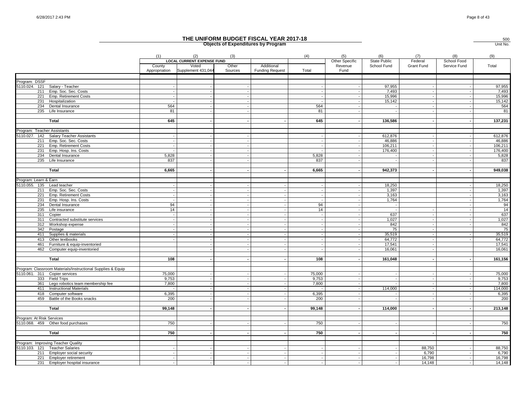|                             |                                                             |                         |                                          |                          | THE UNIFORM BUDGET FISCAL YEAR 2017-18<br><b>Objects of Expenditures by Program</b> |                |                       |                                    |                |                             | 500<br>Unit No. |
|-----------------------------|-------------------------------------------------------------|-------------------------|------------------------------------------|--------------------------|-------------------------------------------------------------------------------------|----------------|-----------------------|------------------------------------|----------------|-----------------------------|-----------------|
|                             |                                                             | (1)                     | (2)<br><b>LOCAL CURRENT EXPENSE FUND</b> | (3)                      |                                                                                     | (4)            | (5)<br>Other Specific | (6)                                | (7)<br>Federal | (8)                         | (9)             |
|                             |                                                             | County<br>Appropriation | Voted<br>Supplement 431,044              | Other<br>Sources         | Additional<br><b>Funding Request</b>                                                | Total          | Revenue<br>Fund       | <b>State Public</b><br>School Fund | Grant Fund     | School Food<br>Service Fund | Total           |
| Program: DSSF               |                                                             |                         |                                          |                          |                                                                                     |                |                       |                                    |                |                             |                 |
| 5110.024. 121               | Salary - Teacher                                            |                         |                                          |                          |                                                                                     |                |                       | 97,955                             |                |                             | 97,955          |
|                             | 211 Emp. Soc. Sec. Costs                                    |                         |                                          |                          |                                                                                     |                |                       | 7,493                              |                |                             | 7,493           |
| 221                         | Emp. Retirement Costs                                       |                         |                                          | $\sim$                   |                                                                                     |                |                       | 15,996                             |                |                             | 15,996          |
|                             | 231 Hospitalization                                         |                         |                                          |                          |                                                                                     |                |                       | 15,142                             |                |                             | 15,142          |
|                             | 234 Dental Insurance                                        | 564                     |                                          |                          |                                                                                     | 564            |                       |                                    |                |                             | 564             |
|                             | 235 Life Insurance                                          | 81                      |                                          |                          |                                                                                     | 81             |                       |                                    |                |                             | 81              |
|                             | Total                                                       | 645                     |                                          |                          |                                                                                     | 645            |                       | 136,586                            |                |                             | 137,231         |
|                             |                                                             |                         |                                          |                          |                                                                                     |                |                       |                                    |                |                             |                 |
| Program: Teacher Assistants |                                                             |                         |                                          |                          |                                                                                     |                |                       |                                    |                |                             |                 |
|                             | 5110.027. 142 Salary Teacher Assistants                     |                         |                                          |                          |                                                                                     |                |                       | 612,876                            |                |                             | 612,876         |
|                             | 211 Emp. Soc. Sec. Costs                                    |                         |                                          |                          |                                                                                     |                |                       | 46,886                             |                |                             | 46,886          |
| 221                         | Emp. Retirement Costs                                       |                         |                                          |                          |                                                                                     |                |                       | 106,211                            |                |                             | 106,211         |
| 231                         | Emp. Hosp. Ins. Costs                                       |                         |                                          |                          |                                                                                     |                |                       | 176,400                            |                |                             | 176,400         |
| 234                         | Dental Insurance                                            | 5,828                   |                                          | $\sim$                   |                                                                                     | 5,828          |                       |                                    |                |                             | 5,828           |
|                             | 235 Life Insurance                                          | 837                     |                                          |                          |                                                                                     | 837            |                       |                                    |                |                             | 837             |
|                             | Total                                                       | 6,665                   |                                          |                          | $\sim$                                                                              | 6,665          |                       | 942,373                            |                | ٠                           | 949,038         |
|                             |                                                             |                         |                                          |                          |                                                                                     |                |                       |                                    |                |                             |                 |
| Program: Learn & Earn       |                                                             |                         |                                          |                          |                                                                                     |                |                       |                                    |                |                             |                 |
| 5110.055. 135 Lead teacher  |                                                             |                         |                                          |                          |                                                                                     |                |                       | 18,250                             |                |                             | 18,250          |
|                             | 211 Emp. Soc. Sec. Costs                                    |                         |                                          |                          | $\overline{\phantom{a}}$                                                            |                |                       | 1,397                              |                |                             | 1,397           |
|                             | 221 Emp. Retirement Costs                                   |                         |                                          | $\sim$                   | $\overline{\phantom{a}}$<br>$\sim$                                                  | $\overline{a}$ |                       | 3,163                              |                |                             | 3,163           |
| 234                         | 231 Emp. Hosp. Ins. Costs<br>Dental Insurance               | 94                      |                                          |                          |                                                                                     | 94             |                       | 1,764                              |                |                             | 1,764<br>94     |
|                             | 235 Life insurance                                          | 14                      |                                          | $\overline{\phantom{a}}$ | $\overline{\phantom{a}}$                                                            | 14             |                       |                                    |                |                             | 14              |
|                             | 311 Copier                                                  |                         |                                          |                          | $\sim$                                                                              |                |                       | 637                                |                |                             | 637             |
|                             | 311 Contracted substitute services                          |                         |                                          |                          | $\overline{a}$                                                                      |                |                       | 1,027                              |                |                             | 1,027           |
| 312                         | Workshop expense                                            |                         |                                          |                          |                                                                                     |                |                       | 842                                |                |                             | 842             |
|                             | 342 Postage                                                 |                         |                                          |                          | $\overline{\phantom{a}}$                                                            |                |                       | 75                                 |                |                             | 75              |
| 411                         | Supplies & materials                                        |                         |                                          |                          | $\overline{a}$                                                                      |                |                       | 35,519                             |                |                             | 35,519          |
| 413                         | Other textbooks                                             |                         |                                          |                          |                                                                                     |                |                       | 64,772                             |                |                             | 64,772          |
| 461                         | Furniture & equip-inventoried                               |                         |                                          |                          |                                                                                     |                |                       | 17.541                             |                |                             | 17,541          |
|                             | 462 Computer equip-inventoried                              |                         |                                          |                          |                                                                                     |                |                       | 16,061                             |                |                             | 16,061          |
|                             |                                                             |                         |                                          |                          |                                                                                     |                |                       |                                    |                |                             |                 |
|                             | <b>Total</b>                                                | 108                     |                                          |                          |                                                                                     | 108            |                       | 161,048                            |                |                             | 161,156         |
|                             | Program: Classroom Materials/Instructional Supplies & Equip |                         |                                          |                          |                                                                                     |                |                       |                                    |                |                             |                 |
|                             | 5110.061. 311 Copier services                               | 75.000                  |                                          |                          | $\sim$                                                                              | 75.000         |                       |                                    |                |                             | 75,000          |
|                             | 333 Field Trips                                             | 9,753                   |                                          |                          |                                                                                     | 9,753          |                       |                                    |                |                             | 9,753           |
| 361                         | Lego robotics team membership fee                           | 7,800                   |                                          |                          |                                                                                     | 7,800          |                       |                                    |                |                             | 7,800           |
| 411                         | <b>Instructional Materials</b>                              |                         |                                          |                          | $\overline{\phantom{a}}$                                                            |                |                       | 114,000                            |                |                             | 114,000         |
| 418                         | Computer software                                           | 6,395                   |                                          |                          | $\overline{a}$                                                                      | 6,395          |                       |                                    |                |                             | 6,395           |
|                             | 459 Battle of the Books snacks                              | 200                     |                                          |                          |                                                                                     | 200            |                       |                                    |                |                             | 200             |
|                             | Total                                                       | 99,148                  |                                          |                          | $\sim$                                                                              | 99,148         |                       | 114,000                            |                |                             | 213,148         |
|                             |                                                             |                         |                                          |                          |                                                                                     |                |                       |                                    |                |                             |                 |
| Program: At Risk Services   |                                                             |                         |                                          |                          |                                                                                     |                |                       |                                    |                |                             |                 |
|                             | 5110.068. 459 Other food purchases                          | 750                     |                                          |                          |                                                                                     | 750            |                       |                                    |                |                             | 750             |
|                             | Total                                                       |                         |                                          |                          |                                                                                     | 750            |                       |                                    |                |                             | 750             |
|                             |                                                             | 750                     |                                          |                          |                                                                                     |                |                       |                                    |                |                             |                 |
|                             | Program: Improving Teacher Quality                          |                         |                                          |                          |                                                                                     |                |                       |                                    |                |                             |                 |
|                             | 5110.103. 121 Teacher Salaries                              |                         |                                          |                          |                                                                                     |                |                       |                                    | 88,750         |                             | 88,750          |
|                             | 211 Employer social security                                |                         |                                          |                          | $\blacksquare$                                                                      |                |                       |                                    | 6,790          |                             | 6,790           |
|                             | 221 Employer retirement                                     | $\sim$                  |                                          |                          |                                                                                     |                |                       |                                    | 16,798         |                             | 16,798          |
|                             | 231 Employer hospital insurance                             | $\sim$                  |                                          |                          |                                                                                     |                |                       |                                    | 14,148         |                             | 14,148          |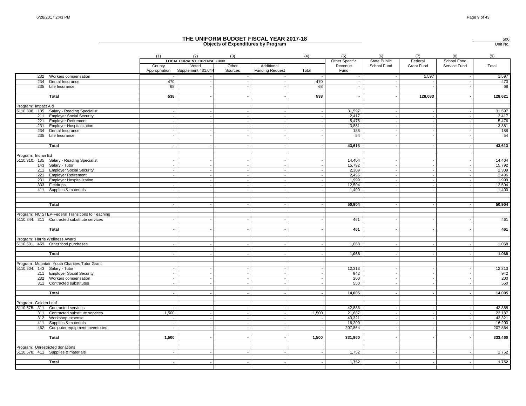|                                 |                                                            |                         |                                                                  |                          | THE UNIFORM BUDGET FISCAL YEAR 2017-18<br><b>Objects of Expenditures by Program</b> |       |                                   |                             |                       |                             | $\frac{500}{\text{Unit No.}}$ |
|---------------------------------|------------------------------------------------------------|-------------------------|------------------------------------------------------------------|--------------------------|-------------------------------------------------------------------------------------|-------|-----------------------------------|-----------------------------|-----------------------|-----------------------------|-------------------------------|
|                                 |                                                            | (1)                     | (2)                                                              | (3)                      |                                                                                     | (4)   | (5)                               | (6)                         | (7)                   | (8)                         | (9)                           |
|                                 |                                                            | County<br>Appropriation | <b>LOCAL CURRENT EXPENSE FUND</b><br>Voted<br>Supplement 431,044 | Other<br>Sources         | Additional<br><b>Funding Request</b>                                                | Total | Other Specific<br>Revenue<br>Fund | State Public<br>School Fund | Federal<br>Grant Fund | School Food<br>Service Fund | Total                         |
|                                 | 232 Workers compensation                                   |                         |                                                                  |                          |                                                                                     |       |                                   |                             | 1,597                 |                             | 1,597                         |
| 234                             | Dental Insurance                                           | 470                     | $\overline{\phantom{a}}$                                         | $\sim$                   | $\sim$                                                                              | 470   |                                   |                             |                       |                             | 470                           |
|                                 | 235 Life Insurance                                         | 68                      |                                                                  | $\sim$                   | $\sim$                                                                              | 68    |                                   |                             |                       |                             | 68                            |
|                                 | Total                                                      | 538                     |                                                                  |                          |                                                                                     | 538   |                                   |                             | 128,083               |                             | 128,621                       |
|                                 |                                                            |                         |                                                                  |                          |                                                                                     |       |                                   |                             |                       |                             |                               |
| Program: Impact Aid             |                                                            |                         |                                                                  |                          |                                                                                     |       |                                   |                             |                       |                             |                               |
|                                 | 5110.308. 135 Salary - Reading Specialist                  |                         |                                                                  |                          | $\overline{\phantom{a}}$                                                            |       | 31,597                            |                             |                       |                             | 31,597                        |
|                                 | 211 Employer Social Security                               |                         |                                                                  | $\sim$                   | $\sim$                                                                              |       | 2,417                             |                             |                       | $\overline{\phantom{a}}$    | 2,417                         |
| 231                             | 221 Employer Retirement<br><b>Employer Hospitalization</b> |                         |                                                                  | $\sim$<br>$\sim$         | $\sim$<br>$\overline{a}$                                                            |       | 5,476<br>3,881                    |                             |                       |                             | 5,476<br>3,881                |
| 234                             | Dental Insurance                                           |                         |                                                                  |                          |                                                                                     |       | 188                               |                             |                       |                             | 188                           |
|                                 | 235 Life Insurance                                         |                         |                                                                  |                          |                                                                                     |       | 54                                |                             |                       |                             | 54                            |
|                                 |                                                            |                         |                                                                  |                          |                                                                                     |       |                                   |                             |                       |                             |                               |
|                                 | Total                                                      |                         |                                                                  |                          |                                                                                     |       | 43,613                            |                             |                       |                             | 43,613                        |
|                                 |                                                            |                         |                                                                  |                          |                                                                                     |       |                                   |                             |                       |                             |                               |
| Program: Indian Ed              | 5110.310. 135 Salary - Reading Specialist                  |                         |                                                                  |                          | $\overline{\phantom{a}}$                                                            |       | 14,404                            |                             |                       |                             | 14,404                        |
|                                 | 143 Salary - Tutor                                         |                         |                                                                  |                          | $\sim$                                                                              |       | 15,792                            |                             |                       |                             | 15,792                        |
|                                 | 211 Employer Social Security                               |                         |                                                                  |                          |                                                                                     |       | 2,309                             |                             |                       |                             | 2,309                         |
|                                 | 221 Employer Retirement                                    |                         |                                                                  | $\sim$                   | $\sim$                                                                              |       | 2,496                             |                             |                       |                             | 2,496                         |
| 231                             | <b>Employer Hospitalization</b>                            |                         |                                                                  | $\overline{\phantom{a}}$ |                                                                                     |       | 1,999                             |                             |                       |                             | 1,999                         |
|                                 | 333 Fieldtrips                                             |                         |                                                                  |                          | $\overline{\phantom{a}}$                                                            |       | 12,504                            |                             |                       |                             | 12,504                        |
|                                 | 411 Supplies & materials                                   |                         |                                                                  |                          |                                                                                     |       | 1,400                             |                             |                       |                             | 1,400                         |
|                                 |                                                            |                         |                                                                  |                          |                                                                                     |       |                                   |                             |                       |                             |                               |
|                                 | Total                                                      |                         |                                                                  |                          |                                                                                     |       | 50,904                            |                             |                       |                             | 50,904                        |
|                                 |                                                            |                         |                                                                  |                          |                                                                                     |       |                                   |                             |                       |                             |                               |
|                                 | Program: NC STEP-Federal Transitions to Teaching           |                         |                                                                  |                          |                                                                                     |       |                                   |                             |                       |                             |                               |
|                                 | 5110.344. 311 Contracted substitute services               |                         |                                                                  |                          |                                                                                     |       | 461                               |                             |                       |                             | 461                           |
|                                 |                                                            |                         |                                                                  |                          |                                                                                     |       |                                   |                             |                       |                             | 461                           |
|                                 | Total                                                      |                         |                                                                  |                          |                                                                                     |       | 461                               |                             |                       |                             |                               |
| Program: Harris Wellness Award  |                                                            |                         |                                                                  |                          |                                                                                     |       |                                   |                             |                       |                             |                               |
|                                 | 5110.501. 459 Other food purchases                         |                         |                                                                  |                          |                                                                                     |       | 1,068                             |                             |                       |                             | 1,068                         |
|                                 |                                                            |                         |                                                                  |                          |                                                                                     |       |                                   |                             |                       |                             |                               |
|                                 | <b>Total</b>                                               |                         |                                                                  |                          |                                                                                     |       | 1,068                             |                             |                       |                             | 1,068                         |
|                                 |                                                            |                         |                                                                  |                          |                                                                                     |       |                                   |                             |                       |                             |                               |
|                                 | Program: Mountain Youth Charities Tutor Grant              |                         |                                                                  |                          |                                                                                     |       |                                   |                             |                       |                             |                               |
| 5110.504. 143 Salary - Tutor    |                                                            |                         |                                                                  |                          |                                                                                     |       | 12,313                            |                             |                       |                             | 12,313                        |
|                                 | 211 Employer Social Security                               |                         |                                                                  |                          |                                                                                     |       | 942                               |                             |                       |                             | 942                           |
| 232                             | Workers compensation<br>311 Contracted substitutes         |                         |                                                                  |                          | $\sim$                                                                              |       | 200<br>550                        |                             |                       |                             | 200<br>550                    |
|                                 |                                                            |                         |                                                                  |                          |                                                                                     |       |                                   |                             |                       |                             |                               |
|                                 | Total                                                      |                         |                                                                  |                          |                                                                                     |       | 14,005                            |                             |                       |                             | 14,005                        |
|                                 |                                                            |                         |                                                                  |                          |                                                                                     |       |                                   |                             |                       |                             |                               |
| Program: Golden Leaf            |                                                            |                         |                                                                  |                          |                                                                                     |       |                                   |                             |                       |                             |                               |
|                                 | 5110.575. 311 Contracted services                          |                         |                                                                  |                          |                                                                                     |       | 42.888                            |                             |                       |                             | 42,888                        |
| 311                             | Contracted substitute services                             | 1,500                   |                                                                  |                          | $\sim$                                                                              | 1,500 | 21,687                            |                             |                       |                             | 23,187                        |
| 312                             | Workshop expense                                           | $\sim$                  | $\overline{\phantom{a}}$                                         | $\sim$                   | $\sim$                                                                              |       | 43,321                            |                             |                       |                             | 43,321                        |
| 411                             | Supplies & materials                                       |                         |                                                                  |                          |                                                                                     |       | 16,200                            |                             |                       |                             | 16,200                        |
|                                 | 462 Computer equipment-inventoried                         |                         | $\overline{\phantom{a}}$                                         | $\overline{\phantom{a}}$ | $\sim$                                                                              |       | 207,864                           |                             |                       |                             | 207,864                       |
|                                 | Total                                                      |                         |                                                                  |                          |                                                                                     | 1,500 |                                   |                             |                       |                             |                               |
|                                 |                                                            | 1,500                   |                                                                  |                          |                                                                                     |       | 331,960                           |                             |                       |                             | 333,460                       |
| Program: Unrestricted donations |                                                            |                         |                                                                  |                          |                                                                                     |       |                                   |                             |                       |                             |                               |
|                                 | 5110.578. 411 Supplies & materials                         |                         |                                                                  |                          |                                                                                     |       | 1,752                             |                             |                       |                             | 1,752                         |
|                                 |                                                            |                         |                                                                  |                          |                                                                                     |       |                                   |                             |                       |                             |                               |
|                                 | Total                                                      |                         |                                                                  |                          |                                                                                     |       | 1,752                             |                             |                       |                             | 1,752                         |
|                                 |                                                            |                         |                                                                  |                          |                                                                                     |       |                                   |                             |                       |                             |                               |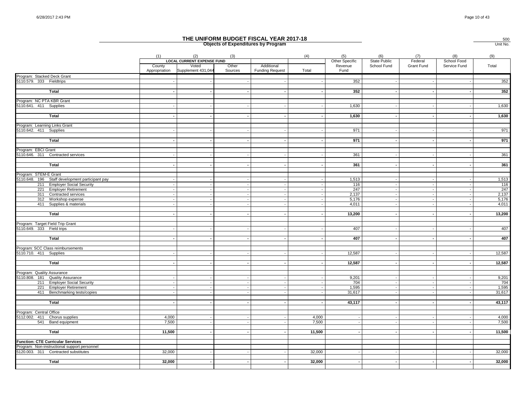|                                                          |                |                                          |              | THE UNIFORM BUDGET FISCAL YEAR 2017-18<br><b>Objects of Expenditures by Program</b> |                |                       |                                    |                |                                    | 500<br>Unit No. |
|----------------------------------------------------------|----------------|------------------------------------------|--------------|-------------------------------------------------------------------------------------|----------------|-----------------------|------------------------------------|----------------|------------------------------------|-----------------|
|                                                          | (1)<br>County  | (2)<br><b>LOCAL CURRENT EXPENSE FUND</b> | (3)<br>Other | Additional                                                                          | (4)            | (5)<br>Other Specific | (6)<br>State Public<br>School Fund | (7)<br>Federal | (8)<br>School Food<br>Service Fund | (9)             |
|                                                          | Appropriation  | Voted<br>Supplement 431,044              | Sources      | <b>Funding Request</b>                                                              | Total          | Revenue<br>Fund       |                                    | Grant Fund     |                                    | Total           |
| Program: Stacked Deck Grant                              |                |                                          |              |                                                                                     |                |                       |                                    |                |                                    |                 |
| 5110.579. 333 Fieldtrips                                 |                |                                          |              |                                                                                     |                | 352                   |                                    |                |                                    | 352             |
| Total                                                    |                |                                          |              | $\overline{a}$                                                                      |                | 352                   |                                    |                |                                    | 352             |
| Program: NC PTA KBR Grant                                |                |                                          |              |                                                                                     |                |                       |                                    |                |                                    |                 |
| 5110.641. 411 Supplies                                   |                |                                          |              |                                                                                     |                | 1,630                 |                                    |                |                                    | 1,630           |
|                                                          |                |                                          |              |                                                                                     |                |                       |                                    |                |                                    |                 |
| Total                                                    |                |                                          |              | $\overline{\phantom{a}}$                                                            |                | 1,630                 |                                    |                |                                    | 1,630           |
| Program: Learning Links Grant                            |                |                                          |              |                                                                                     |                |                       |                                    |                |                                    |                 |
| 5110.642. 411 Supplies                                   |                |                                          |              |                                                                                     |                | 971                   |                                    |                |                                    | 971             |
|                                                          |                |                                          |              |                                                                                     |                |                       |                                    |                |                                    |                 |
| Total                                                    |                |                                          |              | $\overline{a}$                                                                      |                | 971                   |                                    |                |                                    | 971             |
| Program: EBCI Grant                                      |                |                                          |              |                                                                                     |                |                       |                                    |                |                                    |                 |
| 5110.646. 311 Contracted services                        |                |                                          |              |                                                                                     |                | 361                   |                                    |                |                                    | 361             |
|                                                          |                |                                          |              |                                                                                     |                |                       |                                    |                |                                    |                 |
| Total                                                    |                |                                          |              |                                                                                     |                | 361                   |                                    |                |                                    | 361             |
| Program: STEM-E Grant                                    |                |                                          |              |                                                                                     |                |                       |                                    |                |                                    |                 |
| 5110.648. 196 Staff development participant pay          |                |                                          |              |                                                                                     |                | 1,513                 |                                    |                |                                    | 1,513           |
| 211 Employer Social Security                             |                |                                          |              | $\overline{a}$                                                                      |                | 116                   |                                    |                |                                    | 116             |
| 221 Employer Retirement                                  |                |                                          |              | $\sim$                                                                              |                | 247                   |                                    |                |                                    | 247             |
| 311 Contracted services                                  |                |                                          |              |                                                                                     |                | 2,137                 |                                    |                |                                    | 2,137           |
| 312 Workshop expense<br>411 Supplies & materials         |                |                                          |              |                                                                                     |                | 5,176<br>4,011        |                                    |                |                                    | 5,176<br>4,011  |
|                                                          |                |                                          |              |                                                                                     |                |                       |                                    |                |                                    |                 |
| <b>Total</b>                                             |                |                                          |              |                                                                                     |                | 13,200                |                                    |                |                                    | 13,200          |
|                                                          |                |                                          |              |                                                                                     |                |                       |                                    |                |                                    |                 |
| Program: Target Field Trip Grant                         |                |                                          |              |                                                                                     |                |                       |                                    |                |                                    |                 |
| 5110.649. 333 Field trips                                |                |                                          |              |                                                                                     |                | 407                   |                                    |                |                                    | 407             |
| Total                                                    |                |                                          |              |                                                                                     |                | 407                   |                                    |                |                                    | 407             |
|                                                          |                |                                          |              |                                                                                     |                |                       |                                    |                |                                    |                 |
| Program: SCC Class reimbursements                        |                |                                          |              |                                                                                     |                |                       |                                    |                |                                    |                 |
| 5110.710. 411 Supplies                                   |                |                                          |              |                                                                                     |                | 12,587                |                                    |                |                                    | 12,587          |
| Total                                                    |                |                                          |              |                                                                                     |                | 12,587                |                                    |                |                                    | 12,587          |
|                                                          |                |                                          |              |                                                                                     |                |                       |                                    |                |                                    |                 |
| Program: Quality Assurance                               |                |                                          |              |                                                                                     |                |                       |                                    |                |                                    |                 |
| 5110.808. 181 Quality Assurance                          |                |                                          |              | $\overline{a}$                                                                      |                | 9,201                 |                                    |                |                                    | 9,201           |
| 211 Employer Social Security                             |                |                                          |              |                                                                                     |                | 704                   |                                    |                |                                    | 704             |
| 221 Employer Retirement<br>411 Benchmarking tests/copies |                |                                          |              |                                                                                     |                | 1,595<br>31,617       |                                    |                |                                    | 1,595<br>31,617 |
|                                                          |                |                                          |              |                                                                                     |                |                       |                                    |                |                                    |                 |
| Total                                                    |                |                                          |              |                                                                                     |                | 43,117                |                                    |                |                                    | 43,117          |
|                                                          |                |                                          |              |                                                                                     |                |                       |                                    |                |                                    |                 |
| Program: Central Office                                  |                |                                          |              |                                                                                     |                |                       |                                    |                |                                    |                 |
| 5112.002. 411 Chorus supplies<br>541 Band equipment      | 4,000<br>7,500 |                                          |              |                                                                                     | 4,000<br>7,500 |                       |                                    |                |                                    | 4,000<br>7,500  |
|                                                          |                |                                          |              |                                                                                     |                |                       |                                    |                |                                    |                 |
| Total                                                    | 11,500         |                                          |              |                                                                                     | 11,500         |                       |                                    |                |                                    | 11,500          |
|                                                          |                |                                          |              |                                                                                     |                |                       |                                    |                |                                    |                 |
| <b>Function: CTE Curricular Services</b>                 |                |                                          |              |                                                                                     |                |                       |                                    |                |                                    |                 |
| Program: Non-instructional support personnel             |                |                                          |              |                                                                                     |                |                       |                                    |                |                                    |                 |
| 5120.003. 311 Contracted substitutes                     | 32,000         |                                          |              |                                                                                     | 32,000         |                       |                                    |                |                                    | 32,000          |
| Total                                                    | 32,000         |                                          |              |                                                                                     | 32,000         |                       |                                    |                |                                    | 32,000          |
|                                                          |                |                                          |              |                                                                                     |                |                       |                                    |                |                                    |                 |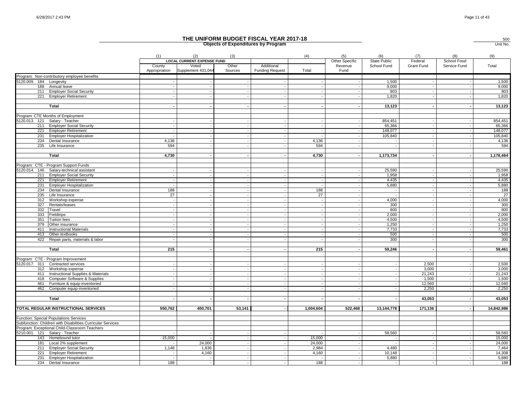|                         |                                                             |                         |                                                                  |                  | <b>Objects of Expenditures by Program</b> |                          |                                   |                             |                       |                             | Unit No.         |
|-------------------------|-------------------------------------------------------------|-------------------------|------------------------------------------------------------------|------------------|-------------------------------------------|--------------------------|-----------------------------------|-----------------------------|-----------------------|-----------------------------|------------------|
|                         |                                                             | (1)                     | (2)                                                              | (3)              |                                           | (4)                      | (5)                               | (6)                         | (7)                   | (8)                         | (9)              |
|                         |                                                             | County<br>Appropriation | <b>LOCAL CURRENT EXPENSE FUND</b><br>Voted<br>Supplement 431,044 | Other<br>Sources | Additional<br><b>Funding Request</b>      | Total                    | Other Specific<br>Revenue<br>Fund | State Public<br>School Fund | Federal<br>Grant Fund | School Food<br>Service Fund | Total            |
|                         | Program: Non-contributory employee benefits                 |                         |                                                                  |                  |                                           |                          |                                   |                             |                       |                             |                  |
| 5120.009. 184 Longevity |                                                             |                         |                                                                  |                  |                                           |                          |                                   | 1,500                       |                       |                             | 1,500            |
|                         | 188 Annual leave                                            |                         |                                                                  |                  |                                           |                          |                                   | 9,000                       |                       |                             | 9,000            |
| 221                     | 211 Employer Social Security                                |                         |                                                                  |                  |                                           |                          |                                   | 803<br>1,820                |                       |                             | 803<br>1,820     |
|                         | <b>Employer Retirement</b>                                  |                         |                                                                  |                  |                                           |                          |                                   |                             |                       |                             |                  |
|                         | Total                                                       |                         |                                                                  |                  |                                           |                          |                                   | 13,123                      |                       |                             | 13,123           |
|                         | Program: CTE Months of Employment                           |                         |                                                                  |                  |                                           |                          |                                   |                             |                       |                             |                  |
|                         | 5120.013. 121 Salary - Teacher                              |                         |                                                                  |                  |                                           |                          |                                   | 854,451                     |                       |                             | 854,451          |
|                         | 211 Employer Social Security                                |                         |                                                                  |                  |                                           |                          |                                   | 65,366                      |                       |                             | 65,366           |
| 221                     | <b>Employer Retirement</b>                                  |                         | $\overline{\phantom{a}}$                                         |                  |                                           |                          |                                   | 148,077                     |                       |                             | 148,077          |
| 231                     | <b>Employer Hospitalization</b>                             |                         |                                                                  |                  |                                           |                          |                                   | 105,840                     |                       |                             | 105,840          |
| 234                     | Dental Insurance                                            | 4.136                   |                                                                  |                  |                                           | 4.136                    |                                   |                             |                       |                             | 4,136            |
|                         | 235 Life Insurance                                          | 594                     |                                                                  |                  |                                           | 594                      |                                   |                             |                       |                             | 594              |
|                         | Total                                                       | 4,730                   |                                                                  |                  |                                           | 4,730                    |                                   | 1,173,734                   |                       |                             | 1,178,464        |
|                         |                                                             |                         |                                                                  |                  |                                           |                          |                                   |                             |                       |                             |                  |
|                         | Program: CTE - Program Support Funds                        |                         |                                                                  |                  |                                           |                          |                                   |                             |                       |                             |                  |
|                         | 5120.014. 146 Salary-technical assistant                    |                         |                                                                  |                  |                                           |                          |                                   | 25,590                      |                       |                             | 25,590           |
|                         | 211 Employer Social Security                                |                         |                                                                  |                  |                                           |                          |                                   | 1.958                       |                       |                             | 1,958            |
|                         | 221 Employer Retirement                                     |                         | $\sim$                                                           |                  |                                           |                          |                                   | 4,435                       |                       |                             | 4,435            |
| 231                     | <b>Employer Hospitalization</b>                             |                         |                                                                  |                  |                                           |                          |                                   | 5,880                       |                       |                             | 5,880            |
| 234<br>235              | Dental Insurance                                            | 188<br>27               | $\sim$                                                           |                  |                                           | 188<br>27                |                                   | $\sim$                      |                       |                             | 188<br>27        |
| 312                     | Life Insurance                                              |                         | $\overline{\phantom{a}}$                                         | $\sim$           |                                           | $\sim$                   |                                   | 4,000                       | $\sim$                |                             | 4,000            |
| 327                     | Workshop expense<br>Rentals/leases                          |                         |                                                                  |                  |                                           | $\overline{\phantom{a}}$ |                                   | 300                         |                       |                             | 300              |
| 332                     | Travel                                                      |                         |                                                                  |                  |                                           |                          |                                   | 800                         |                       |                             | 800              |
| 333                     | Fieldtrips                                                  |                         | $\overline{\phantom{a}}$                                         |                  |                                           |                          |                                   | 2,000                       |                       |                             | 2,000            |
| 351                     | <b>Tuition fees</b>                                         |                         |                                                                  |                  |                                           |                          |                                   | 4,500                       |                       |                             | 4,500            |
| 379                     | Other insurance                                             |                         | $\sim$                                                           |                  |                                           |                          |                                   | 1,250                       |                       |                             | 1,250            |
| 411                     | <b>Instructional Materials</b>                              |                         |                                                                  |                  |                                           |                          |                                   | 7,733                       |                       |                             | 7,733            |
| 413                     | Other textbooks                                             |                         |                                                                  |                  |                                           |                          |                                   | 500                         |                       |                             | 500              |
| 422                     | Repair parts, materials & labor                             |                         |                                                                  |                  |                                           |                          |                                   | 300                         |                       |                             | 300              |
|                         |                                                             | 215                     |                                                                  |                  |                                           | 215                      |                                   | 59,246                      |                       |                             | 59,461           |
|                         | Total                                                       |                         |                                                                  |                  |                                           |                          |                                   |                             |                       |                             |                  |
|                         | Program: CTE - Program Improvement                          |                         |                                                                  |                  |                                           |                          |                                   |                             |                       |                             |                  |
|                         | 5120.017. 311 Contracted services                           |                         |                                                                  |                  |                                           |                          |                                   |                             | 2,500                 |                             | 2,500            |
|                         | 312 Workshop expense                                        |                         | $\sim$                                                           |                  |                                           |                          |                                   |                             | 3,000                 |                             | 3,000            |
| 411                     | Instructional Supplies & Materials                          |                         |                                                                  |                  |                                           |                          |                                   |                             | 21,243                |                             | 21,243           |
| 418                     | <b>Computer Software &amp; Supplies</b>                     |                         |                                                                  |                  |                                           |                          |                                   |                             | 1,500                 |                             | 1,500            |
| 461                     | Furniture & equip-inventoried                               |                         |                                                                  |                  |                                           |                          |                                   |                             | 12,560                |                             | 12,560           |
| 462                     | Computer equip-inventoried                                  |                         |                                                                  |                  |                                           |                          |                                   |                             | 2,250                 |                             | 2,250            |
|                         | Total                                                       |                         |                                                                  |                  |                                           |                          |                                   |                             | 43,053                |                             | 43,053           |
|                         |                                                             |                         |                                                                  |                  |                                           |                          |                                   |                             |                       |                             |                  |
|                         | TOTAL REGULAR INSTRUCTIONAL SERVICES                        | 550,762                 | 400,701                                                          | 53,141           |                                           | 1,004,604                | 522,468                           | 13,144,778                  | 171,136               |                             | 14,842,986       |
|                         | Function: Special Populations Services                      |                         |                                                                  |                  |                                           |                          |                                   |                             |                       |                             |                  |
|                         | Subfunction: Children with Disabilities Curricular Services |                         |                                                                  |                  |                                           |                          |                                   |                             |                       |                             |                  |
|                         | Program: Exceptional Child-Classroom Teachers               |                         |                                                                  |                  |                                           |                          |                                   |                             |                       |                             |                  |
|                         | 5210.001. 121 Salary - Teacher                              | 15,000                  |                                                                  |                  |                                           | 15,000                   |                                   | 58,560                      |                       |                             | 58,560           |
| 181                     | 143 Homebound tutor<br>Local 2% supplement                  |                         | 24,000                                                           |                  |                                           | 24,000                   |                                   |                             |                       |                             | 15,000<br>24,000 |
|                         | 211 Employer Social Security                                | 1,148                   | 1,836                                                            |                  |                                           | 2,984                    |                                   | 4,480                       |                       |                             | 7,464            |
|                         | 221 Employer Retirement                                     |                         | 4,160                                                            |                  |                                           | 4,160                    |                                   | 10,148                      |                       |                             | 14,308           |
| 231                     | <b>Employer Hospitalization</b>                             |                         | $\sim$                                                           |                  |                                           |                          |                                   | 5,880                       |                       |                             | 5,880            |
|                         | 234 Dental Insurance                                        | 188                     | $\sim$                                                           |                  |                                           | 188                      |                                   |                             |                       |                             | 188              |

500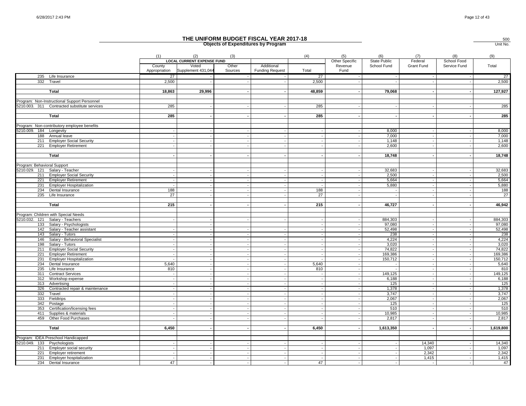|                             |                                              |                          |                                          |                          | THE UNIFORM BUDGET FISCAL YEAR 2017-18<br><b>Objects of Expenditures by Program</b> |                |                       |                            |                 |                          | 500<br>Unit No. |
|-----------------------------|----------------------------------------------|--------------------------|------------------------------------------|--------------------------|-------------------------------------------------------------------------------------|----------------|-----------------------|----------------------------|-----------------|--------------------------|-----------------|
|                             |                                              | (1)                      | (2)<br><b>LOCAL CURRENT EXPENSE FUND</b> | (3)                      |                                                                                     | (4)            | (5)<br>Other Specific | (6)<br><b>State Public</b> | (7)<br>Federal  | (8)<br>School Food       | (9)             |
|                             |                                              | County<br>Appropriation  | Voted<br>Supplement 431,044              | Other<br>Sources         | Additional<br><b>Funding Request</b>                                                | Total          | Revenue<br>Fund       | School Fund                | Grant Fund      | Service Fund             | Total           |
|                             | 235 Life Insurance                           | 27                       |                                          |                          |                                                                                     | 27             |                       |                            |                 |                          | 27              |
|                             | 332 Travel                                   | 2,500                    |                                          |                          | $\blacksquare$                                                                      | 2,500          |                       |                            |                 |                          | 2,500           |
|                             | Total                                        | 18,863                   | 29,996                                   |                          | $\overline{\phantom{a}}$                                                            | 48,859         |                       | 79,068                     |                 |                          | 127,927         |
|                             | Program: Non-Instructional Support Personnel |                          |                                          |                          |                                                                                     |                |                       |                            |                 |                          |                 |
|                             | 5210.003. 311 Contracted substitute services | 285                      |                                          |                          |                                                                                     | 285            |                       |                            |                 |                          | 285             |
|                             |                                              |                          |                                          |                          |                                                                                     |                |                       |                            |                 |                          |                 |
|                             | Total                                        | 285                      |                                          |                          |                                                                                     | 285            |                       |                            |                 |                          | 285             |
|                             |                                              |                          |                                          |                          |                                                                                     |                |                       |                            |                 |                          |                 |
|                             | Program: Non-contributory employee benefits  |                          |                                          |                          |                                                                                     |                |                       |                            |                 |                          |                 |
| 5210.009. 184 Longevity     |                                              |                          |                                          |                          | $\sim$                                                                              |                |                       | 8,000                      |                 |                          | 8,000           |
|                             | 188 Annual leave                             |                          |                                          |                          | $\overline{a}$                                                                      |                |                       | 7,000                      |                 |                          | 7,000           |
|                             | 211 Employer Social Security                 |                          |                                          |                          |                                                                                     |                |                       | 1,148                      |                 |                          | 1,148           |
| 221                         | <b>Employer Retirement</b>                   |                          |                                          |                          |                                                                                     |                |                       | 2,600                      |                 |                          | 2,600           |
|                             | Total                                        |                          |                                          |                          |                                                                                     |                |                       | 18,748                     |                 |                          | 18,748          |
|                             |                                              |                          |                                          |                          |                                                                                     |                |                       |                            |                 |                          |                 |
| Program: Behavioral Support |                                              |                          |                                          |                          |                                                                                     |                |                       |                            |                 |                          |                 |
|                             | 5210.029. 121 Salary - Teacher               |                          |                                          |                          | $\overline{\phantom{a}}$                                                            |                |                       | 32,683                     |                 |                          | 32,683          |
|                             | 211 Employer Social Security                 |                          |                                          |                          | $\sim$                                                                              |                |                       | 2,500                      |                 |                          | 2,500           |
| 221                         | <b>Employer Retirement</b>                   |                          |                                          |                          | $\overline{\phantom{a}}$                                                            |                |                       | 5,664                      |                 |                          | 5,664           |
| 231                         | <b>Employer Hospitalization</b>              |                          |                                          |                          |                                                                                     |                |                       | 5,880                      |                 |                          | 5,880           |
|                             | 234 Dental Insurance                         | 188                      |                                          |                          | $\overline{\phantom{a}}$                                                            | 188            |                       |                            |                 |                          | 188             |
|                             | 235 Life Insurance                           | 27                       |                                          |                          |                                                                                     | 27             |                       |                            |                 |                          | 27              |
|                             |                                              |                          |                                          |                          |                                                                                     |                |                       |                            |                 |                          |                 |
|                             | Total                                        | 215                      |                                          |                          |                                                                                     | 215            |                       | 46,727                     |                 |                          | 46,942          |
|                             | Program: Children with Special Needs         |                          |                                          |                          |                                                                                     |                |                       |                            |                 |                          |                 |
| 5210.032. 121               | Salary - Teachers                            |                          |                                          |                          |                                                                                     |                |                       | 884,303                    |                 |                          | 884,303         |
| 133                         | Salary - Psychologists                       |                          |                                          |                          |                                                                                     |                |                       | 97,080                     |                 |                          | 97,080          |
|                             | 142 Salary - Teacher assistant               |                          |                                          |                          | $\overline{\phantom{a}}$                                                            |                |                       | 52,498                     |                 |                          | 52,498          |
|                             | 143 Salary - Tutors                          |                          |                                          |                          | $\blacksquare$                                                                      |                |                       | 238                        |                 |                          | 238             |
| 146                         | Salary - Behavioral Specialist               |                          |                                          |                          |                                                                                     |                |                       | 4,224                      |                 |                          | 4,224           |
| 198                         | Salary - Tutors                              |                          |                                          |                          | $\overline{\phantom{a}}$                                                            |                |                       | 3,020                      |                 |                          | 3,020           |
|                             | 211 Employer Social Security                 |                          |                                          |                          | $\overline{a}$                                                                      |                |                       | 74,822                     |                 | $\overline{\phantom{a}}$ | 74,822          |
| 221                         | <b>Employer Retirement</b>                   |                          |                                          |                          | $\sim$                                                                              |                |                       | 169,386                    |                 |                          | 169,386         |
| 231                         | <b>Employer Hospitalization</b>              |                          |                                          |                          | $\overline{\phantom{a}}$                                                            |                |                       | 150,712                    |                 |                          | 150,712         |
|                             | 234 Dental Insurance                         | 5,640                    |                                          |                          |                                                                                     | 5.640          |                       |                            |                 |                          | 5,640           |
| 235                         | Life Insurance                               | 810                      |                                          |                          | $\sim$                                                                              | 810            |                       |                            |                 |                          | 810             |
| 311                         | <b>Contract Services</b>                     |                          |                                          |                          | $\sim$                                                                              |                |                       | 149.125                    |                 |                          | 149,125         |
| 312                         | Workshop expense<br>313 Advertising          |                          |                                          |                          |                                                                                     |                |                       | 6,188<br>125               |                 |                          | 6,188<br>125    |
|                             | 326 Contracted repair & maintenance          |                          |                                          | $\overline{\phantom{a}}$ | $\overline{\phantom{a}}$                                                            |                |                       | 1,378                      |                 |                          | 1,378           |
| 332                         | Travel                                       |                          |                                          |                          | $\sim$                                                                              |                |                       | 3,747                      |                 |                          | 3,747           |
| 333                         | Fieldtrips                                   |                          |                                          |                          |                                                                                     |                |                       | 2,067                      |                 |                          | 2,067           |
| 342                         | Postage                                      |                          |                                          |                          |                                                                                     |                |                       | 125                        |                 |                          | 125             |
| 353                         | Certification/licensing fees                 |                          |                                          |                          |                                                                                     |                |                       | 510                        |                 |                          | 510             |
| 411                         | Supplies & materials                         |                          |                                          |                          | $\sim$                                                                              |                |                       | 10.985                     |                 |                          | 10.985          |
|                             | 459 Other Food Purchases                     |                          |                                          |                          |                                                                                     |                |                       | 2,817                      |                 |                          | 2,817           |
|                             |                                              |                          |                                          |                          |                                                                                     |                |                       |                            |                 |                          |                 |
|                             | Total                                        | 6,450                    |                                          |                          | $\sim$                                                                              | 6,450          |                       | 1,613,350                  |                 | $\overline{\phantom{a}}$ | 1,619,800       |
|                             |                                              |                          |                                          |                          |                                                                                     |                |                       |                            |                 |                          |                 |
|                             | Program: IDEA Preschool Handicapped          |                          |                                          |                          |                                                                                     |                |                       |                            |                 |                          | 14,340          |
| 5210.049. 133 Psychologists | 211 Employer social security                 |                          |                                          |                          |                                                                                     |                |                       |                            | 14,340<br>1.097 |                          | 1,097           |
|                             | 221 Employer retirement                      | $\overline{\phantom{a}}$ | $\overline{\phantom{a}}$                 | $\sim$                   | $\sim$                                                                              | $\overline{a}$ |                       |                            | 2,342           |                          | 2,342           |
|                             | 231 Employer hospitalization                 | $\sim$                   |                                          |                          | $\sim$                                                                              | $\overline{a}$ |                       |                            | 1,415           |                          | 1,415           |
|                             | 234 Dental Insurance                         | 47                       |                                          |                          |                                                                                     | 47             |                       |                            |                 |                          | 47              |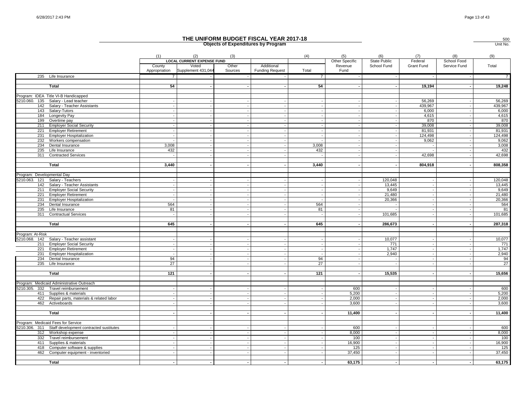500

|                            |                                                       |                         |                                                                  |                  | <b>Objects of Expenditures by Program</b> |                 |                                   |                                    |                          |                             | Unit No.       |
|----------------------------|-------------------------------------------------------|-------------------------|------------------------------------------------------------------|------------------|-------------------------------------------|-----------------|-----------------------------------|------------------------------------|--------------------------|-----------------------------|----------------|
|                            |                                                       | (1)                     | (2)                                                              | (3)              |                                           | (4)             | (5)                               | (6)                                | (7)                      | (8)                         | (9)            |
|                            |                                                       | County<br>Appropriation | <b>LOCAL CURRENT EXPENSE FUND</b><br>Voted<br>Supplement 431,044 | Other<br>Sources | Additional<br><b>Funding Request</b>      | Total           | Other Specific<br>Revenue<br>Fund | <b>State Public</b><br>School Fund | Federal<br>Grant Fund    | School Food<br>Service Fund | Total          |
|                            | 235 Life Insurance                                    | 7                       |                                                                  |                  |                                           | $\overline{7}$  |                                   |                                    |                          |                             | $\overline{7}$ |
|                            | <b>Total</b>                                          | 54                      |                                                                  |                  |                                           | 54              |                                   |                                    | 19,194                   |                             | 19,248         |
|                            | Program: IDEA Title VI-B Handicapped                  |                         |                                                                  |                  |                                           |                 |                                   |                                    |                          |                             |                |
|                            | 5210.060. 135 Salary - Lead teacher                   |                         |                                                                  |                  |                                           |                 |                                   |                                    | 56,269                   |                             | 56,269         |
| 142                        | Salary - Teacher Assistants                           |                         |                                                                  |                  |                                           |                 |                                   |                                    | 439,967                  |                             | 439,967        |
| 143                        | Salary-Tutors                                         |                         |                                                                  |                  |                                           |                 |                                   |                                    | 6,000                    |                             | 6,000          |
| 184                        | <b>Longevity Pay</b>                                  |                         | $\overline{\phantom{a}}$                                         |                  |                                           |                 |                                   |                                    | 4,615                    |                             | 4,615          |
| 199                        | Overtime pay                                          |                         |                                                                  |                  |                                           |                 |                                   |                                    | 870                      |                             | 870            |
| 211                        | <b>Employer Social Security</b>                       |                         |                                                                  |                  |                                           |                 |                                   |                                    | 39,008                   |                             | 39,008         |
| 221                        | <b>Employer Retirement</b>                            |                         | $\overline{\phantom{a}}$                                         | $\sim$           |                                           |                 |                                   |                                    | 81,931                   |                             | 81,931         |
| 231                        | <b>Employer Hospitalization</b>                       |                         | $\sim$                                                           |                  |                                           |                 |                                   |                                    | 124,498                  |                             | 124,498        |
| 232                        | Workers compensation                                  |                         | $\sim$                                                           |                  |                                           |                 |                                   |                                    | 9,062                    |                             | 9,062          |
| 234                        | Dental Insurance                                      | 3,008                   |                                                                  |                  |                                           | 3,008           |                                   |                                    |                          |                             | 3,008          |
| 235                        | Life Insurance                                        | 432                     |                                                                  |                  |                                           | 432             |                                   |                                    |                          |                             | 432            |
| 311                        | <b>Contracted Services</b>                            |                         |                                                                  |                  |                                           |                 |                                   |                                    | 42,698                   |                             | 42,698         |
|                            | Total                                                 | 3,440                   | $\overline{\phantom{a}}$                                         |                  |                                           | 3,440           |                                   |                                    | 804,918                  |                             | 808,358        |
|                            |                                                       |                         |                                                                  |                  |                                           |                 |                                   |                                    |                          |                             |                |
| Program: Developmental Day |                                                       |                         |                                                                  |                  |                                           |                 |                                   |                                    |                          |                             |                |
|                            | 5210.063. 121 Salary - Teachers                       |                         |                                                                  |                  |                                           |                 |                                   | 120,048                            |                          |                             | 120,048        |
|                            | 142 Salary - Teacher Assistants                       |                         |                                                                  |                  |                                           |                 |                                   | 13,445                             |                          |                             | 13,445         |
| 211                        | <b>Employer Social Security</b>                       |                         |                                                                  |                  |                                           |                 |                                   | 9,649                              |                          |                             | 9,649          |
| 221                        | <b>Employer Retirement</b>                            |                         |                                                                  |                  |                                           |                 |                                   | 21.480                             |                          |                             | 21,480         |
| 231                        | <b>Employer Hospitalization</b>                       |                         |                                                                  |                  |                                           |                 |                                   | 20,366                             |                          |                             | 20,366         |
| 234                        | Dental Insurance                                      | 564                     |                                                                  |                  |                                           | 564             |                                   |                                    |                          |                             | 564            |
| 235                        | Life Insurance                                        | 81                      |                                                                  |                  |                                           | 81              |                                   |                                    |                          |                             | 81             |
| 311                        | <b>Contractual Services</b>                           |                         |                                                                  |                  |                                           |                 |                                   | 101,685                            |                          |                             | 101,685        |
|                            | Total                                                 | 645                     |                                                                  |                  |                                           | 645             |                                   | 286,673                            |                          |                             | 287,318        |
|                            |                                                       |                         |                                                                  |                  |                                           |                 |                                   |                                    |                          |                             |                |
| Program: At-Risk           |                                                       |                         |                                                                  |                  |                                           |                 |                                   |                                    |                          |                             |                |
| 5210.068.                  | 142 Salary - Teacher assistant                        |                         |                                                                  |                  |                                           |                 |                                   | 10,077                             |                          |                             | 10,077         |
| 211                        | <b>Employer Social Security</b>                       |                         |                                                                  |                  |                                           |                 |                                   | 771                                |                          |                             | 771            |
| 221                        | <b>Employer Retirement</b>                            |                         | $\overline{\phantom{a}}$                                         |                  |                                           |                 |                                   | 1,747                              |                          |                             | 1,747          |
| 231                        | <b>Employer Hospitalization</b>                       |                         |                                                                  |                  |                                           |                 |                                   | 2.940                              |                          |                             | 2,940          |
| 234                        | Dental Insurance                                      | 94                      |                                                                  |                  |                                           | 94              |                                   |                                    |                          |                             | 94             |
|                            | 235 Life Insurance                                    | 27                      |                                                                  |                  |                                           | $\overline{27}$ |                                   |                                    |                          |                             | 27             |
|                            |                                                       |                         |                                                                  |                  |                                           |                 |                                   |                                    |                          |                             |                |
|                            | <b>Total</b>                                          | 121                     |                                                                  |                  |                                           | 121             |                                   | 15,535                             |                          |                             | 15,656         |
|                            | Program: Medicaid Administrative Outreach             |                         |                                                                  |                  |                                           |                 |                                   |                                    |                          |                             |                |
|                            | 5210.305. 332 Travel reimbursement                    |                         |                                                                  |                  |                                           |                 | 600                               |                                    |                          |                             | 600            |
| 411                        | Supplies & materials                                  |                         |                                                                  |                  |                                           |                 | 5,200                             |                                    |                          |                             | 5,200          |
| 422                        | Repair parts, materials & related labor               |                         |                                                                  |                  |                                           |                 | 2,000                             |                                    |                          |                             | 2,000          |
|                            | 462 Activeboards                                      |                         | $\sim$                                                           |                  | $\sim$                                    |                 | 3,600                             | $\sim$                             | $\overline{\phantom{a}}$ |                             | 3,600          |
|                            |                                                       |                         |                                                                  |                  |                                           |                 |                                   |                                    |                          |                             |                |
|                            | Total                                                 |                         |                                                                  |                  |                                           |                 | 11,400                            |                                    |                          |                             | 11,400         |
|                            |                                                       |                         |                                                                  |                  |                                           |                 |                                   |                                    |                          |                             |                |
|                            | Program: Medicaid Fees for Service                    |                         |                                                                  |                  |                                           |                 |                                   |                                    |                          |                             |                |
|                            | 5210.306. 311 Staff development contracted sustitutes |                         |                                                                  |                  |                                           |                 | 600                               |                                    |                          |                             | 600            |
|                            | 312 Workshop expense                                  |                         | $\overline{\phantom{a}}$                                         |                  |                                           |                 | 8,000                             |                                    |                          |                             | 8,000          |
| 332                        | Travel reimbursement                                  |                         | $\overline{\phantom{a}}$                                         |                  |                                           |                 | 100                               | $\overline{\phantom{a}}$           | $\overline{a}$           |                             | 100            |
| 411                        | Supplies & materials                                  |                         |                                                                  |                  |                                           |                 | 16,900                            |                                    |                          |                             | 16,900         |
| 418<br>462                 | Computer software & supplies                          |                         |                                                                  |                  |                                           |                 | 125<br>37,450                     |                                    |                          |                             | 125<br>37,450  |
|                            | Computer equipment - inventoried                      |                         |                                                                  |                  |                                           |                 |                                   |                                    |                          |                             |                |
|                            | Total                                                 |                         |                                                                  |                  |                                           |                 | 63.175                            |                                    |                          |                             | 63.175         |
|                            |                                                       |                         |                                                                  |                  |                                           |                 |                                   |                                    |                          |                             |                |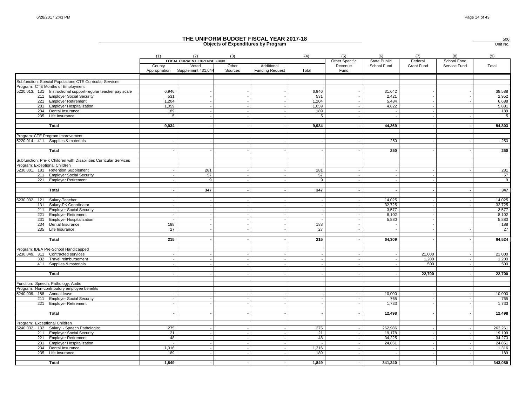|                                                                   |                         |                                          |                  | THE UNIFORM BUDGET FISCAL YEAR 2017-18<br><b>Objects of Expenditures by Program</b> |       |                                   |                                    |                       |                             | 500<br>Unit No. |
|-------------------------------------------------------------------|-------------------------|------------------------------------------|------------------|-------------------------------------------------------------------------------------|-------|-----------------------------------|------------------------------------|-----------------------|-----------------------------|-----------------|
|                                                                   | (1)                     | (2)<br><b>LOCAL CURRENT EXPENSE FUND</b> | (3)              |                                                                                     | (4)   | (5)                               | (6)                                | (7)                   | (8)                         | (9)             |
|                                                                   | County<br>Appropriation | Voted<br>Supplement 431,044              | Other<br>Sources | Additional<br><b>Funding Request</b>                                                | Total | Other Specific<br>Revenue<br>Fund | <b>State Public</b><br>School Fund | Federal<br>Grant Fund | School Food<br>Service Fund | Total           |
| Subfunction: Special Populations CTE Curricular Services          |                         |                                          |                  |                                                                                     |       |                                   |                                    |                       |                             |                 |
| Program: CTE Months of Employment                                 |                         |                                          |                  |                                                                                     |       |                                   |                                    |                       |                             |                 |
| 5220.013. 131 Instructional support-regular teacher pay scale     | 6,946                   |                                          |                  |                                                                                     | 6,946 |                                   | 31,642                             |                       |                             | 38,588          |
| 211 Employer Social Security                                      | 531                     |                                          |                  | $\blacksquare$                                                                      | 531   |                                   | 2,421                              |                       |                             | 2,952           |
| 221 Employer Retirement                                           | 1,204                   |                                          |                  |                                                                                     | 1,204 |                                   | 5,484                              |                       |                             | 6,688           |
| 231 Employer Hospitalization                                      | 1,059                   |                                          |                  |                                                                                     | 1,059 |                                   | 4,822                              |                       |                             | 5,881           |
| 234 Dental Insurance                                              | 189                     |                                          |                  |                                                                                     | 189   |                                   |                                    |                       |                             | 189             |
| 235 Life Insurance                                                | 5                       |                                          |                  |                                                                                     | 5     |                                   |                                    |                       |                             | $\overline{5}$  |
|                                                                   |                         |                                          |                  |                                                                                     |       |                                   |                                    |                       |                             |                 |
| <b>Total</b>                                                      | 9,934                   |                                          |                  |                                                                                     | 9,934 |                                   | 44,369                             |                       |                             | 54,303          |
| Program: CTE Program Improvement                                  |                         |                                          |                  |                                                                                     |       |                                   |                                    |                       |                             |                 |
| 5220.014. 411 Supplies & materials                                |                         |                                          |                  |                                                                                     |       |                                   | 250                                |                       |                             | 250             |
|                                                                   |                         |                                          |                  |                                                                                     |       |                                   |                                    |                       |                             |                 |
| Total                                                             |                         |                                          |                  |                                                                                     |       |                                   | 250                                |                       |                             | 250             |
| Subfunction: Pre-K Children with Disabilities Curricular Services |                         |                                          |                  |                                                                                     |       |                                   |                                    |                       |                             |                 |
| Program: Exceptional Children                                     |                         |                                          |                  |                                                                                     |       |                                   |                                    |                       |                             |                 |
| 5230.001. 181 Retention Supplement                                |                         | 281                                      |                  |                                                                                     | 281   |                                   |                                    |                       |                             | 281             |
| 211 Employer Social Security                                      |                         | 57                                       | $\sim$           | $\overline{\phantom{a}}$                                                            | 57    |                                   |                                    |                       |                             | 57              |
| 221 Employer Retirement                                           |                         | 9                                        |                  |                                                                                     | 9     |                                   |                                    |                       |                             | 9               |
| Total                                                             |                         | 347                                      |                  | $\overline{\phantom{a}}$                                                            | 347   |                                   |                                    |                       |                             | 347             |
|                                                                   |                         |                                          |                  |                                                                                     |       |                                   |                                    |                       |                             |                 |
| 5230.032. 121 Salary-Teacher                                      |                         |                                          |                  |                                                                                     |       |                                   | 14,025                             |                       |                             | 14,025          |
| 131<br>Salary-PK Coordinator                                      |                         |                                          |                  |                                                                                     |       |                                   | 32,725                             |                       |                             | 32,725          |
| 211 Employer Social Security                                      |                         |                                          |                  | $\overline{\phantom{a}}$                                                            |       |                                   | 3,577                              |                       |                             | 3,577           |
| 221 Employer Retirement                                           |                         |                                          |                  | $\sim$                                                                              |       |                                   | 8.102                              |                       |                             | 8,102           |
| 231 Employer Hospitalization                                      |                         |                                          |                  |                                                                                     |       |                                   | 5,880                              |                       |                             | 5,880           |
| 234 Dental Insurance                                              | 188                     |                                          |                  |                                                                                     | 188   |                                   |                                    |                       |                             | 188             |
| 235 Life Insurance                                                | 27                      |                                          |                  |                                                                                     | 27    |                                   |                                    |                       |                             | 27              |
| Total                                                             | 215                     |                                          |                  |                                                                                     | 215   |                                   | 64,309                             |                       |                             | 64,524          |
|                                                                   |                         |                                          |                  |                                                                                     |       |                                   |                                    |                       |                             |                 |
| Program: IDEA Pre-School Handicapped                              |                         |                                          |                  |                                                                                     |       |                                   |                                    |                       |                             |                 |
| 5230.049. 311 Contracted services                                 |                         |                                          |                  |                                                                                     |       |                                   |                                    | 21,000                |                             | 21,000          |
| 332<br>Travel reimbursement                                       |                         |                                          |                  |                                                                                     |       |                                   |                                    | 1,200                 |                             | 1,200           |
| 411 Supplies & materials                                          |                         |                                          |                  |                                                                                     |       |                                   |                                    | 500                   |                             | 500             |
|                                                                   |                         |                                          |                  | $\overline{\phantom{a}}$                                                            |       |                                   |                                    |                       |                             |                 |
| Total                                                             |                         |                                          |                  |                                                                                     |       |                                   |                                    | 22,700                |                             | 22,700          |
| Function: Speech, Pathology, Audio                                |                         |                                          |                  |                                                                                     |       |                                   |                                    |                       |                             |                 |
| Program: Non-contributory employee benefits                       |                         |                                          |                  |                                                                                     |       |                                   |                                    |                       |                             |                 |
| 5240.009. 188 Annual leave                                        |                         |                                          |                  |                                                                                     |       |                                   | 10,000                             |                       |                             | 10,000          |
| 211 Employer Social Security                                      |                         |                                          |                  |                                                                                     |       |                                   | 765                                |                       |                             | 765             |
| 221 Employer Retirement                                           |                         |                                          |                  |                                                                                     |       |                                   | 1,733                              |                       |                             | 1,733           |
|                                                                   |                         |                                          |                  |                                                                                     |       |                                   |                                    |                       |                             |                 |
| Total                                                             |                         |                                          |                  |                                                                                     |       |                                   | 12,498                             |                       |                             | 12,498          |
| Program: Exceptional Children                                     |                         |                                          |                  |                                                                                     |       |                                   |                                    |                       |                             |                 |
| 5240.032. 132 Salary - Speech Pathologist                         | 275                     |                                          |                  | $\overline{a}$                                                                      | 275   |                                   | 262,986                            |                       |                             | 263,261         |
| 211 Employer Social Security                                      | 21                      |                                          |                  |                                                                                     | 21    |                                   | 19.178                             |                       |                             | 19,199          |
| 221 Employer Retirement                                           | 48                      |                                          |                  |                                                                                     | 48    |                                   | 34,225                             |                       |                             | 34,273          |
| 231 Employer Hospitalization                                      |                         |                                          |                  |                                                                                     |       |                                   | 24,851                             |                       |                             | 24,851          |
| 234 Dental Insurance                                              | 1,316                   |                                          |                  | $\overline{\phantom{a}}$                                                            | 1,316 |                                   |                                    |                       |                             | 1,316           |
| 235 Life Insurance                                                | 189                     |                                          |                  |                                                                                     | 189   |                                   |                                    |                       |                             | 189             |
|                                                                   |                         |                                          |                  |                                                                                     |       |                                   |                                    |                       |                             |                 |
| Total                                                             | 1.849                   |                                          |                  |                                                                                     | 1.849 |                                   | 341.240                            |                       |                             | 343.089         |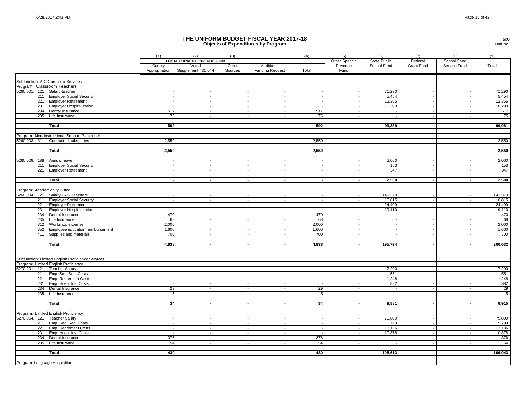|                                                          |                          |                                          |                  | THE UNIFORM BUDGET FISCAL YEAR 2017-18<br><b>Objects of Expenditures by Program</b> |                 |                       |                     |                |                    | 500<br>Unit No. |
|----------------------------------------------------------|--------------------------|------------------------------------------|------------------|-------------------------------------------------------------------------------------|-----------------|-----------------------|---------------------|----------------|--------------------|-----------------|
|                                                          | (1)                      | (2)<br><b>LOCAL CURRENT EXPENSE FUND</b> | (3)              |                                                                                     | (4)             | (5)<br>Other Specific | (6)<br>State Public | (7)<br>Federal | (8)<br>School Food | (9)             |
|                                                          | County<br>Appropriation  | Voted<br>Supplement 431,044              | Other<br>Sources | Additional<br><b>Funding Request</b>                                                | Total           | Revenue<br>Fund       | School Fund         | Grant Fund     | Service Fund       | Total           |
| Subfunction: AIG Curricular Services                     |                          |                                          |                  |                                                                                     |                 |                       |                     |                |                    |                 |
| Program: Classroom Teachers                              |                          |                                          |                  |                                                                                     |                 |                       |                     |                |                    |                 |
| 5260.001. 121 Salary-teacher                             |                          |                                          |                  |                                                                                     |                 |                       | 71,290              |                |                    | 71,290          |
| 211 Employer Social Security                             |                          |                                          | $\sim$           | $\overline{\phantom{a}}$                                                            |                 |                       | 5,454               |                |                    | 5,454           |
| 221 Employer Retirement                                  |                          |                                          |                  |                                                                                     |                 |                       | 12,355              |                |                    | 12,355          |
| 231 Employer Hospitalization                             | $\overline{\phantom{a}}$ |                                          | $\sim$           | $\overline{\phantom{a}}$                                                            |                 |                       | 10,290              |                |                    | 10,290          |
| 234 Dental Insurance                                     | 517                      |                                          |                  |                                                                                     | 517             |                       |                     |                |                    | 517             |
| 235 Life Insurance                                       | 75                       |                                          |                  | $\sim$                                                                              | 75              |                       |                     |                |                    | 75              |
|                                                          |                          |                                          |                  |                                                                                     |                 |                       |                     |                |                    |                 |
| <b>Total</b>                                             | 592                      |                                          |                  | $\sim$                                                                              | 592             |                       | 99,389              |                |                    | 99,981          |
| Program: Non-Instructional Support Personnel             |                          |                                          |                  |                                                                                     |                 |                       |                     |                |                    |                 |
| 5260.003. 311 Contracted substitutes                     | 2,550                    |                                          |                  |                                                                                     | 2,550           |                       |                     |                |                    | 2,550           |
| <b>Total</b>                                             | 2,550                    |                                          |                  | $\blacksquare$                                                                      | 2,550           |                       |                     |                |                    | 2,550           |
| 5260.009. 188 Annual leave                               |                          |                                          |                  |                                                                                     |                 |                       | 2,000               |                |                    | 2,000           |
| <b>Employer Social Security</b><br>211                   |                          |                                          | $\sim$           |                                                                                     |                 |                       | 153                 |                |                    | 153             |
| 221 Employer Retirement                                  |                          |                                          |                  |                                                                                     |                 |                       | 347                 |                |                    | 347             |
|                                                          |                          |                                          |                  |                                                                                     |                 |                       |                     |                |                    |                 |
| <b>Total</b>                                             |                          |                                          |                  | $\overline{\phantom{a}}$                                                            |                 |                       | 2,500               |                |                    | 2,500           |
| Program: Academically Gifted                             |                          |                                          |                  |                                                                                     |                 |                       |                     |                |                    |                 |
| 5260.034. 121 Salary - AG Teachers                       |                          |                                          |                  | $\sim$                                                                              |                 |                       | 141,370             |                |                    | 141,370         |
| 211 Employer Social Security                             |                          |                                          |                  | $\sim$                                                                              |                 |                       | 10,815              |                |                    | 10,815          |
| Employer Retirement<br>221                               |                          |                                          |                  |                                                                                     |                 |                       | 24,499              |                |                    | 24,499          |
| 231 Employer Hospitalization                             | $\overline{\phantom{a}}$ |                                          | $\sim$           | $\overline{\phantom{a}}$                                                            |                 |                       | 19,110              |                | ٠.                 | 19,110          |
| 234 Dental Insurance                                     | 470                      |                                          |                  | $\sim$                                                                              | 470             |                       |                     |                |                    | 470             |
| 235 Life Insurance                                       | 68                       |                                          |                  |                                                                                     | 68              |                       |                     |                |                    | 68              |
| 312 Workshop expense                                     | 2,000                    |                                          |                  |                                                                                     | 2,000           |                       |                     |                |                    | 2,000           |
| 352 Employee education reimbursement                     | 1,600                    |                                          |                  | $\overline{\phantom{a}}$                                                            | 1,600           |                       |                     |                |                    | 1,600           |
| 411 Supplies and materials                               | 700                      |                                          |                  | $\sim$                                                                              | 700             |                       |                     |                |                    | 700             |
| Total                                                    | 4,838                    |                                          |                  |                                                                                     | 4,838           |                       | 195,794             |                |                    | 200,632         |
|                                                          |                          |                                          |                  |                                                                                     |                 |                       |                     |                |                    |                 |
| Subfunction: Limited English Proficiency Services        |                          |                                          |                  |                                                                                     |                 |                       |                     |                |                    |                 |
| Program: Limited English Proficiency                     |                          |                                          |                  |                                                                                     |                 |                       |                     |                |                    |                 |
| 5270.001. 121 Teacher Salary                             |                          |                                          |                  |                                                                                     |                 |                       | 7,200               |                |                    | 7,200           |
| 211 Emp. Soc. Sec. Costs                                 | $\sim$                   |                                          | $\sim$           | $\sim$                                                                              | $\overline{a}$  |                       | 551                 |                |                    | 551             |
| 221 Emp. Retirement Costs                                |                          |                                          |                  |                                                                                     |                 |                       | 1,248               |                |                    | 1,248           |
| 231<br>Emp. Hosp. Ins. Costs                             |                          |                                          |                  |                                                                                     |                 |                       | 882                 |                |                    | 882             |
| 234 Dental Insurance                                     | 29                       |                                          |                  | $\overline{\phantom{a}}$                                                            | 29              |                       |                     |                |                    | 29              |
| 235 Life Insurance                                       | 5                        |                                          |                  |                                                                                     | $5\overline{)}$ |                       |                     |                |                    | $5\overline{)}$ |
| Total                                                    | 34                       |                                          |                  |                                                                                     | 34              |                       | 9,881               |                |                    | 9,915           |
|                                                          |                          |                                          |                  |                                                                                     |                 |                       |                     |                |                    |                 |
| Program: Limited English Proficiency                     |                          |                                          |                  |                                                                                     |                 |                       |                     |                |                    |                 |
| 5270.054. 121 Teacher Salary<br>211 Emp. Soc. Sec. Costs |                          |                                          |                  |                                                                                     |                 |                       | 75,800<br>5,799     |                |                    | 75,800<br>5,799 |
| 221 Emp. Retirement Costs                                | $\overline{\phantom{a}}$ |                                          | $\sim$           | $\overline{\phantom{a}}$                                                            | $\overline{a}$  |                       | 13,136              |                | . .                | 13,136          |
| 231 Emp. Hosp. Ins. Costs                                |                          |                                          |                  | $\sim$                                                                              |                 |                       | 10,878              |                |                    | 10,878          |
| 234 Dental Insurance                                     | 376                      |                                          |                  |                                                                                     | 376             |                       |                     |                |                    | 376             |
| 235 Life Insurance                                       | 54                       |                                          |                  |                                                                                     | 54              |                       |                     |                |                    | 54              |
|                                                          |                          |                                          |                  |                                                                                     |                 |                       |                     |                |                    |                 |
| Total                                                    | 430                      |                                          | $\sim$           | $\overline{\phantom{a}}$                                                            | 430             |                       | 105,613             |                |                    | 106,043         |
|                                                          |                          |                                          |                  |                                                                                     |                 |                       |                     |                |                    |                 |
| Program: Language Acquisition                            |                          |                                          |                  |                                                                                     |                 |                       |                     |                |                    |                 |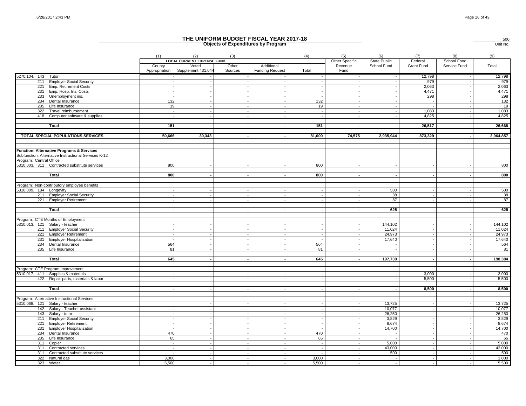|                         |                                                      |                         |                                                                  |                  | THE UNIFORM BUDGET FISCAL YEAR 2017-18<br><b>Objects of Expenditures by Program</b> |        |                                   |                                    |                       |                             | 500<br>Unit No. |
|-------------------------|------------------------------------------------------|-------------------------|------------------------------------------------------------------|------------------|-------------------------------------------------------------------------------------|--------|-----------------------------------|------------------------------------|-----------------------|-----------------------------|-----------------|
|                         |                                                      | (1)                     | (2)                                                              | (3)              |                                                                                     | (4)    | (5)                               | (6)                                | (7)                   | (8)                         | (9)             |
|                         |                                                      | County<br>Appropriation | <b>LOCAL CURRENT EXPENSE FUND</b><br>Voted<br>Supplement 431,044 | Other<br>Sources | Additional<br><b>Funding Request</b>                                                | Total  | Other Specific<br>Revenue<br>Fund | <b>State Public</b><br>School Fund | Federal<br>Grant Fund | School Food<br>Service Fund | Total           |
| 5270.104. 143 Tutor     |                                                      |                         |                                                                  |                  |                                                                                     |        |                                   |                                    | 12,798                |                             | 12,798          |
|                         | 211 Employer Social Security                         |                         |                                                                  |                  | $\overline{\phantom{a}}$                                                            |        |                                   |                                    | 979                   |                             | 979             |
|                         | 221 Emp. Retirement Costs                            |                         |                                                                  |                  | $\sim$                                                                              |        |                                   |                                    | 2,063                 | $\sim$                      | 2,063           |
|                         | 231 Emp. Hosp. Ins. Costs                            |                         |                                                                  |                  | $\overline{\phantom{a}}$                                                            | $\sim$ |                                   |                                    | 4,471                 |                             | 4,471           |
| 233                     | Unemployment ins.                                    | 132                     |                                                                  |                  |                                                                                     | 132    |                                   |                                    | 298                   |                             | 298<br>132      |
| 234<br>235              | Dental Insurance<br>Life Insurance                   | 19                      |                                                                  |                  |                                                                                     | 19     |                                   |                                    |                       |                             | 19              |
| 322                     | Travel reimbursement                                 |                         |                                                                  |                  |                                                                                     |        |                                   |                                    | 1.083                 |                             | 1,083           |
|                         | 418 Computer software & supplies                     |                         |                                                                  |                  |                                                                                     |        |                                   |                                    | 4,825                 |                             | 4,825           |
|                         |                                                      |                         |                                                                  |                  |                                                                                     |        |                                   |                                    |                       |                             |                 |
|                         | Total                                                | 151                     |                                                                  |                  | $\overline{\phantom{a}}$<br>$\sim$                                                  | 151    |                                   |                                    | 26,517                | $\overline{\phantom{a}}$    | 26,668          |
|                         | TOTAL SPECIAL POPULATIONS SERVICES                   | 50,666                  | 30,343                                                           |                  |                                                                                     | 81,009 | 74,575                            | 2,935,944                          | 873,329               |                             | 3,964,857       |
|                         | <b>Function: Alternative Programs &amp; Services</b> |                         |                                                                  |                  |                                                                                     |        |                                   |                                    |                       |                             |                 |
|                         | Subfunction: Alternative Instructional Services K-12 |                         |                                                                  |                  |                                                                                     |        |                                   |                                    |                       |                             |                 |
| Program: Central Office |                                                      |                         |                                                                  |                  |                                                                                     |        |                                   |                                    |                       |                             |                 |
|                         | 5310.003. 311 Contracted substitute services         | 800                     |                                                                  |                  |                                                                                     | 800    |                                   |                                    |                       |                             | 800             |
|                         |                                                      |                         |                                                                  |                  |                                                                                     |        |                                   |                                    |                       |                             |                 |
|                         | Total                                                | 800                     |                                                                  |                  |                                                                                     | 800    |                                   |                                    |                       |                             | 800             |
|                         |                                                      |                         |                                                                  |                  |                                                                                     |        |                                   |                                    |                       |                             |                 |
|                         | Program: Non-contributory employee benefits          |                         |                                                                  |                  |                                                                                     |        |                                   |                                    |                       |                             |                 |
| 5310.009. 184 Longevity |                                                      |                         |                                                                  |                  |                                                                                     |        |                                   | 500                                |                       |                             | 500             |
| 211                     | <b>Employer Social Security</b>                      |                         |                                                                  |                  |                                                                                     |        |                                   | 38                                 |                       |                             | 38              |
| 221                     | <b>Employer Retirement</b>                           |                         |                                                                  |                  |                                                                                     |        |                                   | 87                                 |                       |                             | 87              |
|                         | Total                                                |                         |                                                                  |                  | $\overline{\phantom{a}}$                                                            |        |                                   | 625                                |                       |                             | 625             |
|                         | Program: CTE Months of Employment                    |                         |                                                                  |                  |                                                                                     |        |                                   |                                    |                       |                             |                 |
| 5310.013. 121           | Salary - teacher                                     |                         |                                                                  |                  |                                                                                     |        |                                   | 144,102                            |                       |                             | 144,102         |
|                         | 211 Employer Social Security                         |                         |                                                                  |                  | $\overline{a}$                                                                      |        |                                   | 11,024                             |                       |                             | 11,024          |
|                         | 221 Employer Retirement                              |                         |                                                                  |                  | $\blacksquare$                                                                      |        |                                   | 24,973                             |                       |                             | 24,973          |
| 231                     | <b>Employer Hospitalization</b>                      |                         |                                                                  |                  |                                                                                     |        |                                   | 17,640                             |                       |                             | 17,640          |
|                         | 234 Dental Insurance                                 | 564                     |                                                                  |                  | $\overline{\phantom{a}}$                                                            | 564    |                                   |                                    |                       |                             | 564             |
|                         | 235 Life Insurance                                   | 81                      |                                                                  |                  | $\sim$                                                                              | 81     |                                   |                                    |                       |                             | 81              |
|                         |                                                      |                         |                                                                  |                  |                                                                                     |        |                                   |                                    |                       |                             |                 |
|                         | Total                                                | 645                     |                                                                  |                  |                                                                                     | 645    |                                   | 197,739                            |                       |                             | 198,384         |
|                         | Program: CTE Program Improvement                     |                         |                                                                  |                  |                                                                                     |        |                                   |                                    |                       |                             |                 |
|                         | 5310.017. 411 Supplies & materials                   |                         |                                                                  |                  |                                                                                     |        |                                   |                                    | 3.000                 |                             | 3,000           |
|                         | 422 Repair parts, materials & labor                  |                         |                                                                  |                  |                                                                                     |        |                                   |                                    | 5,500                 |                             | 5,500           |
|                         | Total                                                |                         |                                                                  |                  | $\overline{\phantom{a}}$                                                            |        |                                   |                                    | 8,500                 |                             | 8,500           |
|                         | Program: Alternative Instructional Services          |                         |                                                                  |                  |                                                                                     |        |                                   |                                    |                       |                             |                 |
|                         | 5310.068. 121 Salary - teacher                       |                         |                                                                  |                  |                                                                                     |        |                                   | 13,725                             |                       |                             | 13,725          |
|                         | 142 Salary - Teacher assistant                       |                         |                                                                  |                  | $\overline{a}$                                                                      |        |                                   | 10,077                             |                       |                             | 10,077          |
|                         | 143 Salary - tutor                                   |                         |                                                                  |                  |                                                                                     |        |                                   | 26,250                             |                       |                             | 26,250          |
|                         | 211 Employer Social Security                         |                         |                                                                  |                  | $\overline{\phantom{a}}$                                                            |        |                                   | 3,829                              |                       |                             | 3,829           |
| 221                     | <b>Employer Retirement</b>                           |                         |                                                                  |                  |                                                                                     |        |                                   | 8.674                              |                       |                             | 8,674           |
|                         | 231 Employer Hospitalization                         |                         |                                                                  |                  | $\sim$                                                                              |        |                                   | 14,700                             |                       |                             | 14,700          |
| 234                     | Dental Insurance                                     | 470                     |                                                                  |                  | $\sim$                                                                              | 470    |                                   |                                    |                       |                             | 470             |
| 235                     | Life Insurance                                       | 65                      |                                                                  |                  |                                                                                     | 65     |                                   |                                    |                       |                             | 65              |
|                         | 311 Copier                                           |                         |                                                                  |                  |                                                                                     |        |                                   | 5,000                              |                       |                             | 5,000           |
|                         | 311 Contracted services                              |                         |                                                                  |                  | $\overline{\phantom{a}}$                                                            |        |                                   | 43,000                             |                       |                             | 43,000          |
|                         | 311 Contracted substitute services                   |                         |                                                                  |                  |                                                                                     |        |                                   | 500                                |                       |                             | 500             |
| 322                     | Natural gas                                          | 3,000                   |                                                                  |                  |                                                                                     | 3,000  |                                   |                                    |                       |                             | 3,000           |
| 323                     | Water                                                | 5.500                   |                                                                  |                  |                                                                                     | 5.500  |                                   |                                    |                       |                             | 5,500           |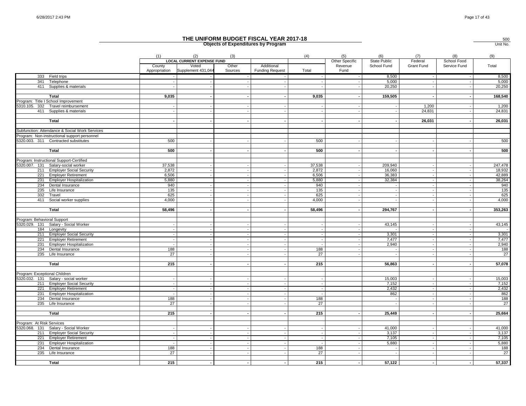|                               |                                                               |                                 |                                          |                  | THE UNIFORM BUDGET FISCAL YEAR 2017-18<br><b>Objects of Expenditures by Program</b> |                          |                       |                            |                |                          | 500<br>Unit No. |
|-------------------------------|---------------------------------------------------------------|---------------------------------|------------------------------------------|------------------|-------------------------------------------------------------------------------------|--------------------------|-----------------------|----------------------------|----------------|--------------------------|-----------------|
|                               |                                                               | (1)                             | (2)<br><b>LOCAL CURRENT EXPENSE FUND</b> | (3)              |                                                                                     | (4)                      | (5)<br>Other Specific | (6)<br><b>State Public</b> | (7)<br>Federal | (8)<br>School Food       | (9)             |
|                               |                                                               | County<br>Appropriation         | Voted<br>Supplement 431,044              | Other<br>Sources | Additional<br><b>Funding Request</b>                                                | Total                    | Revenue<br>Fund       | School Fund                | Grant Fund     | Service Fund             | Total           |
|                               | 333 Field trips                                               |                                 |                                          |                  |                                                                                     |                          |                       | 8,500                      |                |                          | 8,500           |
|                               | 341 Telephone                                                 |                                 |                                          |                  | $\overline{\phantom{a}}$                                                            |                          |                       | 5,000                      |                |                          | 5,000           |
|                               | 411 Supplies & materials                                      |                                 |                                          |                  | $\sim$                                                                              |                          |                       | 20,250                     |                | $\overline{\phantom{a}}$ | 20,250          |
|                               | <b>Total</b>                                                  | 9,035                           |                                          |                  | $\overline{\phantom{a}}$                                                            | 9,035                    |                       | 159,505                    |                |                          | 168,540         |
|                               | Program: Title I School Improvement                           |                                 |                                          |                  |                                                                                     |                          |                       |                            |                |                          |                 |
|                               | 5310.105. 332 Travel reimbursement                            |                                 |                                          |                  |                                                                                     |                          |                       |                            | 1,200          |                          | 1,200           |
|                               | 411 Supplies & materials                                      |                                 |                                          |                  |                                                                                     |                          |                       |                            | 24.831         |                          | 24,831          |
|                               | Total                                                         |                                 |                                          |                  |                                                                                     |                          |                       |                            | 26,031         |                          | 26,031          |
|                               | Subfunction: Attendance & Social Work Services                |                                 |                                          |                  |                                                                                     |                          |                       |                            |                |                          |                 |
|                               | Program: Non-instructional support personnel                  | 500                             |                                          |                  |                                                                                     | 500                      |                       |                            |                |                          | 500             |
|                               | 5320.003. 311 Contracted substitutes                          |                                 |                                          |                  |                                                                                     |                          |                       |                            |                |                          |                 |
|                               | Total                                                         | 500                             |                                          |                  |                                                                                     | 500                      |                       |                            |                |                          | 500             |
|                               | Program: Instructional Support-Certified                      |                                 |                                          |                  |                                                                                     |                          |                       |                            |                |                          |                 |
|                               | 5320.007. 131 Salary-social worker                            | 37,538                          |                                          |                  |                                                                                     | 37,538                   |                       | 209,940                    |                |                          | 247,478         |
|                               | 211 Employer Social Security                                  | 2,872                           |                                          | $\sim$           | $\sim$                                                                              | 2,872                    |                       | 16,060                     |                | $\overline{\phantom{a}}$ | 18,932          |
| 221                           | <b>Employer Retirement</b>                                    | 6,506                           |                                          |                  | $\sim$                                                                              | 6,506                    |                       | 36,383                     |                |                          | 42,889          |
| 231                           | <b>Employer Hospitalization</b>                               | 5,880                           |                                          |                  | $\overline{\phantom{a}}$                                                            | 5,880                    |                       | 32,384                     |                |                          | 38,264          |
| 234                           | Dental Insurance                                              | 940                             |                                          |                  |                                                                                     | 940                      |                       |                            |                |                          | 940             |
| 235                           | Life Insurance                                                | 135                             |                                          |                  | $\overline{\phantom{a}}$                                                            | 135                      |                       |                            |                |                          | 135             |
| 332<br>411                    | Travel<br>Social worker supplies                              | 625<br>4,000                    |                                          |                  |                                                                                     | 625<br>4,000             |                       |                            |                |                          | 625<br>4,000    |
|                               |                                                               |                                 |                                          |                  |                                                                                     |                          |                       |                            |                |                          |                 |
|                               | Total                                                         | 58,496                          |                                          |                  | $\overline{\phantom{a}}$                                                            | 58,496                   |                       | 294,767                    |                | ٠.                       | 353,263         |
| Program: Behavioral Support   |                                                               |                                 |                                          |                  |                                                                                     |                          |                       |                            |                |                          |                 |
|                               | 5320.029. 131 Salary - Social Worker                          |                                 |                                          |                  |                                                                                     |                          |                       | 43,145                     |                |                          | 43,145          |
|                               | 184 Longevity                                                 |                                 |                                          |                  | $\overline{\phantom{a}}$                                                            |                          |                       |                            |                |                          |                 |
|                               | 211 Employer Social Security                                  |                                 |                                          |                  | $\blacksquare$                                                                      |                          |                       | 3,301                      |                |                          | 3,301           |
| 221<br>231                    | <b>Employer Retirement</b><br><b>Employer Hospitalization</b> |                                 |                                          |                  | $\overline{\phantom{a}}$                                                            |                          |                       | 7,477<br>2,940             |                |                          | 7,477<br>2,940  |
|                               | 234 Dental Insurance                                          | 188                             |                                          |                  | $\sim$                                                                              | 188                      |                       |                            |                |                          | 188             |
|                               | 235 Life Insurance                                            | 27                              |                                          |                  |                                                                                     | 27                       |                       |                            |                |                          | 27              |
|                               |                                                               |                                 |                                          |                  |                                                                                     |                          |                       |                            |                |                          |                 |
|                               | Total                                                         | 215                             |                                          |                  |                                                                                     | 215                      |                       | 56,863                     |                |                          | 57,078          |
| Program: Exceptional Children |                                                               |                                 |                                          |                  |                                                                                     |                          |                       |                            |                |                          |                 |
| 5320.032. 131                 | Salary - social worker                                        |                                 |                                          |                  |                                                                                     |                          |                       | 15,003                     |                |                          | 15,003          |
|                               | 211 Employer Social Security                                  |                                 |                                          |                  |                                                                                     |                          |                       | 7,152                      |                |                          | 7,152           |
|                               | 221 Employer Retirement                                       |                                 |                                          |                  | $\overline{\phantom{a}}$                                                            | $\overline{\phantom{a}}$ |                       | 2,432                      |                |                          | 2,432           |
| 231<br>234                    | <b>Employer Hospitalization</b><br>Dental Insurance           | 188                             |                                          |                  | $\sim$                                                                              | 188                      |                       | 862                        |                |                          | 862<br>188      |
|                               | 235 Life Insurance                                            | 27                              |                                          |                  |                                                                                     | 27                       |                       |                            |                |                          | 27              |
|                               |                                                               |                                 |                                          |                  |                                                                                     |                          |                       |                            |                |                          |                 |
|                               | Total                                                         | 215                             |                                          |                  | $\sim$                                                                              | 215                      |                       | 25.449                     |                |                          | 25,664          |
| Program: At Risk Services     |                                                               |                                 |                                          |                  |                                                                                     |                          |                       |                            |                |                          |                 |
|                               | 5320.068. 131 Salary - Social Worker                          |                                 |                                          |                  | $\overline{\phantom{a}}$                                                            |                          |                       | 41,000                     |                |                          | 41,000          |
|                               | 211 Employer Social Security                                  | $\sim$                          |                                          | $\sim$           | $\sim$                                                                              | $\overline{\phantom{a}}$ |                       | 3,137                      |                | $\overline{\phantom{a}}$ | 3,137           |
| 221                           | <b>Employer Retirement</b>                                    |                                 |                                          |                  |                                                                                     |                          |                       | 7,105                      |                |                          | 7,105           |
| 231<br>234                    | <b>Employer Hospitalization</b><br>Dental Insurance           | $\overline{\phantom{a}}$<br>188 |                                          |                  |                                                                                     | 188                      |                       | 5,880                      |                |                          | 5,880<br>188    |
| 235                           | Life Insurance                                                | 27                              |                                          | $\sim$           | $\sim$                                                                              | 27                       |                       |                            |                |                          | 27              |
|                               |                                                               |                                 |                                          |                  |                                                                                     |                          |                       |                            |                |                          |                 |
|                               | Total                                                         | 215                             |                                          |                  |                                                                                     | 215                      |                       | 57,122                     |                |                          | 57,337          |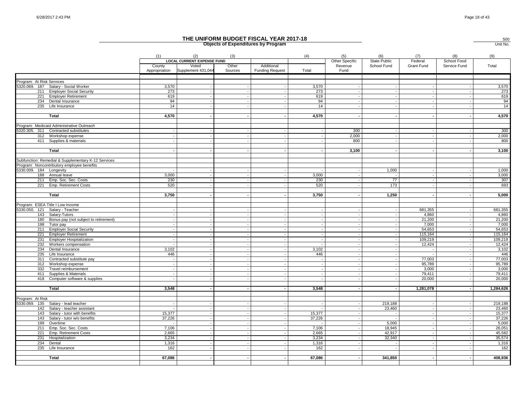|                                                                             |                          |                                                                  |                  | THE UNIFORM BUDGET FISCAL YEAR 2017-18<br><b>Objects of Expenditures by Program</b> |        |                                   |                                    |                       |                             | 500<br>Unit No.   |
|-----------------------------------------------------------------------------|--------------------------|------------------------------------------------------------------|------------------|-------------------------------------------------------------------------------------|--------|-----------------------------------|------------------------------------|-----------------------|-----------------------------|-------------------|
|                                                                             | (1)                      | (2)                                                              | (3)              |                                                                                     | (4)    | (5)                               | (6)                                | (7)                   | (8)                         | (9)               |
|                                                                             | County<br>Appropriation  | <b>LOCAL CURRENT EXPENSE FUND</b><br>Voted<br>Supplement 431,044 | Other<br>Sources | Additional<br><b>Funding Request</b>                                                | Total  | Other Specific<br>Revenue<br>Fund | <b>State Public</b><br>School Fund | Federal<br>Grant Fund | School Food<br>Service Fund | Total             |
|                                                                             |                          |                                                                  |                  |                                                                                     |        |                                   |                                    |                       |                             |                   |
| Program: At Risk Services                                                   |                          |                                                                  |                  |                                                                                     |        |                                   |                                    |                       |                             |                   |
| 5320.069. 187 Salary - Social Worker                                        | 3,570                    |                                                                  |                  |                                                                                     | 3,570  |                                   |                                    |                       |                             | 3,570             |
| <b>Employer Social Security</b><br>211                                      | 273                      |                                                                  |                  |                                                                                     | 273    |                                   |                                    |                       |                             | 273               |
| <b>Employer Retirement</b><br>221                                           | 619                      |                                                                  |                  |                                                                                     | 619    |                                   |                                    |                       |                             | 619               |
| 234 Dental Insurance                                                        | 94                       |                                                                  |                  |                                                                                     | 94     |                                   |                                    |                       |                             | 94                |
| 235 Life Insurance                                                          | 14                       |                                                                  |                  |                                                                                     | 14     |                                   |                                    |                       |                             | 14                |
| Total                                                                       | 4,570                    |                                                                  |                  |                                                                                     | 4,570  |                                   |                                    |                       |                             | 4,570             |
|                                                                             |                          |                                                                  |                  |                                                                                     |        |                                   |                                    |                       |                             |                   |
| Program: Medicaid Administrative Outreach                                   |                          |                                                                  |                  |                                                                                     |        |                                   |                                    |                       |                             |                   |
| 5320.305. 311 Contracted substitutes                                        |                          |                                                                  |                  |                                                                                     |        | 300                               |                                    |                       |                             | 300               |
| 312<br>Workshop expense                                                     |                          |                                                                  |                  |                                                                                     |        | 2,000                             |                                    |                       |                             | 2,000             |
| 411 Supplies & materials                                                    |                          |                                                                  |                  |                                                                                     |        | 800                               |                                    |                       |                             | 800               |
|                                                                             |                          |                                                                  |                  |                                                                                     |        |                                   |                                    |                       |                             |                   |
| Total                                                                       |                          |                                                                  |                  |                                                                                     |        | 3,100                             |                                    |                       |                             | 3,100             |
| Subfunction: Remedial & Supplementary K-12 Services                         |                          |                                                                  |                  |                                                                                     |        |                                   |                                    |                       |                             |                   |
| Program: Noncontributory employee benefits                                  |                          |                                                                  |                  |                                                                                     |        |                                   |                                    |                       |                             |                   |
| 5330.009. 184 Longevity                                                     |                          |                                                                  |                  |                                                                                     |        |                                   | 1,000                              |                       |                             | 1,000             |
| 188 Annual leave                                                            | 3,000                    |                                                                  |                  |                                                                                     | 3,000  |                                   |                                    |                       |                             | 3,000             |
| 211 Emp. Soc. Sec. Costs                                                    | 230                      |                                                                  |                  |                                                                                     | 230    |                                   | $\overline{77}$                    |                       |                             | 307               |
| 221 Emp. Retirement Costs                                                   | 520                      |                                                                  |                  |                                                                                     | 520    |                                   | 173                                |                       |                             | 693               |
|                                                                             |                          |                                                                  |                  |                                                                                     |        |                                   |                                    |                       |                             |                   |
| <b>Total</b>                                                                | 3,750                    |                                                                  |                  |                                                                                     | 3,750  |                                   | 1,250                              |                       |                             | 5,000             |
| Program: ESEA Title I Low Income                                            |                          |                                                                  |                  |                                                                                     |        |                                   |                                    |                       |                             |                   |
| 5330.050.<br>121<br>Salary - Teacher                                        |                          |                                                                  |                  |                                                                                     |        |                                   |                                    | 681,355               |                             | 681,355           |
| 143<br>Salary-Tutors                                                        |                          |                                                                  |                  |                                                                                     |        |                                   |                                    | 4,860                 |                             | 4,860             |
| Bonus pay (not subject to retirement)<br>180                                |                          |                                                                  |                  |                                                                                     |        |                                   |                                    | 21,200                |                             | 21,200            |
| 198<br>Tutor pay                                                            |                          |                                                                  |                  |                                                                                     |        |                                   |                                    | 7,000                 |                             | 7,000             |
| <b>Employer Social Security</b><br>211                                      |                          |                                                                  |                  |                                                                                     |        |                                   |                                    | 54,653                |                             | 54,653            |
| 221<br><b>Employer Retirement</b>                                           |                          |                                                                  |                  |                                                                                     |        |                                   |                                    | 115,164               |                             | 115,164           |
| <b>Employer Hospitalization</b><br>231                                      |                          |                                                                  |                  |                                                                                     |        |                                   |                                    | 109,219               |                             | 109,219           |
| 232<br>Workers compensation                                                 |                          |                                                                  |                  |                                                                                     |        |                                   |                                    | 12,424                |                             | 12,424            |
| 234<br>Dental Insurance                                                     | 3,102                    |                                                                  |                  |                                                                                     | 3,102  |                                   |                                    |                       |                             | 3,102             |
| 235<br>Life Insurance<br>311                                                | 446                      |                                                                  |                  |                                                                                     | 446    |                                   |                                    | 77.003                |                             | 446<br>77,003     |
| Contracted substitute pay<br>312<br>Workshop expense                        |                          |                                                                  |                  |                                                                                     |        |                                   |                                    | 95,789                |                             | 95,789            |
| 332<br>Travel reimbursement                                                 |                          |                                                                  |                  |                                                                                     |        |                                   |                                    | 3,000                 |                             | 3,000             |
| Supplies & Materials<br>411                                                 |                          |                                                                  |                  |                                                                                     |        |                                   |                                    | 79,411                |                             | 79,411            |
| 418 Computer software & supplies                                            |                          |                                                                  |                  |                                                                                     |        |                                   |                                    | 20,000                |                             | 20,000            |
|                                                                             |                          |                                                                  |                  |                                                                                     |        |                                   |                                    |                       |                             |                   |
| Total                                                                       | 3,548                    |                                                                  |                  |                                                                                     | 3,548  |                                   |                                    | 1,281,078             |                             | 1,284,626         |
|                                                                             |                          |                                                                  |                  |                                                                                     |        |                                   |                                    |                       |                             |                   |
| Program: At Risk                                                            |                          |                                                                  |                  |                                                                                     |        |                                   |                                    |                       |                             |                   |
| 5330.069. 135<br>Salary - lead teacher<br>142<br>Salary - teacher assistant |                          |                                                                  |                  |                                                                                     |        |                                   | 219,188<br>23,460                  |                       |                             | 219,188<br>23,460 |
| 143<br>Salary - tutor with benefits                                         | 15,377                   |                                                                  |                  |                                                                                     | 15,377 |                                   |                                    |                       |                             | 15,377            |
| 143<br>Salary - tutor w/o benefits                                          | 37,226                   |                                                                  |                  |                                                                                     | 37,226 |                                   |                                    |                       |                             | 37,226            |
| 199<br>Overtime                                                             | $\overline{\phantom{a}}$ |                                                                  |                  |                                                                                     |        |                                   | 5,000                              |                       |                             | 5,000             |
| 211<br>Emp. Soc. Sec. Costs                                                 | 7.106                    |                                                                  |                  |                                                                                     | 7,106  |                                   | 18.945                             |                       |                             | 26,051            |
| Emp. Retirement Costs<br>221                                                | 2,665                    |                                                                  |                  |                                                                                     | 2,665  |                                   | 42,917                             |                       |                             | 45,582            |
| 231<br>Hospitalization                                                      | 3.234                    |                                                                  |                  |                                                                                     | 3,234  |                                   | 32,340                             |                       |                             | 35,574            |
| 234<br>Dental                                                               | 1,316                    |                                                                  |                  |                                                                                     | 1,316  |                                   |                                    |                       |                             | 1,316             |
| 235 Life Insurance                                                          | 162                      |                                                                  |                  |                                                                                     | 162    |                                   |                                    |                       |                             | 162               |
|                                                                             |                          |                                                                  |                  |                                                                                     |        |                                   |                                    |                       |                             |                   |
| <b>Total</b>                                                                | 67,086                   |                                                                  |                  |                                                                                     | 67,086 |                                   | 341,850                            |                       |                             | 408,936           |
|                                                                             |                          |                                                                  |                  |                                                                                     |        |                                   |                                    |                       |                             |                   |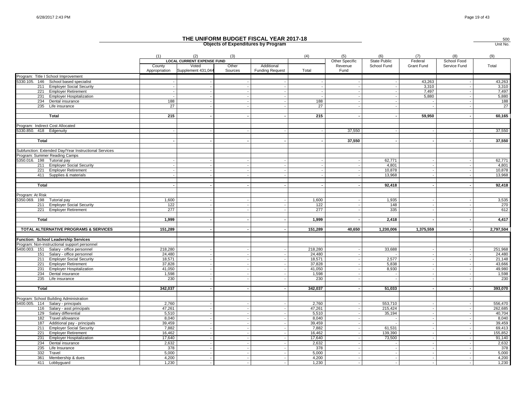|                                                                   |                         |                                          |                  | THE UNIFORM BUDGET FISCAL YEAR 2017-18<br><b>Objects of Expenditures by Program</b> |         |                       |                            |                |                          | 500<br>Unit No. |
|-------------------------------------------------------------------|-------------------------|------------------------------------------|------------------|-------------------------------------------------------------------------------------|---------|-----------------------|----------------------------|----------------|--------------------------|-----------------|
|                                                                   | (1)                     | (2)<br><b>LOCAL CURRENT EXPENSE FUND</b> | (3)              |                                                                                     | (4)     | (5)<br>Other Specific | (6)<br><b>State Public</b> | (7)<br>Federal | (8)<br>School Food       | (9)             |
|                                                                   | County<br>Appropriation | Voted<br>Supplement 431,044              | Other<br>Sources | Additional<br><b>Funding Request</b>                                                | Total   | Revenue<br>Fund       | School Fund                | Grant Fund     | Service Fund             | Total           |
| Program: Title I School Improvement                               |                         |                                          |                  |                                                                                     |         |                       |                            |                |                          |                 |
| 5330.105. 146 School based specialist                             |                         |                                          |                  |                                                                                     |         |                       |                            | 43,263         |                          | 43,263          |
| 211 Employer Social Security                                      |                         |                                          |                  | $\overline{a}$                                                                      |         |                       |                            | 3,310          | $\overline{\phantom{a}}$ | 3,310           |
| 221 Employer Retirement<br><b>Employer Hospitalization</b><br>231 |                         |                                          |                  |                                                                                     |         |                       |                            | 7,497<br>5,880 |                          | 7,497<br>5,880  |
| 234<br>Dental insurance                                           | 188                     |                                          |                  |                                                                                     | 188     |                       |                            |                |                          | 188             |
| 235 Life insurance                                                | 27                      |                                          |                  |                                                                                     | 27      |                       |                            |                |                          | $\overline{27}$ |
|                                                                   |                         |                                          |                  |                                                                                     |         |                       |                            |                |                          |                 |
| Total                                                             | 215                     |                                          |                  |                                                                                     | 215     |                       |                            | 59,950         |                          | 60,165          |
| Program: Indirect Cost Allocated                                  |                         |                                          |                  |                                                                                     |         |                       |                            |                |                          |                 |
| 5330.850. 418 Edgenuity                                           |                         |                                          |                  |                                                                                     |         | 37,550                |                            |                |                          | 37,550          |
|                                                                   |                         |                                          |                  |                                                                                     |         |                       |                            |                |                          |                 |
| Total                                                             |                         |                                          |                  |                                                                                     |         | 37,550                |                            |                |                          | 37,550          |
|                                                                   |                         |                                          |                  |                                                                                     |         |                       |                            |                |                          |                 |
| Subfunction: Extended Day/Year Instructional Services             |                         |                                          |                  |                                                                                     |         |                       |                            |                |                          |                 |
| Program: Summer Reading Camps                                     |                         |                                          |                  |                                                                                     |         |                       |                            |                |                          |                 |
| 5350.016. 198 Tutorial pay                                        |                         |                                          |                  |                                                                                     |         |                       | 62,771                     |                |                          | 62,771          |
| 211 Employer Social Security                                      |                         |                                          |                  | $\overline{\phantom{a}}$                                                            |         |                       | 4,801                      |                |                          | 4,801           |
| 221<br><b>Employer Retirement</b>                                 |                         |                                          |                  | $\overline{a}$                                                                      |         |                       | 10,878                     |                |                          | 10,878          |
| 411 Supplies & materials                                          |                         |                                          |                  |                                                                                     |         |                       | 13,968                     |                |                          | 13,968          |
|                                                                   |                         |                                          |                  |                                                                                     |         |                       |                            |                |                          |                 |
| <b>Total</b>                                                      |                         |                                          |                  |                                                                                     |         |                       | 92,418                     |                |                          | 92,418          |
| Program: At Risk                                                  |                         |                                          |                  |                                                                                     |         |                       |                            |                |                          |                 |
|                                                                   | 1,600                   |                                          |                  |                                                                                     | 1,600   |                       | 1,935                      |                |                          | 3,535           |
| 5350.069. 198 Tutorial pay<br>211 Employer Social Security        | 122                     |                                          |                  |                                                                                     | 122     |                       | 148                        |                |                          | 270             |
| 221 Employer Retirement                                           | 277                     |                                          |                  | $\overline{\phantom{a}}$                                                            | 277     |                       | 335                        |                |                          | 612             |
|                                                                   |                         |                                          |                  |                                                                                     |         |                       |                            |                |                          |                 |
| Total                                                             | 1,999                   |                                          |                  |                                                                                     | 1,999   |                       | 2,418                      |                |                          | 4,417           |
|                                                                   |                         |                                          |                  |                                                                                     |         |                       |                            |                |                          |                 |
| TOTAL ALTERNATIVE PROGRAMS & SERVICES                             | 151,289                 |                                          |                  | $\sim$                                                                              | 151,289 | 40.650                | 1,230,006                  | 1,375,559      |                          | 2,797,504       |
| Function: School Leadership Services                              |                         |                                          |                  |                                                                                     |         |                       |                            |                |                          |                 |
| Program: Non-instructional support personnel                      |                         |                                          |                  |                                                                                     |         |                       |                            |                |                          |                 |
| 5400.003. 151 Salary - office personnel                           | 218,280                 |                                          |                  | $\blacksquare$                                                                      | 218,280 |                       | 33,688                     |                |                          | 251,968         |
| 151 Salary - office personnel                                     | 24,480                  |                                          |                  |                                                                                     | 24,480  |                       |                            |                |                          | 24,480          |
| 211 Employer Social Security                                      | 18,571                  |                                          |                  |                                                                                     | 18,571  |                       | 2,577                      |                |                          | 21,148          |
| <b>Employer Retirement</b><br>221                                 | 37,828                  |                                          |                  |                                                                                     | 37,828  |                       | 5,838                      |                |                          | 43,666          |
| 231 Employer Hospitalization                                      | 41,050                  |                                          |                  | $\overline{a}$                                                                      | 41,050  |                       | 8,930                      |                |                          | 49,980          |
| 234 Dental insurance                                              | 1,598                   |                                          |                  |                                                                                     | 1,598   |                       |                            |                |                          | 1,598           |
| $235$ Life insurance                                              | 230                     |                                          |                  |                                                                                     | 230     |                       |                            |                |                          | 230             |
|                                                                   | 342,037                 |                                          |                  | $\overline{\phantom{a}}$                                                            | 342,037 |                       | 51,033                     |                |                          | 393,070         |
| Total                                                             |                         |                                          |                  |                                                                                     |         |                       |                            |                |                          |                 |
| Program: School Building Administration                           |                         |                                          |                  |                                                                                     |         |                       |                            |                |                          |                 |
| 5400.005. 114 Salary - principals                                 | 2,760                   |                                          |                  |                                                                                     | 2,760   |                       | 553,710                    |                |                          | 556,470         |
| 116 Salary - asst principals                                      | 47,261                  |                                          |                  | $\sim$                                                                              | 47,261  |                       | 215,424                    |                |                          | 262,685         |
| 129 Salary differential                                           | 5,510                   |                                          |                  | $\sim$                                                                              | 5.510   |                       | 35,194                     |                |                          | 40,704          |
| 182<br>Travel allowance                                           | 8,040                   |                                          |                  | $\overline{a}$                                                                      | 8,040   |                       |                            |                |                          | 8,040           |
| 187 Additional pay - principals                                   | 39,459                  |                                          |                  |                                                                                     | 39,459  |                       |                            |                |                          | 39,459          |
| 211 Employer Social Security                                      | 7,882                   |                                          |                  | $\overline{\phantom{a}}$                                                            | 7,882   |                       | 61,531                     |                |                          | 69,413          |
| 221<br><b>Employer Retirement</b>                                 | 16,462                  |                                          |                  | $\sim$                                                                              | 16,462  |                       | 139,390                    |                |                          | 155,852         |
| 231<br><b>Employer Hospitalization</b>                            | 17,640                  |                                          |                  |                                                                                     | 17,640  |                       | 73,500                     |                |                          | 91,140          |
| 234 Dental insurance                                              | 2,632                   |                                          |                  |                                                                                     | 2,632   |                       |                            |                |                          | 2,632           |
| 235 Life Insurance                                                | 378                     |                                          |                  | $\overline{\phantom{a}}$                                                            | 378     |                       |                            |                |                          | 378             |
| 332<br>Travel                                                     | 5,000                   |                                          |                  |                                                                                     | 5,000   |                       |                            |                |                          | 5,000           |
| 361<br>Membership & dues                                          | 4,200                   |                                          |                  |                                                                                     | 4,200   |                       |                            |                |                          | 4,200<br>1,230  |
| 411 Lobbyguard                                                    | 1,230                   |                                          |                  |                                                                                     | 1,230   |                       |                            |                |                          |                 |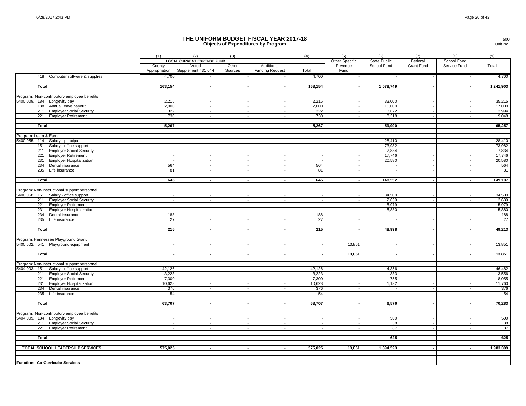|                                              |                         | <b>Objects of Expenditures by Program</b><br>Unit No.            |                  |                                      |         |                                   |                             |                       |                             |           |
|----------------------------------------------|-------------------------|------------------------------------------------------------------|------------------|--------------------------------------|---------|-----------------------------------|-----------------------------|-----------------------|-----------------------------|-----------|
|                                              | (1)                     | (2)                                                              | (3)              |                                      | (4)     | (5)                               | (6)                         | (7)                   | (8)                         | (9)       |
|                                              | County<br>Appropriation | <b>LOCAL CURRENT EXPENSE FUND</b><br>Voted<br>Supplement 431,044 | Other<br>Sources | Additional<br><b>Funding Request</b> | Total   | Other Specific<br>Revenue<br>Fund | State Public<br>School Fund | Federal<br>Grant Fund | School Food<br>Service Fund | Total     |
| 418 Computer software & supplies             | 4,700                   |                                                                  |                  |                                      | 4,700   |                                   |                             |                       |                             | 4,700     |
| Total                                        | 163,154                 |                                                                  |                  |                                      | 163,154 |                                   | 1,078,749                   |                       |                             | 1,241,903 |
| Program: Non-contributory employee benefits  |                         |                                                                  |                  |                                      |         |                                   |                             |                       |                             |           |
| 5400.009. 184 Longevity pay                  | 2,215                   |                                                                  |                  |                                      | 2,215   |                                   | 33,000                      |                       |                             | 35,215    |
| 188 Annual leave payout                      | 2,000                   | $\overline{\phantom{a}}$                                         |                  |                                      | 2,000   |                                   | 15,000                      |                       |                             | 17,000    |
| 211 Employer Social Security                 | 322                     |                                                                  |                  |                                      | 322     |                                   | 3,672                       |                       |                             | 3,994     |
| 221 Employer Retirement                      | 730                     |                                                                  |                  |                                      | 730     |                                   | 8,318                       |                       |                             | 9,048     |
| Total                                        | 5,267                   |                                                                  |                  |                                      | 5,267   |                                   | 59,990                      |                       |                             | 65,257    |
|                                              |                         |                                                                  |                  |                                      |         |                                   |                             |                       |                             |           |
| Program: Learn & Earn                        |                         |                                                                  |                  |                                      |         |                                   |                             |                       |                             |           |
| 5400.055. 114 Salary - principal             |                         |                                                                  |                  |                                      |         |                                   | 28,410                      |                       |                             | 28,410    |
| 151 Salary - office support                  |                         |                                                                  |                  |                                      |         |                                   | 73,982                      |                       |                             | 73,982    |
| 211 Employer Social Security                 |                         |                                                                  |                  |                                      |         |                                   | 7,834                       |                       |                             | 7,834     |
| <b>Employer Retirement</b><br>221            |                         | $\sim$                                                           |                  |                                      |         |                                   | 17,746                      |                       |                             | 17,746    |
| 231<br><b>Employer Hospitalization</b>       |                         |                                                                  |                  |                                      |         |                                   | 20,580                      |                       |                             | 20,580    |
| 234<br>Dental insurance                      | 564                     | $\sim$                                                           |                  |                                      | 564     |                                   |                             | $\sim$                |                             | 564       |
| 235 Life insurance                           | 81                      |                                                                  |                  |                                      | 81      |                                   |                             |                       |                             | 81        |
| Total                                        | 645                     |                                                                  |                  |                                      | 645     |                                   | 148,552                     |                       |                             | 149,197   |
| Program: Non-instructional support personnel |                         |                                                                  |                  |                                      |         |                                   |                             |                       |                             |           |
| 5400.068. 151 Salary - office support        |                         |                                                                  |                  |                                      |         |                                   | 34,500                      |                       |                             | 34,500    |
| 211 Employer Social Security                 |                         | $\sim$                                                           |                  |                                      |         |                                   | 2,639                       |                       |                             | 2,639     |
| <b>Employer Retirement</b><br>221            |                         |                                                                  |                  |                                      | ÷.      |                                   | 5,979                       |                       |                             | 5,979     |
| 231<br><b>Employer Hospitalization</b>       |                         | $\overline{\phantom{a}}$                                         |                  |                                      |         |                                   | 5,880                       |                       |                             | 5,880     |
| 234 Dental insurance                         | 188                     |                                                                  |                  |                                      | 188     |                                   |                             |                       |                             | 188       |
| 235 Life insurance                           | 27                      |                                                                  |                  |                                      | 27      |                                   |                             |                       |                             | 27        |
| Total                                        | 215                     |                                                                  |                  |                                      | 215     |                                   | 48,998                      |                       |                             | 49,213    |
|                                              |                         |                                                                  |                  |                                      |         |                                   |                             |                       |                             |           |
| Program: Hennessee Playground Grant          |                         |                                                                  |                  |                                      |         |                                   |                             |                       |                             |           |
| 5400.502. 541 Playground equipment           |                         |                                                                  |                  |                                      |         | 13,851                            |                             |                       |                             | 13,851    |
|                                              |                         |                                                                  |                  |                                      |         |                                   |                             |                       |                             |           |
| Total                                        |                         |                                                                  |                  |                                      |         | 13,851                            |                             |                       |                             | 13,851    |
| Program: Non-instructional support personnel |                         |                                                                  |                  |                                      |         |                                   |                             |                       |                             |           |
| 5404.003. 151 Salary - office support        | 42,126                  |                                                                  |                  |                                      | 42,126  |                                   | 4,356                       |                       |                             | 46,482    |
| 211 Employer Social Security                 | 3,223                   |                                                                  |                  |                                      | 3,223   |                                   | 333                         |                       |                             | 3,556     |
| 221 Employer Retirement                      | 7,300                   |                                                                  |                  |                                      | 7,300   |                                   | 755                         |                       |                             | 8,055     |
| 231 Employer Hospitalization                 | 10,628                  |                                                                  |                  |                                      | 10,628  |                                   | 1,132                       |                       |                             | 11,760    |
| 234 Dental insurance                         | 376                     | $\overline{\phantom{a}}$                                         |                  |                                      | 376     |                                   | $\sim$                      |                       |                             | 376       |
| 235 Life insurance                           | 54                      |                                                                  |                  |                                      | 54      |                                   |                             |                       |                             | 54        |
|                                              |                         |                                                                  |                  |                                      |         |                                   |                             |                       |                             |           |
| Total                                        | 63,707                  | $\sim$                                                           |                  |                                      | 63,707  |                                   | 6,576                       |                       |                             | 70,283    |
|                                              |                         |                                                                  |                  |                                      |         |                                   |                             |                       |                             |           |
| Program: Non-contributory employee benefits  |                         |                                                                  |                  |                                      |         |                                   |                             |                       |                             |           |
| 5404.009. 184 Longevity pay                  |                         |                                                                  |                  |                                      |         |                                   | 500                         | $\overline{a}$        |                             | 500       |
| 211 Employer Social Security                 |                         |                                                                  |                  |                                      |         |                                   | 38                          |                       |                             | 38        |
| 221 Employer Retirement                      |                         |                                                                  |                  |                                      |         |                                   | 87                          |                       |                             | 87        |
| Total                                        |                         | $\sim$                                                           |                  |                                      |         |                                   | 625                         | $\sim$                |                             | 625       |
| TOTAL SCHOOL LEADERSHIP SERVICES             | 575,025                 |                                                                  |                  |                                      | 575,025 | 13,851                            | 1,394,523                   |                       |                             | 1,983,399 |
|                                              |                         |                                                                  |                  |                                      |         |                                   |                             |                       |                             |           |
| Function: Co-Curricular Services             |                         |                                                                  |                  |                                      |         |                                   |                             |                       |                             |           |
|                                              |                         |                                                                  |                  |                                      |         |                                   |                             |                       |                             |           |

500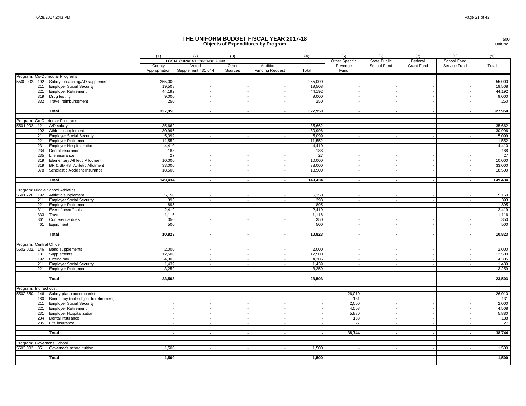|                                  |                                                                                     |                         |                                          |                  | THE UNIFORM BUDGET FISCAL YEAR 2017-18<br><b>Objects of Expenditures by Program</b> |                 |                       |                            |                |                          | 500<br>Unit No. |
|----------------------------------|-------------------------------------------------------------------------------------|-------------------------|------------------------------------------|------------------|-------------------------------------------------------------------------------------|-----------------|-----------------------|----------------------------|----------------|--------------------------|-----------------|
|                                  |                                                                                     | (1)                     | (2)<br><b>LOCAL CURRENT EXPENSE FUND</b> | (3)              |                                                                                     | (4)             | (5)<br>Other Specific | (6)<br><b>State Public</b> | (7)<br>Federal | (8)<br>School Food       | (9)             |
|                                  |                                                                                     | County<br>Appropriation | Voted<br>Supplement 431,044              | Other<br>Sources | Additional<br><b>Funding Request</b>                                                | Total           | Revenue<br>Fund       | School Fund                | Grant Fund     | Service Fund             | Total           |
|                                  | Program: Co-Curricular Programs                                                     |                         |                                          |                  |                                                                                     |                 |                       |                            |                |                          |                 |
|                                  | 5500.002. 192 Salary - coaching/AD supplements                                      | 255,000                 |                                          |                  |                                                                                     | 255,000         |                       |                            |                |                          | 255,000         |
|                                  | 211 Employer Social Security                                                        | 19,508<br>44,192        |                                          |                  | $\overline{a}$                                                                      | 19,508          |                       |                            |                | $\overline{\phantom{a}}$ | 19,508          |
|                                  | 221 Employer Retirement<br>319 Drug testing                                         | 9,000                   |                                          |                  |                                                                                     | 44,192<br>9,000 |                       |                            |                |                          | 44,192<br>9,000 |
|                                  | 332 Travel reimbursement                                                            | 250                     |                                          |                  |                                                                                     | 250             |                       |                            |                |                          | 250             |
|                                  |                                                                                     |                         |                                          |                  |                                                                                     |                 |                       |                            |                |                          |                 |
|                                  | Total                                                                               | 327,950                 |                                          |                  |                                                                                     | 327,950         |                       |                            |                |                          | 327,950         |
|                                  | Program: Co-Curricular Programs                                                     |                         |                                          |                  |                                                                                     |                 |                       |                            |                |                          |                 |
| 5501.002. 121 A/D salary         |                                                                                     | 35,662                  |                                          |                  | $\sim$                                                                              | 35,662          |                       |                            |                |                          | 35,662          |
|                                  | 192 Athletic supplement                                                             | 30,996                  |                                          |                  | $\sim$                                                                              | 30,996          |                       |                            |                |                          | 30,996          |
|                                  | 211 Employer Social Security                                                        | 5,099                   |                                          |                  | $\sim$                                                                              | 5,099           |                       |                            |                |                          | 5,099           |
|                                  | 221 Employer Retirement                                                             | 11.552                  |                                          |                  |                                                                                     | 11.552          |                       |                            |                |                          | 11,552          |
|                                  | 231 Employer Hospitalization                                                        | 4,410                   |                                          |                  | $\sim$                                                                              | 4,410           |                       |                            |                |                          | 4,410           |
|                                  | 234 Dental insurance                                                                | 188                     |                                          |                  |                                                                                     | 188             |                       |                            |                |                          | 188             |
|                                  | 235 Life insurance                                                                  | 27                      |                                          |                  |                                                                                     | 27              |                       |                            |                |                          | 27              |
|                                  | 319 Elementary Athletic Allotment                                                   | 10,000                  |                                          |                  |                                                                                     | 10,000          |                       |                            |                |                          | 10,000          |
|                                  | 319 BR & SMHS Athletic Allotment                                                    | 33,000                  |                                          |                  | $\overline{\phantom{a}}$                                                            | 33,000          |                       |                            |                |                          | 33,000          |
| 378                              | Scholastic Accident Insurance                                                       | 18,500                  |                                          |                  | $\sim$                                                                              | 18,500          |                       |                            |                |                          | 18,500          |
|                                  |                                                                                     |                         |                                          |                  |                                                                                     |                 |                       |                            |                |                          |                 |
|                                  | Total                                                                               | 149,434                 |                                          |                  |                                                                                     | 149,434         |                       |                            |                |                          | 149,434         |
| Program: Middle School Athletics |                                                                                     |                         |                                          |                  |                                                                                     |                 |                       |                            |                |                          |                 |
|                                  | 5501.720. 192 Athletic supplement                                                   | 5,150                   |                                          |                  |                                                                                     | 5,150           |                       |                            |                |                          | 5,150           |
|                                  | 211 Employer Social Security                                                        | 393                     |                                          |                  |                                                                                     | 393             |                       |                            |                |                          | 393             |
| 221                              | <b>Employer Retirement</b>                                                          | 895                     |                                          |                  |                                                                                     | 895             |                       |                            |                |                          | 895             |
|                                  | 311 Event fees/officals                                                             | 2,419                   |                                          |                  | $\overline{\phantom{a}}$                                                            | 2,419           |                       |                            |                |                          | 2,419           |
| 333                              | Travel                                                                              | 1,116                   |                                          |                  |                                                                                     | 1,116           |                       |                            |                |                          | 1,116           |
| 361                              | Conference dues                                                                     | 350                     |                                          |                  |                                                                                     | 350             |                       |                            |                |                          | 350             |
|                                  | 461 Equipment                                                                       | 500                     |                                          |                  |                                                                                     | 500             |                       |                            |                |                          | 500             |
|                                  |                                                                                     |                         |                                          |                  |                                                                                     |                 |                       |                            |                |                          |                 |
|                                  | Total                                                                               | 10,823                  |                                          |                  |                                                                                     | 10,823          |                       |                            |                |                          | 10,823          |
| Program: Central Office          |                                                                                     |                         |                                          |                  |                                                                                     |                 |                       |                            |                |                          |                 |
|                                  | 5502.002. 146 Band supplements                                                      | 2,000                   |                                          |                  | $\sim$                                                                              | 2,000           |                       |                            |                |                          | 2,000           |
| 181                              | Supplements                                                                         | 12,500                  |                                          |                  |                                                                                     | 12,500          |                       |                            |                |                          | 12,500          |
| 192                              | Extend pay                                                                          | 4,305                   |                                          |                  |                                                                                     | 4,305           |                       |                            |                |                          | 4,305           |
| 211                              | <b>Employer Social Security</b>                                                     | 1,439                   |                                          |                  |                                                                                     | 1,439           |                       |                            |                |                          | 1,439           |
|                                  | 221 Employer Retirement                                                             | 3,259                   |                                          |                  |                                                                                     | 3,259           |                       |                            |                |                          | 3,259           |
|                                  |                                                                                     |                         |                                          |                  |                                                                                     |                 |                       |                            |                |                          |                 |
|                                  | Total                                                                               | 23,503                  |                                          |                  | $\overline{\phantom{a}}$                                                            | 23,503          |                       |                            |                |                          | 23,503          |
|                                  |                                                                                     |                         |                                          |                  |                                                                                     |                 |                       |                            |                |                          |                 |
| Program: Indirect cost           |                                                                                     |                         |                                          |                  |                                                                                     |                 | 26,010                |                            |                |                          |                 |
|                                  | 5502.850. 146 Salary-piano accompanist<br>180 Bonus pay (not subject to retirement) |                         |                                          |                  |                                                                                     |                 | 131                   |                            |                |                          | 26,010<br>131   |
|                                  | 211 Employer Social Security                                                        |                         |                                          |                  | $\overline{\phantom{a}}$                                                            |                 | 2,000                 |                            |                |                          | 2,000           |
|                                  | 221 Employer Retirement                                                             |                         |                                          |                  | $\overline{\phantom{a}}$                                                            |                 | 4,508                 |                            |                |                          | 4,508           |
| 231                              | <b>Employer Hospitalization</b>                                                     |                         |                                          |                  |                                                                                     |                 | 5.880                 |                            |                |                          | 5,880           |
| 234                              | Dental insurance                                                                    |                         |                                          |                  |                                                                                     |                 | 188                   |                            |                |                          | 188             |
|                                  | 235 Life insurance                                                                  |                         |                                          |                  |                                                                                     |                 | 27                    |                            |                |                          | 27              |
|                                  |                                                                                     |                         |                                          |                  |                                                                                     |                 |                       |                            |                |                          |                 |
|                                  | Total                                                                               |                         |                                          |                  |                                                                                     |                 | 38,744                |                            |                |                          | 38,744          |
|                                  |                                                                                     |                         |                                          |                  |                                                                                     |                 |                       |                            |                |                          |                 |
| Program: Governor's School       |                                                                                     |                         |                                          |                  |                                                                                     |                 |                       |                            |                |                          |                 |
|                                  | 5503.002. 351 Governor's school tuition                                             | 1,500                   |                                          |                  |                                                                                     | 1,500           |                       |                            |                |                          | 1,500           |
|                                  | <b>Total</b>                                                                        | 1,500                   |                                          |                  |                                                                                     | 1,500           |                       |                            |                |                          | 1,500           |
|                                  |                                                                                     |                         |                                          |                  |                                                                                     |                 |                       |                            |                |                          |                 |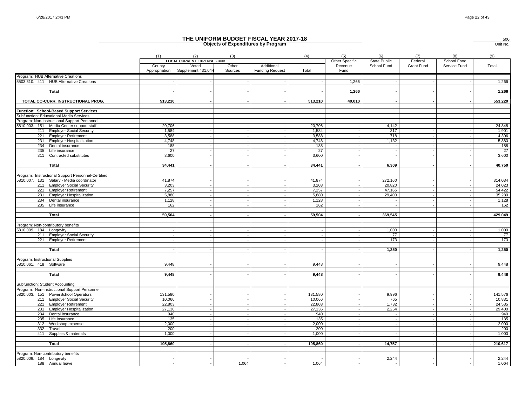|                                                                   |                         |                                          | <b>Objects of Expenditures by Program</b> | THE UNIFORM BUDGET FISCAL YEAR 2017-18 |                          |                          |                     |                |                          | 500<br>Unit No.  |
|-------------------------------------------------------------------|-------------------------|------------------------------------------|-------------------------------------------|----------------------------------------|--------------------------|--------------------------|---------------------|----------------|--------------------------|------------------|
|                                                                   | (1)                     | (2)<br><b>LOCAL CURRENT EXPENSE FUND</b> | (3)                                       |                                        | (4)                      | (5)<br>Other Specific    | (6)<br>State Public | (7)<br>Federal | (8)<br>School Food       | (9)              |
|                                                                   | County<br>Appropriation | Voted<br>Supplement 431,044              | Other<br>Sources                          | Additional<br><b>Funding Request</b>   | Total                    | Revenue<br>Fund          | School Fund         | Grant Fund     | Service Fund             | Total            |
| Program: HUB Alternative Creations                                |                         |                                          |                                           |                                        |                          |                          |                     |                |                          |                  |
| 5503.810. 411 HUB Alternative Creations                           |                         |                                          |                                           |                                        |                          | 1,266                    |                     |                |                          | 1,266            |
| Total                                                             |                         |                                          |                                           |                                        |                          | 1,266                    |                     |                |                          | 1,266            |
| TOTAL CO-CURR. INSTRUCTIONAL PROG.                                | 513,210                 |                                          |                                           |                                        | 513,210                  | 40,010                   |                     |                |                          | 553,220          |
| Function: School-Based Support Services                           |                         |                                          |                                           |                                        |                          |                          |                     |                |                          |                  |
| Subfunction: Educational Media Services                           |                         |                                          |                                           |                                        |                          |                          |                     |                |                          |                  |
| Program: Non-instructional Support Personnel                      |                         |                                          |                                           |                                        |                          |                          |                     |                |                          |                  |
| 5810.003. 151 Media Center support staff                          | 20,706                  |                                          |                                           |                                        | 20,706                   |                          | 4,142               |                |                          | 24,848           |
| 211 Employer Social Security                                      | 1,584                   |                                          |                                           |                                        | 1,584                    |                          | 317                 |                |                          | 1,901            |
| 221 Employer Retirement                                           | 3,588                   |                                          |                                           | $\overline{a}$                         | 3,588                    |                          | 718                 |                | $\overline{\phantom{a}}$ | 4,306            |
| 231<br><b>Employer Hospitalization</b>                            | 4,748                   |                                          |                                           |                                        | 4,748                    |                          | 1,132               |                |                          | 5,880            |
| 234<br>Dental insurance                                           | 188                     |                                          |                                           |                                        | 188                      |                          | $\sim$              |                |                          | 188              |
| 235 Life insurance                                                | 27                      |                                          |                                           |                                        | 27                       |                          |                     |                |                          | 27               |
| 311 Contracted substitutes                                        | 3,600                   |                                          |                                           |                                        | 3,600                    |                          |                     |                |                          | 3,600            |
| Total                                                             | 34,441                  |                                          |                                           |                                        | 34,441                   |                          | 6,309               |                |                          | 40,750           |
|                                                                   |                         |                                          |                                           |                                        |                          |                          |                     |                |                          |                  |
| Program: Instructional Support Personnel-Certified                |                         |                                          |                                           |                                        |                          |                          |                     |                |                          |                  |
| 5810.007. 131 Salary - Media coordinator                          | 41,874                  |                                          |                                           |                                        | 41.874                   |                          | 272,160             |                |                          | 314,034          |
| <b>Employer Social Security</b><br>211                            | 3,203                   |                                          |                                           |                                        | 3,203                    |                          | 20,820              |                |                          | 24,023           |
| 221<br><b>Employer Retirement</b><br>231 Employer Hospitalization | 7,257<br>5,880          |                                          |                                           |                                        | 7,257<br>5,880           |                          | 47,165<br>29,400    |                |                          | 54,422<br>35,280 |
| 234<br>Dental insurance                                           | 1.128                   |                                          |                                           |                                        | 1.128                    |                          |                     |                |                          | 1,128            |
| 235 Life insurance                                                | 162                     |                                          |                                           |                                        | 162                      |                          |                     |                |                          | 162              |
|                                                                   |                         |                                          |                                           |                                        |                          |                          |                     |                |                          |                  |
| Total                                                             | 59,504                  |                                          |                                           | $\sim$                                 | 59,504                   |                          | 369,545             |                |                          | 429,049          |
| Program: Non-contributory benefits                                |                         |                                          |                                           |                                        |                          |                          |                     |                |                          |                  |
| 5810.009. 184 Longevity                                           |                         |                                          |                                           |                                        |                          |                          | 1,000               |                |                          | 1,000            |
| 211 Employer Social Security                                      |                         |                                          |                                           |                                        |                          |                          | 77                  |                |                          | 77               |
| 221 Employer Retirement                                           |                         |                                          |                                           |                                        |                          |                          | 173                 |                |                          | 173              |
|                                                                   |                         |                                          |                                           |                                        |                          |                          |                     |                |                          |                  |
| Total                                                             |                         |                                          |                                           |                                        | $\overline{\phantom{a}}$ |                          | 1,250               |                |                          | 1,250            |
| Program: Instructional Supplies                                   |                         |                                          |                                           |                                        |                          |                          |                     |                |                          |                  |
| 5810.061. 418 Software                                            | 9.448                   |                                          |                                           |                                        | 9.448                    |                          |                     |                |                          | 9,448            |
|                                                                   |                         |                                          |                                           |                                        |                          |                          |                     |                |                          |                  |
| Total                                                             | 9,448                   |                                          |                                           |                                        | 9,448                    |                          |                     |                |                          | 9,448            |
| Subfunction: Student Accounting                                   |                         |                                          |                                           |                                        |                          |                          |                     |                |                          |                  |
| Program: Non-instructional Support Personnel                      |                         |                                          |                                           |                                        |                          |                          |                     |                |                          |                  |
| 5820.003. 151 PowerSchool Operators                               | 131,580                 |                                          |                                           |                                        | 131,580                  |                          | 9,996               |                |                          | 141,576          |
| 211 Employer Social Security                                      | 10,066                  |                                          |                                           |                                        | 10,066                   |                          | 765                 |                |                          | 10,831           |
| 221 Employer Retirement                                           | 22,803                  |                                          |                                           |                                        | 22,803                   |                          | 1,732               |                |                          | 24,535           |
| <b>Employer Hospitalization</b><br>231                            | 27,136                  |                                          |                                           |                                        | 27,136                   |                          | 2,264               |                |                          | 29,400           |
| 234<br>Dental insurance                                           | 940                     |                                          |                                           |                                        | 940                      |                          |                     |                |                          | 940              |
| 235<br>Life insurance                                             | 135                     |                                          |                                           |                                        | 135                      |                          | $\sim$              |                |                          | 135              |
| 312 Workshop expense                                              | 2,000                   |                                          |                                           |                                        | 2,000                    |                          |                     |                |                          | 2,000            |
| 332<br>Travel                                                     | 200                     |                                          |                                           |                                        | 200                      |                          |                     |                |                          | 200              |
| 411<br>Supplies & materials                                       | 1,000                   |                                          |                                           |                                        | 1,000                    |                          |                     |                |                          | 1,000            |
| Total                                                             | 195,860                 |                                          |                                           | $\overline{\phantom{a}}$               | 195,860                  | $\overline{\phantom{a}}$ | 14,757              |                | $\overline{a}$           | 210,617          |
|                                                                   |                         |                                          |                                           |                                        |                          |                          |                     |                |                          |                  |
| Program: Non-contributory benefits                                |                         |                                          |                                           |                                        |                          |                          |                     |                |                          |                  |
| 5820.009. 184 Longevity                                           |                         |                                          |                                           |                                        |                          |                          | 2,244               |                |                          | 2,244            |
| 188 Annual leave                                                  |                         |                                          | 1,064                                     |                                        | 1,064                    |                          |                     |                |                          | 1,064            |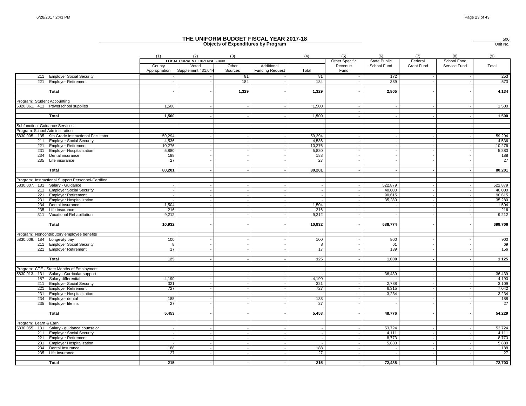|                                |                                                    |                          |                                                                  |                          | THE UNIFORM BUDGET FISCAL YEAR 2017-18<br><b>Objects of Expenditures by Program</b> |                          |                                   |                             |                       |                             | 500<br>Unit No. |
|--------------------------------|----------------------------------------------------|--------------------------|------------------------------------------------------------------|--------------------------|-------------------------------------------------------------------------------------|--------------------------|-----------------------------------|-----------------------------|-----------------------|-----------------------------|-----------------|
|                                |                                                    | (1)                      | (2)                                                              | (3)                      |                                                                                     | (4)                      | (5)                               | (6)                         | (7)                   | (8)                         | (9)             |
|                                |                                                    | County<br>Appropriation  | <b>LOCAL CURRENT EXPENSE FUND</b><br>Voted<br>Supplement 431,044 | Other<br>Sources         | Additional<br><b>Funding Request</b>                                                | Total                    | Other Specific<br>Revenue<br>Fund | State Public<br>School Fund | Federal<br>Grant Fund | School Food<br>Service Fund | Total           |
|                                | 211 Employer Social Security                       |                          |                                                                  | 81                       |                                                                                     | 81                       |                                   | 172                         |                       |                             | 253             |
| 221                            | <b>Employer Retirement</b>                         |                          |                                                                  | 184                      | $\sim$                                                                              | 184                      |                                   | 389                         |                       |                             | 573             |
|                                | Total                                              |                          |                                                                  | 1,329                    |                                                                                     | 1,329                    |                                   | 2,805                       |                       |                             | 4,134           |
| Program: Student Accounting    |                                                    |                          |                                                                  |                          |                                                                                     |                          |                                   |                             |                       |                             |                 |
|                                | 5820.061. 411 Powerschool supplies                 | 1,500                    |                                                                  |                          |                                                                                     | 1,500                    |                                   |                             |                       |                             | 1,500           |
|                                |                                                    |                          |                                                                  |                          |                                                                                     |                          |                                   |                             |                       |                             |                 |
|                                | Total                                              | 1,500                    |                                                                  |                          |                                                                                     | 1,500                    |                                   |                             |                       |                             | 1,500           |
|                                |                                                    |                          |                                                                  |                          |                                                                                     |                          |                                   |                             |                       |                             |                 |
| Subfunction: Guidance Services |                                                    |                          |                                                                  |                          |                                                                                     |                          |                                   |                             |                       |                             |                 |
| Program: School Administration |                                                    |                          |                                                                  |                          |                                                                                     |                          |                                   |                             |                       |                             |                 |
|                                | 5830.005. 135 9th Grade Instructional Facilitator  | 59,294                   |                                                                  |                          |                                                                                     | 59,294                   |                                   |                             |                       |                             | 59,294          |
|                                | 211 Employer Social Security                       | 4,536                    |                                                                  |                          |                                                                                     | 4,536                    |                                   |                             |                       |                             | 4,536           |
|                                | 221 Employer Retirement                            | 10,276                   |                                                                  |                          | $\overline{a}$                                                                      | 10,276                   |                                   |                             |                       |                             | 10,276          |
|                                | 231 Employer Hospitalization                       | 5,880                    |                                                                  |                          | $\overline{\phantom{a}}$                                                            | 5,880                    |                                   |                             |                       |                             | 5,880           |
|                                | 234 Dental insurance                               | 188                      |                                                                  |                          |                                                                                     | 188                      |                                   |                             |                       |                             | 188             |
|                                | 235 Life insurance                                 | 27                       |                                                                  |                          |                                                                                     | 27                       |                                   |                             |                       |                             | 27              |
|                                |                                                    |                          |                                                                  |                          |                                                                                     |                          |                                   |                             |                       |                             |                 |
|                                | Total                                              | 80,201                   |                                                                  |                          | $\sim$                                                                              | 80,201                   |                                   |                             |                       |                             | 80,201          |
|                                |                                                    |                          |                                                                  |                          |                                                                                     |                          |                                   |                             |                       |                             |                 |
|                                | Program: Instructional Support Personnel-Certified |                          |                                                                  |                          |                                                                                     |                          |                                   |                             |                       |                             |                 |
|                                | 5830.007. 131 Salary - Guidance                    |                          |                                                                  |                          |                                                                                     |                          |                                   | 522,879                     |                       |                             | 522,879         |
|                                | 211 Employer Social Security                       | $\overline{\phantom{a}}$ |                                                                  | $\overline{\phantom{a}}$ | $\sim$                                                                              | $\sim$                   |                                   | 40,000                      |                       |                             | 40,000          |
|                                | 221 Employer Retirement                            | $\overline{\phantom{a}}$ |                                                                  | $\sim$                   | $\overline{a}$                                                                      |                          |                                   | 90,615                      |                       |                             | 90,615          |
| 231                            | <b>Employer Hospitalization</b>                    | $\sim$                   |                                                                  | $\sim$                   | $\sim$                                                                              |                          |                                   | 35,280                      | $\sim$                |                             | 35,280          |
| 234                            | Dental insurance                                   | 1,504                    |                                                                  |                          |                                                                                     | 1,504                    |                                   |                             |                       |                             | 1,504           |
| 235                            | Life insurance                                     | 216                      |                                                                  |                          | $\overline{a}$                                                                      | 216                      |                                   |                             |                       |                             | 216             |
|                                | 311 Vocational Rehabiltation                       | 9,212                    |                                                                  |                          |                                                                                     | 9,212                    |                                   |                             |                       |                             | 9,212           |
|                                |                                                    |                          |                                                                  |                          |                                                                                     |                          |                                   |                             |                       |                             |                 |
|                                | Total                                              | 10,932                   |                                                                  |                          |                                                                                     | 10,932                   |                                   | 688,774                     |                       |                             | 699,706         |
|                                |                                                    |                          |                                                                  |                          |                                                                                     |                          |                                   |                             |                       |                             |                 |
| 5830.009. 184 Longevity pay    | Program: Noncontributory employee benefits         | 100                      |                                                                  |                          |                                                                                     | 100                      |                                   | 800                         |                       |                             | 900             |
|                                | 211 Employer Social Security                       | 8                        |                                                                  |                          |                                                                                     | 8                        |                                   | 61                          |                       |                             | 69              |
|                                | 221 Employer Retirement                            | 17                       |                                                                  |                          |                                                                                     | 17                       |                                   | 139                         |                       |                             | 156             |
|                                |                                                    |                          |                                                                  |                          |                                                                                     |                          |                                   |                             |                       |                             |                 |
|                                | Total                                              | 125                      |                                                                  |                          |                                                                                     | 125                      |                                   | 1,000                       |                       |                             | 1,125           |
|                                |                                                    |                          |                                                                  |                          |                                                                                     |                          |                                   |                             |                       |                             |                 |
|                                | Program: CTE - State Months of Employment          |                          |                                                                  |                          |                                                                                     |                          |                                   |                             |                       |                             |                 |
|                                | 5830.013. 131 Salary - Curricular support          |                          |                                                                  |                          | $\blacksquare$                                                                      |                          |                                   | 36,439                      |                       |                             | 36,439          |
| 187                            | Salary differential                                | 4,190                    |                                                                  |                          |                                                                                     | 4,190                    |                                   |                             |                       |                             | 4,190           |
| 211                            | <b>Employer Social Security</b>                    | 321                      |                                                                  |                          |                                                                                     | 321                      |                                   | 2,788                       |                       |                             | 3,109           |
| 221                            | <b>Employer Retirement</b>                         | 727                      |                                                                  |                          | $\overline{\phantom{a}}$                                                            | 727                      |                                   | 6,315                       |                       |                             | 7,042           |
| 231                            | <b>Employer Hospitalization</b>                    | $\sim$                   |                                                                  | $\overline{\phantom{a}}$ | $\overline{\phantom{a}}$                                                            | $\overline{\phantom{a}}$ |                                   | 3,234                       |                       |                             | 3,234           |
|                                | 234 Employer dental                                | 188                      |                                                                  |                          |                                                                                     | 188                      |                                   |                             |                       |                             | 188             |
| 235                            | Employer life ins                                  | 27                       |                                                                  |                          |                                                                                     | 27                       |                                   |                             |                       |                             | 27              |
|                                |                                                    |                          |                                                                  |                          |                                                                                     |                          |                                   |                             |                       |                             |                 |
|                                | Total                                              | 5,453                    |                                                                  |                          | $\sim$                                                                              | 5,453                    |                                   | 48,776                      |                       |                             | 54,229          |
|                                |                                                    |                          |                                                                  |                          |                                                                                     |                          |                                   |                             |                       |                             |                 |
| Program: Learn & Earn          |                                                    |                          |                                                                  |                          |                                                                                     |                          |                                   |                             |                       |                             |                 |
|                                | 5830.055. 131 Salary - guidance counselor          |                          |                                                                  |                          |                                                                                     |                          |                                   | 53,724                      |                       |                             | 53,724          |
|                                | 211 Employer Social Security                       |                          |                                                                  |                          | $\sim$                                                                              |                          |                                   | 4,111                       |                       | $\overline{\phantom{a}}$    | 4,111           |
| 221                            | <b>Employer Retirement</b>                         |                          |                                                                  |                          | $\overline{\phantom{a}}$                                                            |                          |                                   | 8.773                       |                       |                             | 8,773           |
| 231                            | <b>Employer Hospitalization</b>                    |                          |                                                                  |                          |                                                                                     |                          |                                   | 5,880                       |                       |                             | 5,880           |
| 234                            | Dental Insurance                                   | 188                      |                                                                  |                          |                                                                                     | 188                      |                                   |                             |                       |                             | 188             |
|                                | 235 Life Insurance                                 | 27                       |                                                                  |                          |                                                                                     | 27                       |                                   |                             |                       |                             | 27              |
|                                |                                                    |                          |                                                                  |                          |                                                                                     |                          |                                   |                             |                       |                             |                 |
|                                | Total                                              | 215                      |                                                                  |                          | $\sim$                                                                              | 215                      |                                   | 72,488                      |                       |                             | 72,703          |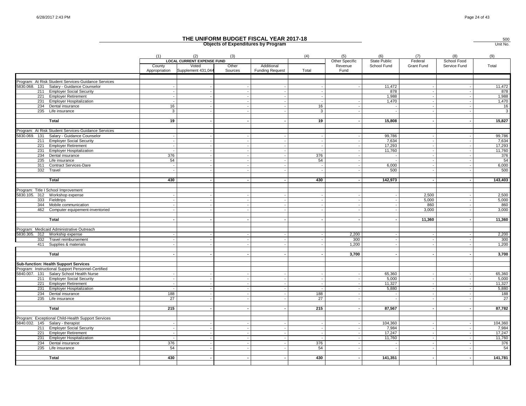|               |                                                                                                    |                                |                                          |                  | THE UNIFORM BUDGET FISCAL YEAR 2017-18<br><b>Objects of Expenditures by Program</b> |              |                       |                             |                       |                             | 500<br>Unit No. |
|---------------|----------------------------------------------------------------------------------------------------|--------------------------------|------------------------------------------|------------------|-------------------------------------------------------------------------------------|--------------|-----------------------|-----------------------------|-----------------------|-----------------------------|-----------------|
|               |                                                                                                    | (1)                            | (2)<br><b>LOCAL CURRENT EXPENSE FUND</b> | (3)              |                                                                                     | (4)          | (5)<br>Other Specific | (6)                         | (7)                   | (8)                         | (9)             |
|               |                                                                                                    | County<br>Appropriation        | Voted<br>Supplement 431,044              | Other<br>Sources | Additional<br><b>Funding Request</b>                                                | Total        | Revenue<br>Fund       | State Public<br>School Fund | Federal<br>Grant Fund | School Food<br>Service Fund | Total           |
|               | Program: At Risk Student Services-Guidance Services                                                |                                |                                          |                  |                                                                                     |              |                       |                             |                       |                             |                 |
|               | 5830.068. 131 Salary - Guidance Counselor                                                          |                                |                                          |                  |                                                                                     |              |                       | 11,472                      |                       |                             | 11,472          |
|               | 211 Employer Social Security                                                                       |                                |                                          |                  |                                                                                     |              |                       | 878                         |                       |                             | 878             |
| 221           | <b>Employer Retirement</b>                                                                         |                                |                                          |                  | $\overline{\phantom{a}}$                                                            |              |                       | 1,988                       |                       |                             | 1,988           |
| 231           | <b>Employer Hospitalization</b>                                                                    |                                |                                          |                  |                                                                                     |              |                       | 1,470                       |                       |                             | 1,470           |
|               | 234 Dental insurance                                                                               | 16<br>3                        |                                          |                  |                                                                                     | 16           |                       |                             |                       |                             | 16              |
|               | 235 Life insurance                                                                                 |                                |                                          |                  |                                                                                     | 3            |                       |                             |                       |                             | $\mathbf{3}$    |
|               | <b>Total</b>                                                                                       | 19                             |                                          |                  |                                                                                     | 19           |                       | 15,808                      |                       |                             | 15,827          |
|               | Program: At Risk Student Services-Guidance Services                                                |                                |                                          |                  |                                                                                     |              |                       |                             |                       |                             |                 |
| 5830.069. 131 | Salary - Guidance Counselor                                                                        |                                |                                          |                  |                                                                                     |              |                       | 99,786                      |                       |                             | 99,786          |
|               | 211 Employer Social Security                                                                       |                                |                                          |                  |                                                                                     |              |                       | 7,634                       |                       |                             | 7,634           |
|               | 221 Employer Retirement                                                                            |                                |                                          |                  | $\overline{a}$                                                                      |              |                       | 17,293                      |                       |                             | 17,293          |
|               | 231 Employer Hospitalization                                                                       |                                |                                          |                  | $\sim$                                                                              |              |                       | 11,760                      |                       |                             | 11,760          |
| 234           | Dental insurance                                                                                   | 376                            |                                          |                  |                                                                                     | 376          |                       |                             |                       |                             | 376             |
| 235           | Life insurance<br>311 Contract Services-Dare                                                       | 54<br>$\overline{\phantom{a}}$ |                                          | $\sim$           | $\sim$                                                                              | 54<br>$\sim$ |                       | 6,000                       |                       |                             | 54<br>6,000     |
| 332           | Travel                                                                                             |                                |                                          |                  |                                                                                     |              |                       | 500                         |                       |                             | 500             |
|               |                                                                                                    |                                |                                          |                  |                                                                                     |              |                       |                             |                       |                             |                 |
|               | Total                                                                                              | 430                            |                                          |                  |                                                                                     | 430          |                       | 142,973                     |                       |                             | 143,403         |
|               | Program: Title I School Improvement                                                                |                                |                                          |                  |                                                                                     |              |                       |                             |                       |                             |                 |
|               | 5830.105. 312 Workshop expense                                                                     |                                |                                          |                  |                                                                                     |              |                       |                             | 2,500                 |                             | 2,500           |
|               | 333 Fieldtrips                                                                                     |                                |                                          |                  |                                                                                     |              |                       |                             | 5,000                 |                             | 5,000           |
|               | 344 Mobile communication                                                                           |                                |                                          |                  | $\overline{\phantom{a}}$                                                            |              |                       |                             | 860                   |                             | 860             |
|               | 462 Computer equipement-inventoried                                                                |                                |                                          |                  |                                                                                     |              |                       |                             | 3,000                 |                             | 3,000           |
|               | Total                                                                                              |                                |                                          |                  |                                                                                     |              |                       |                             | 11,360                |                             | 11,360          |
|               | Program: Medicaid Administrative Outreach                                                          |                                |                                          |                  |                                                                                     |              |                       |                             |                       |                             |                 |
|               | 5830.305. 312 Workship expense                                                                     |                                |                                          |                  |                                                                                     |              | 2,200                 |                             |                       |                             | 2,200           |
|               | 332 Travel reimbursement                                                                           |                                |                                          |                  |                                                                                     |              | 300                   |                             |                       |                             | 300             |
|               | 411 Supplies & materials                                                                           |                                |                                          |                  | $\sim$                                                                              |              | 1,200                 |                             |                       |                             | 1,200           |
|               |                                                                                                    |                                |                                          |                  |                                                                                     |              |                       |                             |                       |                             |                 |
|               | Total                                                                                              |                                |                                          |                  |                                                                                     |              | 3,700                 |                             |                       |                             | 3,700           |
|               |                                                                                                    |                                |                                          |                  |                                                                                     |              |                       |                             |                       |                             |                 |
|               | <b>Sub-function: Health Support Services</b><br>Program: Instructional Support Personnel-Certified |                                |                                          |                  |                                                                                     |              |                       |                             |                       |                             |                 |
|               | 5840.007. 131 Salary School Health Nurse                                                           |                                |                                          |                  |                                                                                     |              |                       | 65,360                      |                       |                             | 65,360          |
|               | 211 Employer Social Security                                                                       |                                |                                          |                  |                                                                                     |              |                       | 5,000                       |                       |                             | 5,000           |
|               | 221 Employer Retirement                                                                            |                                |                                          |                  | $\overline{\phantom{a}}$                                                            |              |                       | 11,327                      |                       |                             | 11,327          |
| 231           | <b>Employer Hospitalization</b>                                                                    |                                |                                          |                  |                                                                                     |              |                       | 5,880                       |                       |                             | 5,880           |
|               | 234 Dental insurance                                                                               | 188                            |                                          |                  |                                                                                     | 188          |                       |                             |                       |                             | 188             |
|               | 235 Life insurance                                                                                 | 27                             |                                          |                  |                                                                                     | 27           |                       |                             |                       |                             | 27              |
|               | Total                                                                                              | 215                            |                                          |                  |                                                                                     | 215          |                       | 87,567                      |                       |                             | 87,782          |
|               | Program: Exceptional Child-Health Support Services                                                 |                                |                                          |                  |                                                                                     |              |                       |                             |                       |                             |                 |
|               | 5840.032. 145 Salary - therapist                                                                   |                                |                                          |                  | $\overline{\phantom{a}}$                                                            |              |                       | 104,360                     |                       |                             | 104,360         |
|               | 211 Employer Social Security                                                                       |                                |                                          |                  |                                                                                     |              |                       | 7,984                       |                       |                             | 7,984           |
| 221           | <b>Employer Retirement</b>                                                                         |                                |                                          |                  |                                                                                     |              |                       | 17,247                      |                       |                             | 17,247          |
| 231           | <b>Employer Hospitalization</b>                                                                    |                                |                                          |                  |                                                                                     |              |                       | 11,760                      |                       |                             | 11,760          |
| 234           | Dental insurance                                                                                   | 376                            |                                          |                  |                                                                                     | 376          |                       |                             |                       |                             | 376             |
|               | 235 Life insurance                                                                                 | 54                             |                                          |                  |                                                                                     | 54           |                       |                             |                       |                             | 54              |
|               |                                                                                                    |                                |                                          |                  |                                                                                     |              |                       |                             |                       |                             |                 |
|               | <b>Total</b>                                                                                       | 430                            |                                          |                  |                                                                                     | 430          |                       | 141,351                     |                       |                             | 141,781         |
|               |                                                                                                    |                                |                                          |                  |                                                                                     |              |                       |                             |                       |                             |                 |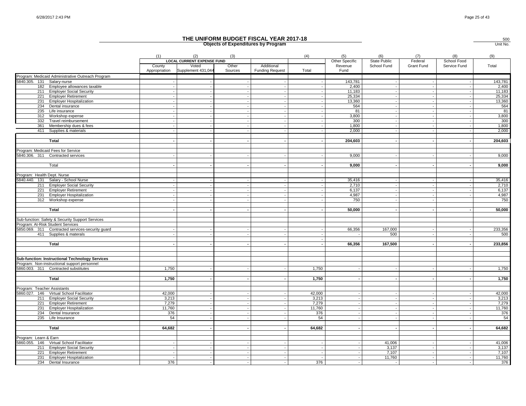|                             |                                                   |                          |                                                   |                          | THE UNIFORM BUDGET FISCAL YEAR 2017-18<br><b>Objects of Expenditures by Program</b> |                |                                  |                                    |                              |                                    | 500<br>Unit No. |
|-----------------------------|---------------------------------------------------|--------------------------|---------------------------------------------------|--------------------------|-------------------------------------------------------------------------------------|----------------|----------------------------------|------------------------------------|------------------------------|------------------------------------|-----------------|
|                             |                                                   | (1)<br>County            | (2)<br><b>LOCAL CURRENT EXPENSE FUND</b><br>Voted | (3)<br>Other             | Additional                                                                          | (4)            | (5)<br>Other Specific<br>Revenue | (6)<br>State Public<br>School Fund | (7)<br>Federal<br>Grant Fund | (8)<br>School Food<br>Service Fund | (9)<br>Total    |
|                             |                                                   | Appropriation            | Supplement 431,044                                | Sources                  | <b>Funding Request</b>                                                              | Total          | Fund                             |                                    |                              |                                    |                 |
|                             | Program: Medicaid Administrative Outreach Program |                          |                                                   |                          |                                                                                     |                |                                  |                                    |                              |                                    |                 |
| 5840.305. 131 Salary-nurse  |                                                   |                          |                                                   |                          |                                                                                     |                | 143,781                          |                                    |                              |                                    | 143,781         |
|                             | 182 Employee allowances taxable                   |                          |                                                   |                          |                                                                                     |                | 2,400                            |                                    |                              |                                    | 2,400           |
|                             | 211 Employer Social Security                      |                          |                                                   |                          |                                                                                     |                | 11,183                           |                                    |                              |                                    | 11,183          |
| 221                         | <b>Employer Retirement</b>                        |                          |                                                   | $\overline{\phantom{a}}$ | $\overline{a}$                                                                      |                | 25,334                           |                                    |                              |                                    | 25,334          |
| 231                         | <b>Employer Hospitalization</b>                   |                          |                                                   |                          |                                                                                     |                | 13,360                           |                                    |                              |                                    | 13,360          |
| 234                         | Dental insurance                                  |                          |                                                   |                          |                                                                                     |                | 564                              |                                    |                              |                                    | 564             |
|                             | 235 Life insurance                                |                          |                                                   |                          |                                                                                     |                | 81                               |                                    |                              |                                    | 81              |
| 312                         | Workshop expense                                  |                          |                                                   |                          | $\overline{a}$                                                                      |                | 3,800                            |                                    |                              |                                    | 3,800           |
| 332                         | Travel reimbursement                              |                          |                                                   |                          |                                                                                     |                | 300                              |                                    |                              |                                    | 300<br>1,800    |
| 361<br>411                  | Membership dues & fees                            |                          |                                                   |                          |                                                                                     |                | 1,800                            |                                    |                              |                                    |                 |
|                             | Supplies & materials                              |                          |                                                   |                          |                                                                                     |                | 2,000                            |                                    |                              |                                    | 2,000           |
|                             | <b>Total</b>                                      |                          |                                                   |                          | $\overline{\phantom{a}}$                                                            |                | 204,603                          |                                    |                              |                                    | 204,603         |
|                             |                                                   |                          |                                                   |                          |                                                                                     |                |                                  |                                    |                              |                                    |                 |
|                             | Program: Medicaid Fees for Service                |                          |                                                   |                          |                                                                                     |                |                                  |                                    |                              |                                    |                 |
|                             | 5840.306. 311 Contracted services                 |                          |                                                   |                          |                                                                                     |                | 9,000                            |                                    |                              |                                    | 9,000           |
|                             |                                                   |                          |                                                   |                          |                                                                                     |                |                                  |                                    |                              |                                    |                 |
|                             | Total                                             |                          |                                                   |                          |                                                                                     |                | 9,000                            |                                    |                              |                                    | 9,000           |
|                             |                                                   |                          |                                                   |                          |                                                                                     |                |                                  |                                    |                              |                                    |                 |
| Program: Health Dept. Nurse |                                                   |                          |                                                   |                          |                                                                                     |                |                                  |                                    |                              |                                    |                 |
|                             | 5840.440. 131 Salary - School Nurse               |                          |                                                   |                          |                                                                                     |                | 35,416                           |                                    |                              |                                    | 35,416          |
|                             | 211 Employer Social Security                      |                          |                                                   |                          |                                                                                     |                | 2,710                            |                                    |                              |                                    | 2,710           |
| 221                         | <b>Employer Retirement</b>                        |                          |                                                   |                          |                                                                                     |                | 6.137                            |                                    |                              |                                    | 6,137           |
| 231                         | <b>Employer Hospitalization</b>                   |                          |                                                   |                          |                                                                                     |                | 4,987                            |                                    |                              |                                    | 4,987           |
| 312                         | Workshop expense                                  |                          |                                                   |                          |                                                                                     |                | 750                              |                                    |                              |                                    | 750             |
|                             |                                                   |                          |                                                   |                          |                                                                                     |                |                                  |                                    |                              |                                    |                 |
|                             | <b>Total</b>                                      |                          |                                                   |                          |                                                                                     |                | 50,000                           |                                    |                              |                                    | 50,000          |
|                             | Sub-function: Safety & Security Support Services  |                          |                                                   |                          |                                                                                     |                |                                  |                                    |                              |                                    |                 |
|                             | Program: At-Risk Student Services                 |                          |                                                   |                          |                                                                                     |                |                                  |                                    |                              |                                    |                 |
|                             | 5850.069. 311 Contracted services-security guard  |                          |                                                   |                          |                                                                                     |                | 66,356                           | 167,000                            |                              |                                    | 233,356         |
|                             | 411 Supplies & materals                           |                          |                                                   |                          |                                                                                     |                |                                  | 500                                |                              |                                    | 500             |
|                             |                                                   |                          |                                                   |                          |                                                                                     |                |                                  |                                    |                              |                                    |                 |
|                             | Total                                             |                          |                                                   |                          |                                                                                     |                | 66,356                           | 167,500                            |                              |                                    | 233,856         |
|                             |                                                   |                          |                                                   |                          |                                                                                     |                |                                  |                                    |                              |                                    |                 |
|                             |                                                   |                          |                                                   |                          |                                                                                     |                |                                  |                                    |                              |                                    |                 |
|                             | Sub-function: Instructional Technology Services   |                          |                                                   |                          |                                                                                     |                |                                  |                                    |                              |                                    |                 |
|                             | Program: Non-instructional support personnel      |                          |                                                   |                          |                                                                                     |                |                                  |                                    |                              |                                    |                 |
|                             | 5860.003. 311 Contracted substitutes              | 1,750                    |                                                   |                          |                                                                                     | 1,750          |                                  |                                    |                              |                                    | 1,750           |
|                             | Total                                             |                          |                                                   |                          |                                                                                     |                |                                  |                                    |                              |                                    | 1,750           |
|                             |                                                   | 1,750                    |                                                   |                          |                                                                                     | 1,750          |                                  |                                    |                              |                                    |                 |
| Program: Teacher Assistants |                                                   |                          |                                                   |                          |                                                                                     |                |                                  |                                    |                              |                                    |                 |
|                             | 5860.027. 146 Virtual School Facilitator          | 42,000                   |                                                   |                          | $\overline{\phantom{a}}$                                                            | 42,000         |                                  |                                    |                              |                                    | 42,000          |
|                             | 211 Employer Social Security                      | 3,213                    |                                                   |                          | $\sim$                                                                              | 3,213          |                                  |                                    |                              | $\overline{\phantom{a}}$           | 3,213           |
| 221                         | <b>Employer Retirement</b>                        | 7,279                    |                                                   |                          |                                                                                     | 7,279          |                                  |                                    |                              |                                    | 7,279           |
| 231                         | <b>Employer Hospitalization</b>                   | 11,760                   |                                                   |                          |                                                                                     | 11,760         |                                  |                                    |                              |                                    | 11,760          |
|                             | 234 Dental Insurance                              | 376                      |                                                   |                          |                                                                                     | 376            |                                  |                                    |                              |                                    | 376             |
|                             | 235 Life Insurance                                | 54                       |                                                   | $\sim$                   | $\sim$                                                                              | 54             |                                  |                                    |                              |                                    | 54              |
|                             |                                                   |                          |                                                   |                          |                                                                                     |                |                                  |                                    |                              |                                    |                 |
|                             | Total                                             | 64,682                   |                                                   | $\sim$                   | $\blacksquare$                                                                      | 64,682         |                                  |                                    |                              |                                    | 64,682          |
|                             |                                                   |                          |                                                   |                          |                                                                                     |                |                                  |                                    |                              |                                    |                 |
| Program: Learn & Earn       |                                                   |                          |                                                   |                          |                                                                                     |                |                                  |                                    |                              |                                    |                 |
|                             | 5860.055. 146 Virtual School Facilitator          |                          |                                                   |                          |                                                                                     |                |                                  | 41,006                             |                              |                                    | 41,006          |
|                             | 211 Employer Social Security                      |                          |                                                   | $\sim$                   | $\sim$                                                                              |                |                                  | 3,137                              |                              |                                    | 3,137           |
| 221                         | <b>Employer Retirement</b>                        |                          |                                                   |                          |                                                                                     |                |                                  | 7,107                              |                              |                                    | 7,107           |
|                             | 231 Employer Hospitalization                      | $\overline{\phantom{a}}$ |                                                   | $\sim$                   | $\sim$                                                                              | $\overline{a}$ |                                  | 11,760                             |                              |                                    | 11,760          |
|                             | 234 Dental Insurance                              | 376                      |                                                   | $\sim$                   | $\sim$                                                                              | 376            |                                  |                                    |                              |                                    | 376             |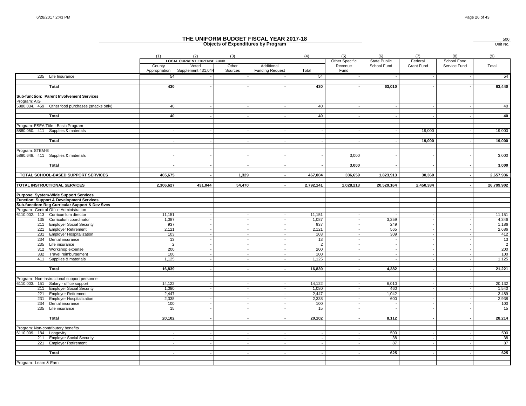|                                                         |                         |                                                                  |                          | THE UNIFORM BUDGET FISCAL YEAR 2017-18<br><b>Objects of Expenditures by Program</b> |              |                                   |                                    |                       |                             | 500<br>Unit No. |
|---------------------------------------------------------|-------------------------|------------------------------------------------------------------|--------------------------|-------------------------------------------------------------------------------------|--------------|-----------------------------------|------------------------------------|-----------------------|-----------------------------|-----------------|
|                                                         | (1)                     | (2)                                                              | (3)                      |                                                                                     | (4)          | (5)                               | (6)                                | (7)                   | (8)                         | (9)             |
|                                                         | County<br>Appropriation | <b>LOCAL CURRENT EXPENSE FUND</b><br>Voted<br>Supplement 431,044 | Other<br>Sources         | Additional<br><b>Funding Request</b>                                                | Total        | Other Specific<br>Revenue<br>Fund | <b>State Public</b><br>School Fund | Federal<br>Grant Fund | School Food<br>Service Fund | Total           |
| 235 Life Insurance                                      | 54                      |                                                                  |                          |                                                                                     | 54           |                                   |                                    |                       |                             | 54              |
|                                                         |                         |                                                                  |                          |                                                                                     | 430          |                                   |                                    |                       |                             | 63,440          |
| Total                                                   | 430                     |                                                                  |                          |                                                                                     |              |                                   | 63,010                             |                       |                             |                 |
| Sub-function: Parent Involvement Services               |                         |                                                                  |                          |                                                                                     |              |                                   |                                    |                       |                             |                 |
| Program: AIG                                            |                         |                                                                  |                          |                                                                                     |              |                                   |                                    |                       |                             |                 |
| 5880.034. 459<br>Other food purchases (snacks only)     | 40                      |                                                                  |                          |                                                                                     | 40           |                                   |                                    |                       |                             | 40              |
| Total                                                   | 40                      |                                                                  |                          |                                                                                     | 40           |                                   |                                    |                       |                             | 40              |
| Program: ESEA Title I-Basic Program                     |                         |                                                                  |                          |                                                                                     |              |                                   |                                    |                       |                             |                 |
| 5880.050. 411 Supplies & materials                      |                         |                                                                  |                          |                                                                                     |              |                                   |                                    | 19,000                |                             | 19,000          |
|                                                         |                         |                                                                  |                          |                                                                                     |              |                                   |                                    |                       |                             |                 |
| Total                                                   |                         |                                                                  |                          |                                                                                     |              |                                   |                                    | 19,000                |                             | 19,000          |
| Program: STEM-E                                         |                         |                                                                  |                          |                                                                                     |              |                                   |                                    |                       |                             |                 |
| 5880.648. 411 Supplies & materials                      |                         |                                                                  |                          |                                                                                     |              | 3,000                             |                                    |                       |                             | 3,000           |
| <b>Total</b>                                            |                         |                                                                  | $\overline{\phantom{a}}$ | . —                                                                                 |              | 3,000                             |                                    |                       |                             | 3,000           |
|                                                         |                         |                                                                  |                          |                                                                                     |              |                                   |                                    |                       |                             |                 |
| TOTAL SCHOOL-BASED SUPPORT SERVICES                     | 465,675                 |                                                                  | 1,329                    |                                                                                     | 467,004      | 336,659                           | 1,823,913                          | 30,360                |                             | 2,657,936       |
| TOTAL INSTRUCTIONAL SERVICES                            | 2,306,627               | 431,044                                                          | 54,470                   |                                                                                     | 2,792,141    | 1,028,213                         | 20,529,164                         | 2,450,384             |                             | 26,799,902      |
| <b>Purpose: System-Wide Support Services</b>            |                         |                                                                  |                          |                                                                                     |              |                                   |                                    |                       |                             |                 |
| <b>Function: Support &amp; Development Services</b>     |                         |                                                                  |                          |                                                                                     |              |                                   |                                    |                       |                             |                 |
| Sub-function: Reg Curricular Support & Dev Svcs         |                         |                                                                  |                          |                                                                                     |              |                                   |                                    |                       |                             |                 |
| Program: Central Office Administration                  |                         |                                                                  |                          |                                                                                     |              |                                   |                                    |                       |                             |                 |
| 6110.002. 113 Curricumlum director                      | 11,151                  |                                                                  |                          |                                                                                     | 11,151       |                                   |                                    |                       |                             | 11,151          |
| 135 Curriculum coordinator                              | 1,087                   |                                                                  |                          |                                                                                     | 1,087        |                                   | 3,259                              |                       |                             | 4,346           |
| 211 Employer Social Security<br>221 Employer Retirement | 937<br>2,121            |                                                                  |                          |                                                                                     | 937<br>2,121 |                                   | 249<br>565                         |                       |                             | 1,186<br>2,686  |
| 231 Employer Hospitalization                            | 103                     |                                                                  | $\sim$                   |                                                                                     | 103          |                                   | 309                                |                       |                             | 412             |
| 234 Dental insurance                                    | 13                      |                                                                  |                          |                                                                                     | 13           |                                   | $\overline{\phantom{a}}$           |                       |                             | 13              |
| 235 Life insurance                                      | $\overline{2}$          |                                                                  | $\sim$                   | $\sim$                                                                              | 2            |                                   |                                    |                       |                             | $\overline{2}$  |
| 312<br>Workshop expense                                 | 200                     |                                                                  | $\sim$                   | $\sim$                                                                              | 200          |                                   |                                    | $\sim$                |                             | 200             |
| 332<br>Travel reimbursement                             | 100                     |                                                                  |                          |                                                                                     | 100          |                                   |                                    |                       |                             | 100             |
| 411<br>Supplies & materials                             | 1,125                   |                                                                  |                          |                                                                                     | 1,125        |                                   |                                    |                       |                             | 1,125           |
| <b>Total</b>                                            | 16,839                  |                                                                  |                          |                                                                                     | 16,839       |                                   | 4,382                              |                       |                             | 21,221          |
| Program: Non-instructional support personnel            |                         |                                                                  |                          |                                                                                     |              |                                   |                                    |                       |                             |                 |
| 6110.003. 151 Salary - office support                   | 14,122                  |                                                                  |                          |                                                                                     | 14,122       |                                   | 6,010                              |                       |                             | 20,132          |
| 211 Employer Social Security                            | 1,080                   |                                                                  | $\overline{\phantom{a}}$ | $\sim$                                                                              | 1,080        |                                   | 460                                |                       |                             | 1,540           |
| <b>Employer Retirement</b><br>221                       | 2,447                   |                                                                  |                          |                                                                                     | 2,447        |                                   | 1,042                              |                       |                             | 3,489           |
| 231 Employer Hospitalization                            | 2,338                   |                                                                  |                          |                                                                                     | 2,338        |                                   | 600                                |                       |                             | 2,938           |
| 234<br>Dental insurance                                 | 100                     |                                                                  |                          |                                                                                     | 100          |                                   |                                    |                       |                             | 100             |
| 235<br>Life insurance                                   | 15                      |                                                                  |                          |                                                                                     | 15           |                                   | $\overline{\phantom{a}}$           |                       |                             | 15              |
| <b>Total</b>                                            | 20,102                  |                                                                  |                          |                                                                                     | 20,102       | $\overline{\phantom{a}}$          | 8,112                              |                       |                             | 28,214          |
| Program: Non-contributory benefits                      |                         |                                                                  |                          |                                                                                     |              |                                   |                                    |                       |                             |                 |
| 6110.009. 184 Longevity                                 |                         |                                                                  |                          |                                                                                     |              |                                   | 500                                |                       |                             | 500             |
| 211 Employer Social Security                            |                         |                                                                  |                          |                                                                                     |              |                                   | 38                                 |                       |                             | 38              |
| 221 Employer Retirement                                 |                         |                                                                  |                          |                                                                                     |              |                                   | 87                                 |                       |                             | 87              |
|                                                         |                         |                                                                  |                          |                                                                                     |              |                                   |                                    |                       |                             |                 |
| Total                                                   |                         |                                                                  |                          |                                                                                     |              |                                   | 625                                |                       |                             | 625             |
| Program: Learn & Earn                                   |                         |                                                                  |                          |                                                                                     |              |                                   |                                    |                       |                             |                 |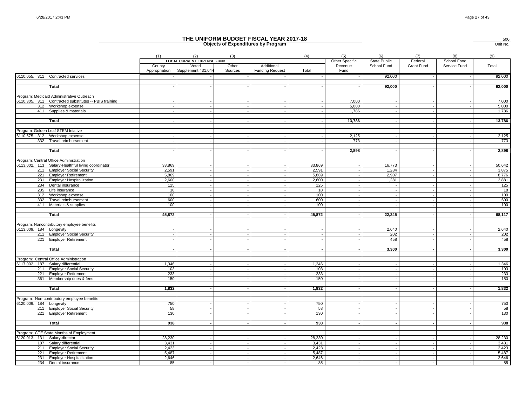|                               |                                                            |                         |                                          |                  | THE UNIFORM BUDGET FISCAL YEAR 2017-18<br><b>Objects of Expenditures by Program</b> |                |                                   |                             |                       |                             | 500<br>Unit No. |
|-------------------------------|------------------------------------------------------------|-------------------------|------------------------------------------|------------------|-------------------------------------------------------------------------------------|----------------|-----------------------------------|-----------------------------|-----------------------|-----------------------------|-----------------|
|                               |                                                            | (1)                     | (2)<br><b>LOCAL CURRENT EXPENSE FUND</b> | (3)              |                                                                                     | (4)            | (5)                               | (6)                         | (7)                   | (8)                         | (9)             |
|                               |                                                            | County<br>Appropriation | Voted<br>Supplement 431,044              | Other<br>Sources | Additional<br><b>Funding Request</b>                                                | Total          | Other Specific<br>Revenue<br>Fund | State Public<br>School Fund | Federal<br>Grant Fund | School Food<br>Service Fund | Total           |
|                               | 6110.055. 311 Contracted services                          |                         |                                          |                  |                                                                                     |                |                                   | 92,000                      |                       |                             | 92,000          |
|                               | Total                                                      |                         |                                          |                  |                                                                                     |                |                                   | 92,000                      |                       |                             | 92,000          |
|                               |                                                            |                         |                                          |                  |                                                                                     |                |                                   |                             |                       |                             |                 |
|                               | Program: Medicaid Administrative Outreach                  |                         |                                          |                  |                                                                                     |                |                                   |                             |                       |                             |                 |
|                               | 6110.305. 311 Contracted substitutes -- PBIS training      |                         |                                          |                  |                                                                                     |                | 7,000                             |                             |                       |                             | 7,000           |
|                               | 312 Workshop expense                                       |                         |                                          |                  |                                                                                     |                | 5,000                             |                             |                       |                             | 5,000           |
|                               | 411 Supplies & materials                                   |                         |                                          |                  |                                                                                     |                | 1,786                             |                             |                       |                             | 1,786           |
|                               | Total                                                      |                         |                                          |                  |                                                                                     |                | 13,786                            |                             |                       |                             | 13,786          |
|                               |                                                            |                         |                                          |                  |                                                                                     |                |                                   |                             |                       |                             |                 |
|                               | Program: Golden Leaf STEM Iniative                         |                         |                                          |                  |                                                                                     |                |                                   |                             |                       |                             |                 |
|                               | 6110.575. 312 Workshop expense<br>332 Travel reimbursement |                         |                                          |                  |                                                                                     |                | 2,125<br>773                      |                             |                       |                             | 2,125<br>773    |
|                               |                                                            |                         |                                          |                  |                                                                                     |                |                                   |                             |                       |                             |                 |
|                               | Total                                                      |                         |                                          |                  | $\overline{\phantom{a}}$                                                            |                | 2,898                             |                             |                       |                             | 2,898           |
|                               |                                                            |                         |                                          |                  |                                                                                     |                |                                   |                             |                       |                             |                 |
|                               | Program: Central Office Administration                     |                         |                                          |                  |                                                                                     |                |                                   |                             |                       |                             |                 |
|                               | 6113.002. 113 Salary-Healthful living coordinator          | 33,869                  |                                          |                  |                                                                                     | 33,869         |                                   | 16,773                      |                       |                             | 50,642          |
|                               | 211 Employer Social Security                               | 2,591                   |                                          |                  |                                                                                     | 2,591          |                                   | 1,284                       |                       |                             | 3,875           |
|                               | 221 Employer Retirement                                    | 5,869                   |                                          |                  | $\overline{\phantom{a}}$                                                            | 5,869          |                                   | 2,907                       |                       |                             | 8,776           |
| 231                           | <b>Employer Hospitalization</b><br>234 Dental insurance    | 2,600<br>125            |                                          |                  |                                                                                     | 2,600<br>125   |                                   | 1,281                       |                       |                             | 3,881<br>125    |
|                               | 235 Life insurance                                         | 18                      |                                          |                  |                                                                                     | 18             |                                   |                             |                       |                             | 18              |
|                               | 312 Workshop expense                                       | 100                     |                                          |                  |                                                                                     | 100            |                                   |                             |                       |                             | 100             |
| 332                           | Travel reimbursement                                       | 600                     |                                          |                  |                                                                                     | 600            |                                   |                             |                       |                             | 600             |
|                               | 411 Materials & supplies                                   | 100                     |                                          |                  |                                                                                     | 100            |                                   |                             |                       |                             | 100             |
|                               |                                                            |                         |                                          |                  |                                                                                     |                |                                   |                             |                       |                             |                 |
|                               | Total                                                      | 45,872                  |                                          |                  | $\blacksquare$                                                                      | 45,872         | $\overline{\phantom{a}}$          | 22,245                      |                       | ÷                           | 68,117          |
|                               |                                                            |                         |                                          |                  |                                                                                     |                |                                   |                             |                       |                             |                 |
|                               | Program: Noncontributory employee benefits                 |                         |                                          |                  |                                                                                     |                |                                   |                             |                       |                             |                 |
| 6113.009. 184 Longevity       |                                                            |                         |                                          |                  |                                                                                     |                |                                   | 2,640                       |                       |                             | 2,640           |
|                               | 211 Employer Social Security                               |                         |                                          |                  |                                                                                     |                |                                   | 202                         |                       |                             | 202             |
|                               | 221 Employer Retirement                                    |                         |                                          |                  |                                                                                     |                |                                   | 458                         |                       |                             | 458             |
|                               | Total                                                      |                         |                                          |                  | $\overline{\phantom{a}}$                                                            |                |                                   | 3,300                       |                       | $\overline{\phantom{a}}$    | 3,300           |
|                               |                                                            |                         |                                          |                  |                                                                                     |                |                                   |                             |                       |                             |                 |
|                               | Program: Central Office Administration                     |                         |                                          |                  |                                                                                     |                |                                   |                             |                       |                             |                 |
|                               | 6117.002. 187 Salary differential                          | 1,346                   |                                          |                  |                                                                                     | 1,346          |                                   |                             |                       |                             | 1,346           |
|                               | 211 Employer Social Security                               | 103                     |                                          |                  |                                                                                     | 103            |                                   |                             |                       |                             | 103             |
|                               | 221 Employer Retirement                                    | 233                     |                                          |                  |                                                                                     | 233            |                                   |                             |                       |                             | 233             |
|                               | 361 Membership dues & fees                                 | 150                     |                                          |                  |                                                                                     | 150            |                                   |                             |                       |                             | 150             |
|                               |                                                            |                         |                                          |                  |                                                                                     |                |                                   |                             |                       |                             |                 |
|                               | <b>Total</b>                                               | 1,832                   |                                          |                  | $\overline{\phantom{a}}$                                                            | 1,832          |                                   |                             |                       | $\overline{\phantom{a}}$    | 1,832           |
|                               | Program: Non-contributory employee benefits                |                         |                                          |                  |                                                                                     |                |                                   |                             |                       |                             |                 |
| 6120.009. 184 Longevity       |                                                            | 750                     |                                          |                  |                                                                                     | 750            |                                   |                             |                       |                             | 750             |
|                               | 211 Employer Social Security                               | 58                      |                                          |                  |                                                                                     | 58             |                                   |                             |                       |                             | 58              |
|                               | 221 Employer Retirement                                    | 130                     |                                          |                  |                                                                                     | 130            |                                   |                             |                       |                             | 130             |
|                               |                                                            |                         |                                          |                  |                                                                                     |                |                                   |                             |                       |                             |                 |
|                               | <b>Total</b>                                               | 938                     |                                          |                  |                                                                                     | 938            |                                   |                             |                       |                             | 938             |
|                               |                                                            |                         |                                          |                  |                                                                                     |                |                                   |                             |                       |                             |                 |
|                               | Program: CTE State Months of Employment                    |                         |                                          |                  |                                                                                     |                |                                   |                             |                       |                             |                 |
| 6120.013. 131 Salary-director |                                                            | 28,230                  |                                          |                  |                                                                                     | 28,230         |                                   |                             |                       |                             | 28,230          |
|                               | 187 Salary differential<br>211 Employer Social Security    | 3,431<br>2,423          |                                          |                  | $\sim$                                                                              | 3,431<br>2,423 |                                   |                             |                       |                             | 3,431<br>2,423  |
|                               | 221 Employer Retirement                                    | 5,487                   |                                          |                  |                                                                                     | 5,487          |                                   |                             |                       |                             | 5,487           |
|                               | 231 Employer Hospitalization                               | 2,646                   |                                          |                  |                                                                                     | 2,646          |                                   |                             |                       |                             | 2,646           |
|                               | 234 Dental insurance                                       | 85                      |                                          |                  |                                                                                     | 85             |                                   |                             |                       |                             | 85              |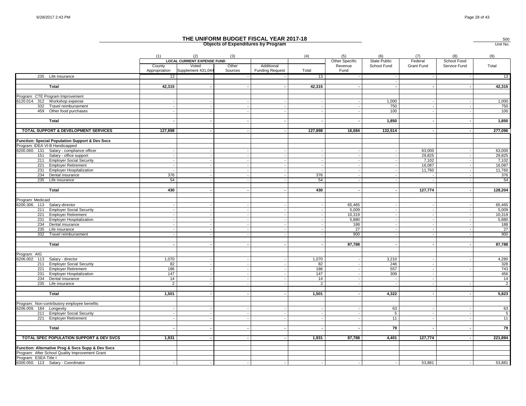|                                                         |                         |                                          |                  | THE UNIFORM BUDGET FISCAL YEAR 2017-18<br><b>Objects of Expenditures by Program</b> |                |                       |                            |                  |                          | 500<br>Unit No. |
|---------------------------------------------------------|-------------------------|------------------------------------------|------------------|-------------------------------------------------------------------------------------|----------------|-----------------------|----------------------------|------------------|--------------------------|-----------------|
|                                                         | (1)                     | (2)<br><b>LOCAL CURRENT EXPENSE FUND</b> | (3)              |                                                                                     | (4)            | (5)<br>Other Specific | (6)<br><b>State Public</b> | (7)<br>Federal   | (8)<br>School Food       | (9)             |
|                                                         | County<br>Appropriation | Voted<br>Supplement 431,044              | Other<br>Sources | Additional<br><b>Funding Request</b>                                                | Total          | Revenue<br>Fund       | School Fund                | Grant Fund       | Service Fund             | Total           |
| 235 Life insurance                                      | 13                      |                                          |                  |                                                                                     | 13             |                       |                            |                  |                          | 13              |
| Total                                                   | 42,315                  |                                          |                  | $\sim$                                                                              | 42,315         |                       |                            |                  | $\overline{\phantom{a}}$ | 42,315          |
| Program: CTE Program Improvement                        |                         |                                          |                  |                                                                                     |                |                       |                            |                  |                          |                 |
| 6120.014. 312 Workshop expense                          |                         |                                          |                  |                                                                                     |                |                       | 1,000                      |                  |                          | 1,000           |
| 332 Travel reimbursement                                |                         |                                          |                  |                                                                                     |                |                       | 750                        |                  |                          | 750             |
| 459 Other food purchases                                |                         |                                          |                  |                                                                                     |                |                       | 100                        |                  |                          | 100             |
| Total                                                   |                         |                                          |                  |                                                                                     |                |                       | 1,850                      |                  |                          | 1,850           |
| TOTAL SUPPORT & DEVELOPMENT SERVICES                    | 127,898                 |                                          | $\sim$           | $\overline{a}$                                                                      | 127,898        | 16,684                | 132,514                    |                  | ٠.                       | 277,096         |
| Function: Special Population Support & Dev Svcs         |                         |                                          |                  |                                                                                     |                |                       |                            |                  |                          |                 |
| Program: IDEA VI-B Handicapped                          |                         |                                          |                  |                                                                                     |                |                       |                            |                  |                          |                 |
| 6200.060. 131 Salary - compliance officer               |                         |                                          |                  |                                                                                     |                |                       |                            | 63,000           |                          | 63,000          |
| 151 Salary - office support                             |                         |                                          |                  |                                                                                     |                |                       |                            | 29,825           |                          | 29,825          |
| 211 Employer Social Security                            |                         |                                          |                  | $\overline{a}$                                                                      |                |                       |                            | 7,102            |                          | 7,102<br>16,087 |
| 221 Employer Retirement<br>231 Employer Hospitalization | $\sim$                  |                                          |                  | $\sim$                                                                              |                |                       |                            | 16,087<br>11,760 |                          | 11,760          |
| 234 Dental insurance                                    | 376                     |                                          |                  |                                                                                     | 376            |                       |                            |                  |                          | 376             |
| 235<br>Life insurance                                   | 54                      |                                          |                  |                                                                                     | 54             |                       |                            |                  |                          | 54              |
|                                                         |                         |                                          |                  |                                                                                     |                |                       |                            |                  |                          |                 |
| <b>Total</b>                                            | 430                     |                                          |                  | $\overline{\phantom{a}}$                                                            | 430            |                       |                            | 127,774          |                          | 128,204         |
| Program: Medicaid                                       |                         |                                          |                  |                                                                                     |                |                       |                            |                  |                          |                 |
| 6200.306. 113 Salary-director                           |                         |                                          |                  |                                                                                     |                | 65.465                |                            |                  |                          | 65,465          |
| 211 Employer Social Security                            |                         |                                          |                  | $\sim$                                                                              |                | 5,009                 |                            |                  | $\overline{\phantom{a}}$ | 5,009           |
| 221 Employer Retirement                                 |                         |                                          |                  | $\sim$                                                                              |                | 10,319                |                            |                  |                          | 10,319          |
| 231 Employer Hospitalization                            |                         |                                          |                  |                                                                                     |                | 5,880                 |                            |                  |                          | 5,880           |
| 234 Dental insurance                                    |                         |                                          |                  |                                                                                     |                | 188                   |                            |                  |                          | 188             |
| 235 Life insurance                                      |                         |                                          |                  |                                                                                     |                | 27                    |                            |                  |                          | 27              |
| 332<br>Travel reimbursement                             |                         |                                          |                  |                                                                                     |                | 900                   |                            |                  |                          | 900             |
|                                                         |                         |                                          |                  |                                                                                     |                |                       |                            |                  |                          |                 |
| Total                                                   |                         |                                          |                  |                                                                                     |                | 87,788                |                            |                  |                          | 87,788          |
| Program: AIG                                            |                         |                                          |                  |                                                                                     |                |                       |                            |                  |                          |                 |
| 6206.002. 113<br>Salary - director                      | 1,070                   |                                          |                  |                                                                                     | 1,070          |                       | 3,210                      |                  |                          | 4,280           |
| 211<br><b>Employer Social Security</b>                  | 82                      |                                          |                  |                                                                                     | 82             |                       | 246                        |                  |                          | 328             |
| <b>Employer Retirement</b><br>221                       | 186                     |                                          |                  |                                                                                     | 186            |                       | 557                        |                  |                          | 743             |
| 231<br><b>Employer Hospitalization</b>                  | 147                     |                                          |                  | $\overline{a}$                                                                      | 147            |                       | 309                        |                  |                          | 456             |
| 234<br>Dental insurance                                 | 14                      |                                          |                  |                                                                                     | 14             |                       |                            |                  |                          | 14              |
| 235 Life insurance                                      | $\overline{2}$          |                                          |                  |                                                                                     | $\overline{2}$ |                       |                            |                  |                          | $\overline{2}$  |
|                                                         |                         |                                          |                  |                                                                                     |                |                       |                            |                  |                          |                 |
| Total                                                   | 1,501                   |                                          |                  | $\sim$                                                                              | 1,501          |                       | 4,322                      |                  |                          | 5,823           |
| Program: Non-contributory employee benefits             |                         |                                          |                  |                                                                                     |                |                       |                            |                  |                          |                 |
| 6206.009. 184 Longevity                                 |                         |                                          |                  |                                                                                     |                |                       | 63                         |                  |                          | 63              |
| 211 Employer Social Security                            |                         |                                          |                  |                                                                                     |                |                       | $\overline{5}$             |                  |                          | $\overline{5}$  |
| 221 Employer Retirement                                 |                         |                                          |                  | $\sim$                                                                              |                |                       | 11                         |                  |                          | 11              |
| <b>Total</b>                                            |                         |                                          |                  |                                                                                     |                |                       | 79                         |                  |                          | 79              |
|                                                         |                         |                                          |                  |                                                                                     |                |                       |                            |                  |                          |                 |
| TOTAL SPEC POPULATION SUPPORT & DEV SVCS                | 1,931                   |                                          |                  |                                                                                     | 1,931          | 87,788                | 4,401                      | 127,774          |                          | 221,894         |
| Function: Alternative Prog & Svcs Supp & Dev Svcs       |                         |                                          |                  |                                                                                     |                |                       |                            |                  |                          |                 |
| Program: After School Quality Improvement Grant         |                         |                                          |                  |                                                                                     |                |                       |                            |                  |                          |                 |
| Program: ESEA Title I                                   |                         |                                          |                  |                                                                                     |                |                       |                            |                  |                          |                 |
| 6300.050. 113 Salary - Coordinator                      |                         |                                          |                  |                                                                                     |                |                       |                            | 53,881           |                          | 53,881          |
|                                                         |                         |                                          |                  |                                                                                     |                |                       |                            |                  |                          |                 |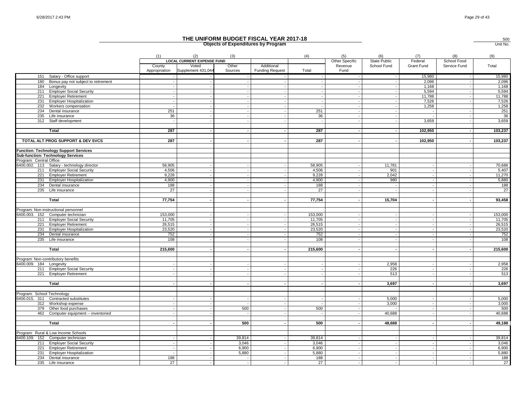|                            |                                              |                         |                                          |                          | THE UNIFORM BUDGET FISCAL YEAR 2017-18<br><b>Objects of Expenditures by Program</b> |         |                       |                     |                |                    | 500<br>Unit No. |
|----------------------------|----------------------------------------------|-------------------------|------------------------------------------|--------------------------|-------------------------------------------------------------------------------------|---------|-----------------------|---------------------|----------------|--------------------|-----------------|
|                            |                                              | (1)                     | (2)<br><b>LOCAL CURRENT EXPENSE FUND</b> | (3)                      |                                                                                     | (4)     | (5)<br>Other Specific | (6)<br>State Public | (7)<br>Federal | (8)<br>School Food | (9)             |
|                            |                                              | County<br>Appropriation | Voted<br>Supplement 431,044              | Other<br>Sources         | Additional<br><b>Funding Request</b>                                                | Total   | Revenue<br>Fund       | School Fund         | Grant Fund     | Service Fund       | Total           |
|                            | 151 Salary - Office support                  |                         |                                          |                          |                                                                                     |         |                       |                     | 15,980         |                    | 15,980          |
|                            | 180 Bonus pay not subject to retirement      |                         |                                          |                          | $\sim$                                                                              |         |                       |                     | 2,096          |                    | 2,096           |
| 184                        | Longevity                                    |                         |                                          |                          |                                                                                     |         |                       |                     | 1,168          |                    | 1,168           |
|                            | 211 Employer Social Security                 |                         |                                          |                          |                                                                                     |         |                       |                     | 5,594          |                    | 5,594           |
| 221                        | <b>Employer Retirement</b>                   |                         |                                          | $\sim$                   | $\overline{\phantom{a}}$                                                            |         |                       |                     | 11,788         |                    | 11,788          |
| 231                        | <b>Employer Hospitalization</b>              |                         |                                          |                          | $\overline{a}$                                                                      |         |                       |                     | 7,526          |                    | 7,526           |
| 232                        | Workers compensation                         |                         |                                          |                          | $\sim$                                                                              |         |                       |                     | 1,258          |                    | 1,258           |
| 234                        | Dental insurance                             | 251                     |                                          |                          |                                                                                     | 251     |                       |                     |                |                    | 251             |
| 235                        | Life insurance                               | 36                      |                                          |                          | $\sim$                                                                              | 36      |                       |                     |                |                    | 36              |
| 312                        | Staff development                            | $\sim$                  |                                          |                          |                                                                                     |         |                       |                     | 3,659          |                    | 3,659           |
|                            |                                              |                         |                                          |                          |                                                                                     |         |                       |                     |                |                    |                 |
|                            | Total                                        | 287                     |                                          |                          | ٠                                                                                   | 287     |                       |                     | 102,950        |                    | 103,237         |
|                            | TOTAL ALT PROG SUPPORT & DEV SVCS            | 287                     |                                          |                          |                                                                                     | 287     |                       |                     | 102,950        |                    | 103,237         |
|                            | <b>Function: Technology Support Services</b> |                         |                                          |                          |                                                                                     |         |                       |                     |                |                    |                 |
|                            | Sub-function: Technology Services            |                         |                                          |                          |                                                                                     |         |                       |                     |                |                    |                 |
| Program: Central Office    |                                              |                         |                                          |                          |                                                                                     |         |                       |                     |                |                    |                 |
|                            | 6400.002. 113 Salary - technology director   | 58,905                  |                                          |                          |                                                                                     | 58,905  |                       | 11,781              |                |                    | 70,686          |
|                            | 211 Employer Social Security                 | 4,506                   |                                          |                          |                                                                                     | 4,506   |                       | 901                 |                |                    | 5,407           |
|                            | 221 Employer Retirement                      | 9,228                   |                                          |                          | $\overline{\phantom{a}}$                                                            | 9,228   |                       | 2,042               |                |                    | 11,270          |
| 231                        | <b>Employer Hospitalization</b>              | 4,900                   |                                          |                          | $\sim$                                                                              | 4,900   |                       | 980                 |                |                    | 5,880           |
| 234                        | Dental insurance                             | 188                     |                                          |                          |                                                                                     | 188     |                       | $\sim$              |                |                    | 188             |
|                            | 235 Life insurance                           | 27                      |                                          |                          |                                                                                     | 27      |                       |                     |                |                    | 27              |
|                            |                                              |                         |                                          |                          |                                                                                     |         |                       |                     |                |                    |                 |
|                            | <b>Total</b>                                 | 77,754                  |                                          |                          | $\sim$                                                                              | 77,754  |                       | 15,704              |                |                    | 93,458          |
|                            |                                              |                         |                                          |                          |                                                                                     |         |                       |                     |                |                    |                 |
|                            | Program: Non-instructional personnel         |                         |                                          |                          |                                                                                     |         |                       |                     |                |                    |                 |
|                            | 6400.003. 152 Computer technician            | 153,000                 |                                          |                          | $\overline{\phantom{a}}$                                                            | 153,000 |                       |                     |                |                    | 153,000         |
|                            | 211 Employer Social Security                 | 11,705                  |                                          |                          | ÷.                                                                                  | 11,705  |                       |                     |                |                    | 11,705          |
| 221                        | <b>Employer Retirement</b>                   | 26,515                  |                                          | $\sim$                   | $\overline{\phantom{a}}$                                                            | 26,515  |                       |                     |                |                    | 26,515          |
| 231                        | <b>Employer Hospitalization</b>              | 23,520                  |                                          |                          | $\blacksquare$                                                                      | 23,520  |                       |                     |                |                    | 23,520          |
| 234                        | Dental insurance                             | 752                     |                                          |                          |                                                                                     | 752     |                       |                     |                |                    | 752             |
|                            | 235 Life insurance                           | 108                     |                                          |                          | $\sim$                                                                              | 108     |                       |                     |                |                    | 108             |
|                            |                                              |                         |                                          |                          |                                                                                     |         |                       |                     |                |                    |                 |
|                            | Total                                        | 215,600                 |                                          |                          | $\sim$                                                                              | 215,600 |                       |                     |                |                    | 215,600         |
|                            |                                              |                         |                                          |                          |                                                                                     |         |                       |                     |                |                    |                 |
|                            | Program: Non-contributory benefits           |                         |                                          |                          |                                                                                     |         |                       |                     |                |                    |                 |
| 6400.009. 184 Longevity    |                                              |                         |                                          |                          |                                                                                     |         |                       | 2,958               |                |                    | 2,958           |
|                            | 211 Employer Social Security                 |                         |                                          |                          |                                                                                     |         |                       | 226                 |                |                    | 226             |
|                            | 221 Employer Retirement                      |                         |                                          |                          | $\overline{a}$                                                                      |         |                       | 513                 |                |                    | 513             |
|                            |                                              |                         |                                          |                          |                                                                                     |         |                       |                     |                |                    |                 |
|                            | Total                                        |                         |                                          | $\overline{\phantom{a}}$ |                                                                                     |         |                       | 3,697               |                |                    | 3,697           |
| Program: School Technology |                                              |                         |                                          |                          |                                                                                     |         |                       |                     |                |                    |                 |
|                            | 6400.015. 311 Contracted substitutes         |                         |                                          |                          |                                                                                     |         |                       | 5,000               |                |                    | 5,000           |
| 312                        | Workshop expense                             |                         |                                          | $\overline{\phantom{a}}$ | $\overline{\phantom{a}}$                                                            |         |                       | 3,000               |                |                    | 3,000           |
|                            | 379 Other food purchases                     |                         |                                          | 500                      |                                                                                     | 500     |                       |                     |                |                    | 500             |
| 462                        | Computer equipment -- inventoried            |                         |                                          |                          | $\blacksquare$                                                                      |         |                       | 40,688              |                |                    | 40,688          |
|                            |                                              |                         |                                          |                          |                                                                                     |         |                       |                     |                |                    |                 |
|                            | Total                                        |                         |                                          | 500                      |                                                                                     | 500     |                       | 48,688              |                |                    | 49,188          |
|                            |                                              |                         |                                          |                          |                                                                                     |         |                       |                     |                |                    |                 |
|                            | Program: Rural & Low Income Schools          |                         |                                          |                          |                                                                                     |         |                       |                     |                |                    |                 |
|                            | 6400.109. 152 Computer technician            |                         |                                          | 39,814                   |                                                                                     | 39,814  |                       |                     |                |                    | 39,814          |
|                            | 211 Employer Social Security                 |                         |                                          | 3,046                    |                                                                                     | 3,046   |                       |                     |                |                    | 3,046           |
| 221                        | <b>Employer Retirement</b>                   |                         |                                          | 6,900                    |                                                                                     | 6,900   |                       |                     |                |                    | 6,900           |
|                            | 231 Employer Hospitalization                 |                         |                                          | 5,880                    | $\sim$                                                                              | 5,880   |                       |                     |                |                    | 5,880           |
|                            | 234 Dental insurance                         | 188                     |                                          |                          |                                                                                     | 188     |                       |                     |                |                    | 188             |
|                            | 235 Life insurance                           | 27                      |                                          |                          |                                                                                     | 27      |                       |                     |                |                    | 27              |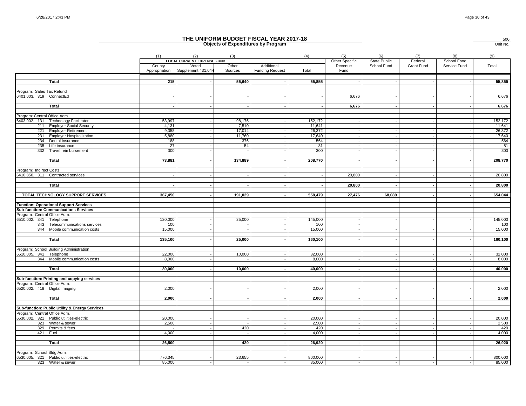|                                                                             |                         |                                          |                  | THE UNIFORM BUDGET FISCAL YEAR 2017-18<br><b>Objects of Expenditures by Program</b> |                  |                                   |                                    |                       |                             | $\frac{500}{\text{Unit No.}}$ |
|-----------------------------------------------------------------------------|-------------------------|------------------------------------------|------------------|-------------------------------------------------------------------------------------|------------------|-----------------------------------|------------------------------------|-----------------------|-----------------------------|-------------------------------|
|                                                                             | (1)                     | (2)<br><b>LOCAL CURRENT EXPENSE FUND</b> | (3)              |                                                                                     | (4)              | (5)                               | (6)                                | (7)                   | (8)                         | (9)                           |
|                                                                             | County<br>Appropriation | Voted<br>Supplement 431,044              | Other<br>Sources | Additional<br><b>Funding Request</b>                                                | Total            | Other Specific<br>Revenue<br>Fund | <b>State Public</b><br>School Fund | Federal<br>Grant Fund | School Food<br>Service Fund | Total                         |
| Total                                                                       | 215                     |                                          | 55,640           |                                                                                     | 55,855           |                                   |                                    |                       |                             | 55,855                        |
|                                                                             |                         |                                          |                  |                                                                                     |                  |                                   |                                    |                       |                             |                               |
| Program: Sales Tax Refund<br>6401.003. 319 ConnectEd                        |                         |                                          |                  |                                                                                     |                  | 6,676                             |                                    |                       |                             | 6,676                         |
|                                                                             |                         |                                          |                  |                                                                                     |                  |                                   |                                    |                       |                             |                               |
| <b>Total</b>                                                                |                         |                                          |                  |                                                                                     |                  | 6,676                             |                                    |                       |                             | 6,676                         |
| Program: Central Office Adm.                                                |                         |                                          |                  |                                                                                     |                  |                                   |                                    |                       |                             |                               |
| 6403.002. 131<br><b>Technology Facilitator</b>                              | 53,997                  |                                          | 98,175           |                                                                                     | 152,172          |                                   |                                    |                       |                             | 152,172                       |
| 211 Employer Social Security                                                | 4.131                   |                                          | 7.510            |                                                                                     | 11.641           |                                   |                                    |                       |                             | 11,641                        |
| 221<br><b>Employer Retirement</b><br><b>Employer Hospitalization</b><br>231 | 9,358<br>5,880          |                                          | 17,014<br>11,760 | $\sim$                                                                              | 26,372<br>17,640 |                                   |                                    |                       | $\overline{\phantom{a}}$    | 26,372<br>17,640              |
| 234<br>Dental insurance                                                     | 188                     |                                          | 376              |                                                                                     | 564              |                                   |                                    |                       |                             | 564                           |
| 235 Life insurance                                                          | 27                      |                                          | 54               |                                                                                     | 81               |                                   |                                    |                       |                             | 81                            |
| 332 Travel reimbursement                                                    | 300                     |                                          |                  |                                                                                     | 300              |                                   |                                    |                       |                             | 300                           |
| Total                                                                       | 73,881                  |                                          | 134,889          |                                                                                     | 208,770          |                                   |                                    |                       |                             | 208,770                       |
|                                                                             |                         |                                          |                  |                                                                                     |                  |                                   |                                    |                       |                             |                               |
| Program: Indirect Costs                                                     |                         |                                          |                  |                                                                                     |                  |                                   |                                    |                       |                             |                               |
| 6410.850. 311 Contracted services                                           |                         |                                          |                  |                                                                                     |                  | 20,800                            |                                    |                       |                             | 20,800                        |
| Total                                                                       |                         |                                          |                  |                                                                                     |                  | 20,800                            |                                    |                       |                             | 20,800                        |
|                                                                             |                         |                                          |                  |                                                                                     |                  |                                   |                                    |                       |                             |                               |
| TOTAL TECHNOLOGY SUPPORT SERVICES                                           | 367,450                 |                                          | 191,029          | $\sim$                                                                              | 558,479          | 27,476                            | 68,089                             |                       |                             | 654,044                       |
| <b>Function: Operational Support Services</b>                               |                         |                                          |                  |                                                                                     |                  |                                   |                                    |                       |                             |                               |
| <b>Sub-function: Communications Services</b>                                |                         |                                          |                  |                                                                                     |                  |                                   |                                    |                       |                             |                               |
| Program: Central Office Adm.                                                |                         |                                          |                  |                                                                                     |                  |                                   |                                    |                       |                             |                               |
| 6510.002. 341 Telephone<br>343 Telecommunications services                  | 120,000<br>100          |                                          | 25,000           |                                                                                     | 145,000<br>100   |                                   |                                    |                       |                             | 145,000<br>100                |
| 344 Mobile communication costs                                              | 15,000                  |                                          |                  |                                                                                     | 15,000           |                                   |                                    |                       |                             | 15,000                        |
|                                                                             |                         |                                          |                  |                                                                                     |                  |                                   |                                    |                       |                             |                               |
| Total                                                                       | 135,100                 |                                          | 25,000           | $\sim$                                                                              | 160,100          |                                   |                                    |                       |                             | 160,100                       |
|                                                                             |                         |                                          |                  |                                                                                     |                  |                                   |                                    |                       |                             |                               |
| Program: School Building Administration                                     |                         |                                          |                  |                                                                                     |                  |                                   |                                    |                       |                             |                               |
| 6510.005. 341 Telephone                                                     | 22,000                  |                                          | 10,000           |                                                                                     | 32,000           |                                   |                                    |                       |                             | 32,000                        |
| 344 Mobile communication costs                                              | 8,000                   |                                          |                  |                                                                                     | 8,000            |                                   |                                    |                       |                             | 8,000                         |
| Total                                                                       | 30,000                  |                                          | 10,000           |                                                                                     | 40,000           |                                   |                                    |                       |                             | 40,000                        |
|                                                                             |                         |                                          |                  |                                                                                     |                  |                                   |                                    |                       |                             |                               |
| Sub-function: Printing and copying services                                 |                         |                                          |                  |                                                                                     |                  |                                   |                                    |                       |                             |                               |
| Program: Central Office Adm.                                                |                         |                                          |                  |                                                                                     |                  |                                   |                                    |                       |                             |                               |
| 6520.002. 418 Digital imaging                                               | 2,000                   |                                          |                  |                                                                                     | 2,000            |                                   |                                    |                       |                             | 2,000                         |
| Total                                                                       | 2,000                   |                                          |                  |                                                                                     | 2,000            |                                   |                                    |                       |                             | 2,000                         |
|                                                                             |                         |                                          |                  |                                                                                     |                  |                                   |                                    |                       |                             |                               |
| Sub-function: Public Utility & Energy Services                              |                         |                                          |                  |                                                                                     |                  |                                   |                                    |                       |                             |                               |
| Program: Central Office Adm.<br>6530.002. 321 Public utilities-electric     | 20.000                  |                                          |                  |                                                                                     | 20,000           |                                   |                                    |                       |                             | 20,000                        |
| 323 Water & sewer                                                           | 2,500                   |                                          |                  |                                                                                     | 2,500            |                                   |                                    |                       |                             | 2,500                         |
| 329 Permits & fees                                                          |                         |                                          | 420              |                                                                                     | 420              |                                   |                                    |                       |                             | 420                           |
| 421 Fuel                                                                    | 4,000                   |                                          |                  |                                                                                     | 4,000            |                                   |                                    |                       |                             | 4,000                         |
|                                                                             |                         |                                          |                  |                                                                                     |                  |                                   |                                    |                       |                             |                               |
| Total                                                                       | 26,500                  |                                          | 420              |                                                                                     | 26,920           |                                   |                                    |                       |                             | 26,920                        |
|                                                                             |                         |                                          |                  |                                                                                     |                  |                                   |                                    |                       |                             |                               |
| Program: School Bldg Adm.<br>6530.005. 321 Public utilities-electric        | 776,345                 |                                          | 23,655           |                                                                                     | 800,000          |                                   |                                    |                       |                             | 800,000                       |
| 323 Water & sewer                                                           | 85,000                  |                                          |                  |                                                                                     | 85,000           |                                   |                                    |                       |                             | 85,000                        |
|                                                                             |                         |                                          |                  |                                                                                     |                  |                                   |                                    |                       |                             |                               |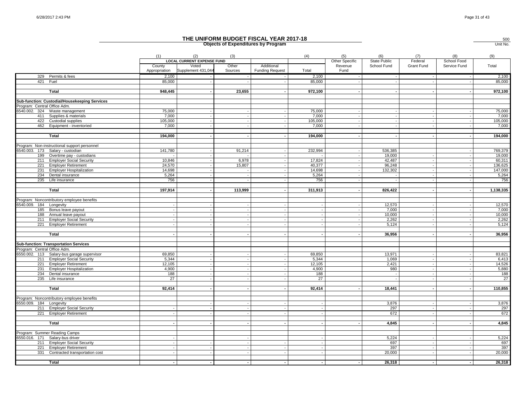|                              |                                               |                 |                                            |         | THE UNIFORM BUDGET FISCAL YEAR 2017-18<br><b>Objects of Expenditures by Program</b> |              |                           |                                    |                       |                             | 500<br>Unit No. |
|------------------------------|-----------------------------------------------|-----------------|--------------------------------------------|---------|-------------------------------------------------------------------------------------|--------------|---------------------------|------------------------------------|-----------------------|-----------------------------|-----------------|
|                              |                                               | (1)             | (2)                                        | (3)     |                                                                                     | (4)          | (5)                       | (6)                                | (7)                   | (8)                         | (9)             |
|                              |                                               | County          | <b>LOCAL CURRENT EXPENSE FUND</b><br>Voted | Other   | Additional                                                                          |              | Other Specific<br>Revenue | <b>State Public</b><br>School Fund | Federal<br>Grant Fund | School Food<br>Service Fund | Total           |
|                              |                                               | Appropriation   | Supplement 431,044                         | Sources | <b>Funding Request</b>                                                              | Total        | Fund                      |                                    |                       |                             |                 |
|                              | 329 Permits & fees                            | 2,100           |                                            |         |                                                                                     | 2,100        |                           |                                    |                       |                             | 2,100           |
| 421 Fuel                     |                                               | 85,000          |                                            |         |                                                                                     | 85,000       |                           |                                    |                       |                             | 85,000          |
|                              | Total                                         | 948,445         |                                            | 23,655  | $\sim$                                                                              | 972,100      |                           |                                    |                       |                             | 972,100         |
|                              | Sub-function: Custodial/Housekeeping Services |                 |                                            |         |                                                                                     |              |                           |                                    |                       |                             |                 |
| Program: Central Office Adm. |                                               |                 |                                            |         |                                                                                     |              |                           |                                    |                       |                             |                 |
|                              | 6540.002. 324 Waste management                | 75,000          |                                            |         |                                                                                     | 75,000       |                           |                                    |                       |                             | 75,000          |
|                              | 411 Supplies & materials                      | 7,000           |                                            |         |                                                                                     | 7,000        |                           |                                    |                       |                             | 7,000           |
|                              | 422 Custodial supplies                        | 105,000         |                                            |         |                                                                                     | 105,000      |                           |                                    |                       |                             | 105,000         |
|                              | 462 Equipment - inventoried                   | 7,000           |                                            |         |                                                                                     | 7,000        |                           |                                    |                       |                             | 7,000           |
|                              | Total                                         | 194,000         |                                            | $\sim$  | $\sim$                                                                              | 194,000      |                           |                                    |                       |                             | 194,000         |
|                              |                                               |                 |                                            |         |                                                                                     |              |                           |                                    |                       |                             |                 |
|                              | Program: Non-instructional support personnel  |                 |                                            |         |                                                                                     |              |                           |                                    |                       |                             |                 |
|                              | 6540.003. 173 Salary - custodian              | 141,780         |                                            | 91,214  |                                                                                     | 232,994      |                           | 536,385                            |                       |                             | 769,379         |
|                              | 199 Overtime pay - custodians                 |                 |                                            |         | $\blacksquare$                                                                      |              |                           | 19,000                             |                       |                             | 19,000          |
| 211                          | <b>Employer Social Security</b>               | 10,846          |                                            | 6,978   |                                                                                     | 17,824       |                           | 42,487                             |                       |                             | 60,311          |
| 221                          | <b>Employer Retirement</b>                    | 24,570          |                                            | 15,807  |                                                                                     | 40,377       |                           | 96,248                             |                       |                             | 136,625         |
| 231                          | <b>Employer Hospitalization</b>               | 14,698<br>5.264 |                                            | $\sim$  | $\overline{\phantom{a}}$<br>$\sim$                                                  | 14,698       |                           | 132,302                            |                       |                             | 147,000         |
| 234<br>235                   | Dental insurance<br>Life insurance            | 756             |                                            |         |                                                                                     | 5,264<br>756 |                           |                                    |                       |                             | 5,264<br>756    |
|                              |                                               |                 |                                            |         |                                                                                     |              |                           |                                    |                       |                             |                 |
|                              | <b>Total</b>                                  | 197,914         |                                            | 113,999 | $\blacksquare$                                                                      | 311,913      |                           | 826,422                            |                       |                             | 1,138,335       |
|                              | Program: Noncontributory employee benefits    |                 |                                            |         |                                                                                     |              |                           |                                    |                       |                             |                 |
| 6540.009. 184 Longevity      |                                               |                 |                                            |         |                                                                                     |              |                           | 12,570                             |                       |                             | 12,570          |
|                              | 185 Bonus leave payout                        |                 |                                            |         | $\sim$                                                                              |              |                           | 7,000                              |                       | $\overline{\phantom{a}}$    | 7,000           |
|                              | 188 Annual leave payout                       |                 |                                            |         | $\sim$                                                                              |              |                           | 10,000                             |                       |                             | 10,000          |
|                              | 211 Employer Social Security                  |                 |                                            |         |                                                                                     |              |                           | 2,262                              |                       |                             | 2,262           |
| 221                          | Employer Retirement                           |                 |                                            |         |                                                                                     |              |                           | 5,124                              |                       |                             | 5,124           |
|                              |                                               |                 |                                            |         |                                                                                     |              |                           |                                    |                       |                             |                 |
|                              | Total                                         |                 |                                            |         |                                                                                     |              |                           | 36,956                             |                       |                             | 36,956          |
|                              | <b>Sub-function: Transportation Services</b>  |                 |                                            |         |                                                                                     |              |                           |                                    |                       |                             |                 |
| Program: Central Office Adm. |                                               |                 |                                            |         |                                                                                     |              |                           |                                    |                       |                             |                 |
|                              | 6550.002. 113 Salary-bus garage supervisor    | 69.850          |                                            |         |                                                                                     | 69.850       |                           | 13.971                             |                       |                             | 83,821          |
|                              | 211 Employer Social Security                  | 5,344           |                                            |         |                                                                                     | 5,344        |                           | 1,069                              |                       |                             | 6,413           |
|                              | 221 Employer Retirement                       | 12.105          |                                            |         |                                                                                     | 12.105       |                           | 2,421                              |                       |                             | 14,526          |
| 231                          | <b>Employer Hospitalization</b>               | 4,900           |                                            |         |                                                                                     | 4,900        |                           | 980                                |                       |                             | 5,880           |
| 234                          | Dental insurance                              | 188             |                                            |         |                                                                                     | 188          |                           |                                    |                       |                             | 188             |
|                              | 235 Life insurance                            | 27              |                                            |         |                                                                                     | 27           |                           |                                    |                       |                             | 27              |
|                              |                                               |                 |                                            |         |                                                                                     |              |                           |                                    |                       |                             |                 |
|                              | Total                                         | 92,414          |                                            |         | $\sim$                                                                              | 92,414       |                           | 18,441                             |                       |                             | 110,855         |
|                              | Program: Noncontributory employee benefits    |                 |                                            |         |                                                                                     |              |                           |                                    |                       |                             |                 |
| 6550.009. 184 Longevity      |                                               |                 |                                            |         |                                                                                     |              |                           | 3,876                              |                       |                             | 3,876           |
|                              | 211 Employer Social Security                  |                 |                                            |         |                                                                                     |              |                           | 297                                |                       |                             | 297             |
| 221                          | <b>Employer Retirement</b>                    |                 |                                            |         |                                                                                     |              |                           | 672                                |                       |                             | 672             |
|                              |                                               |                 |                                            |         |                                                                                     |              |                           |                                    |                       |                             |                 |
|                              | Total                                         |                 |                                            |         |                                                                                     |              |                           | 4,845                              |                       |                             | 4,845           |
|                              | Program: Summer Reading Camps                 |                 |                                            |         |                                                                                     |              |                           |                                    |                       |                             |                 |
|                              | 6550.016. 171 Salary-bus driver               |                 |                                            |         |                                                                                     |              |                           | 5,224                              |                       |                             | 5,224           |
| 211                          | <b>Employer Social Security</b>               |                 |                                            |         |                                                                                     |              |                           | 697                                |                       |                             | 697             |
| 221                          | <b>Employer Retirement</b>                    |                 |                                            |         | $\sim$                                                                              |              |                           | 397                                |                       |                             | 397             |
| 331                          | Contracted transportation cost                |                 |                                            |         |                                                                                     |              |                           | 20,000                             |                       |                             | 20,000          |
|                              |                                               |                 |                                            |         |                                                                                     |              |                           |                                    |                       |                             |                 |
|                              | Total                                         |                 |                                            |         |                                                                                     |              |                           | 26,318                             |                       |                             | 26,318          |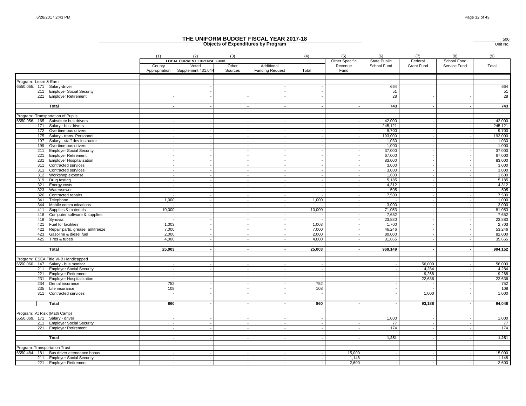|                               |                                                              |                         |                                          |                          | THE UNIFORM BUDGET FISCAL YEAR 2017-18<br><b>Objects of Expenditures by Program</b> |                |                       |                            |                |                          | 500<br>Unit No.   |
|-------------------------------|--------------------------------------------------------------|-------------------------|------------------------------------------|--------------------------|-------------------------------------------------------------------------------------|----------------|-----------------------|----------------------------|----------------|--------------------------|-------------------|
|                               |                                                              | (1)                     | (2)<br><b>LOCAL CURRENT EXPENSE FUND</b> | (3)                      |                                                                                     | (4)            | (5)<br>Other Specific | (6)<br><b>State Public</b> | (7)<br>Federal | (8)<br>School Food       | (9)               |
|                               |                                                              | County<br>Appropriation | Voted<br>Supplement 431,044              | Other<br>Sources         | Additional<br><b>Funding Request</b>                                                | Total          | Revenue<br>Fund       | School Fund                | Grant Fund     | Service Fund             | Total             |
| Program: Learn & Earn         |                                                              |                         |                                          |                          |                                                                                     |                |                       |                            |                |                          |                   |
| 6550.055. 171 Salary-driver   |                                                              |                         |                                          |                          |                                                                                     |                |                       | 664                        |                |                          | 664               |
|                               | 211 Employer Social Security                                 |                         |                                          |                          |                                                                                     |                |                       | 51                         |                |                          | 51                |
|                               | 221 Employer Retirement                                      |                         |                                          |                          | $\sim$                                                                              |                |                       | 28                         |                |                          | 28                |
|                               | Total                                                        |                         |                                          |                          | $\overline{\phantom{a}}$                                                            |                |                       | 743                        |                |                          | 743               |
|                               |                                                              |                         |                                          |                          |                                                                                     |                |                       |                            |                |                          |                   |
|                               | Program: Transportation of Pupils.                           |                         |                                          |                          |                                                                                     |                |                       |                            |                |                          |                   |
| 171                           | 6550.056. 165 Substitute bus drivers<br>Salary - bus drivers |                         |                                          | $\sim$                   | $\blacksquare$                                                                      |                |                       | 42,000<br>245,121          |                |                          | 42,000<br>245,121 |
|                               | 172 Overtime-bus drivers                                     |                         |                                          | $\overline{\phantom{a}}$ | $\overline{\phantom{a}}$                                                            |                |                       | 9,700                      |                |                          | 9,700             |
|                               | 175 Salary - trans. Personnel                                |                         |                                          | $\sim$                   | $\sim$                                                                              | $\overline{a}$ |                       | 193,000                    |                |                          | 193,000           |
| 197                           | Salary - staff dev instructor                                |                         |                                          | $\sim$                   | $\overline{a}$                                                                      |                |                       | 1,030                      |                |                          | 1,030             |
| 199                           | Overtime-bus drivers                                         |                         |                                          | $\sim$                   | $\overline{\phantom{a}}$                                                            |                |                       | 1,000                      |                |                          | 1,000             |
|                               | 211 Employer Social Security                                 |                         |                                          |                          | $\sim$                                                                              |                |                       | 37,000                     |                |                          | 37,000            |
|                               | 221 Employer Retirement                                      |                         | $\sim$                                   | $\sim$                   | $\sim$                                                                              | $\overline{a}$ |                       | 67,000                     |                |                          | 67,000            |
| 231                           | <b>Employer Hospitalization</b>                              |                         |                                          | $\sim$                   | $\overline{a}$                                                                      |                |                       | 83,000                     |                |                          | 83,000            |
| 311                           | Contracted services                                          |                         |                                          |                          |                                                                                     |                |                       | 3,000                      |                |                          | 3,000             |
| 311                           | Contracted services                                          |                         |                                          | $\overline{\phantom{a}}$ | $\overline{\phantom{a}}$                                                            |                |                       | 3,000                      |                |                          | 3,000             |
| 312                           | Workshop expense                                             |                         |                                          | $\sim$                   | $\sim$                                                                              | $\overline{a}$ |                       | 1,600                      |                |                          | 1,600             |
|                               | 319 Drug testing                                             |                         |                                          | $\overline{a}$<br>$\sim$ | $\overline{a}$<br>$\overline{a}$                                                    |                |                       | 5,185                      |                |                          | 5,185             |
| 321<br>323                    | Energy costs<br>Water/sewer                                  |                         |                                          |                          | $\overline{\phantom{a}}$                                                            |                |                       | 4,312<br>505               |                |                          | 4,312<br>505      |
| 326                           | Contracted repairs                                           |                         |                                          | $\sim$                   | $\overline{\phantom{a}}$                                                            |                |                       | 7,500                      |                |                          | 7,500             |
| 341                           | Telephone                                                    | 1,000                   |                                          | $\sim$                   | $\sim$                                                                              | 1,000          |                       |                            |                |                          | 1,000             |
| 344                           | Mobile communications                                        |                         |                                          |                          |                                                                                     |                |                       | 3,000                      |                |                          | 3,000             |
| 411                           | Supplies & materials                                         | 10,000                  |                                          | $\sim$                   | $\sim$                                                                              | 10,000         |                       | 71.053                     |                | $\overline{\phantom{a}}$ | 81,053            |
|                               | 418 Computer software & supplies                             |                         |                                          | $\sim$                   | $\overline{\phantom{a}}$                                                            |                |                       | 7,652                      |                |                          | 7,652             |
| 418                           | Synovia                                                      |                         |                                          | $\sim$                   | $\overline{\phantom{a}}$                                                            |                |                       | 23,880                     |                |                          | 23,880            |
| 421                           | Fuel for facilities                                          | 1,003                   |                                          | $\sim$                   | $\overline{\phantom{a}}$                                                            | 1,003          |                       | 1,700                      | $\sim$         |                          | 2,703             |
| 422                           | Repair parts, grease, antifreeze                             | 7,000                   |                                          |                          |                                                                                     | 7,000          |                       | 46,246                     |                |                          | 53,246            |
| 423                           | Gasoline & diesel fuel                                       | 2,000                   |                                          |                          | $\sim$                                                                              | 2,000          |                       | 80,000                     |                |                          | 82,000            |
| 425                           | Tires & tubes                                                | 4,000                   |                                          |                          |                                                                                     | 4,000          |                       | 31,665                     |                |                          | 35,665            |
|                               | Total                                                        | 25,003                  |                                          | $\overline{\phantom{a}}$ | $\sim$                                                                              | 25,003         |                       | 969,149                    |                | $\blacksquare$           | 994,152           |
|                               |                                                              |                         |                                          |                          |                                                                                     |                |                       |                            |                |                          |                   |
|                               | Program: ESEA Title VI-B Handicapped                         |                         |                                          |                          |                                                                                     |                |                       |                            |                |                          |                   |
|                               | 6550.060. 147 Salary - bus monitor                           |                         |                                          |                          |                                                                                     |                |                       |                            | 56,000         |                          | 56,000            |
|                               | 211 Employer Social Security<br>221 Employer Retirement      | $\sim$                  | $\overline{\phantom{a}}$                 | $\sim$<br>$\sim$         | $\sim$<br>$\sim$                                                                    | $\overline{a}$ |                       |                            | 4,284<br>9,268 | $\overline{\phantom{a}}$ | 4,284<br>9,268    |
| 231                           | <b>Employer Hospitalization</b>                              | $\sim$                  |                                          | $\sim$                   | $\sim$                                                                              |                |                       |                            | 22,636         |                          | 22,636            |
| 234                           | Dental insurance                                             | 752                     |                                          | $\sim$                   |                                                                                     | 752            |                       |                            |                |                          | 752               |
| 235                           | Life insurance                                               | 108                     |                                          |                          | $\overline{\phantom{a}}$                                                            | 108            |                       |                            |                |                          | 108               |
|                               | 311 Contracted services                                      |                         |                                          |                          | $\blacksquare$                                                                      |                |                       |                            | 1,000          |                          | 1,000             |
|                               | Total                                                        | 860                     |                                          |                          | $\sim$                                                                              | 860            |                       |                            | 93,188         |                          | 94,048            |
|                               |                                                              |                         |                                          |                          |                                                                                     |                |                       |                            |                |                          |                   |
| Program: At Risk (Math Camp)  |                                                              |                         |                                          |                          |                                                                                     |                |                       |                            |                |                          |                   |
| 6550.069. 171 Salary - driver |                                                              |                         |                                          |                          |                                                                                     |                |                       | 1,000                      |                |                          | 1,000             |
|                               | 211 Employer Social Security                                 |                         |                                          |                          |                                                                                     |                |                       | 77                         |                |                          | $\overline{77}$   |
|                               | 221 Employer Retirement                                      |                         |                                          |                          | $\overline{a}$                                                                      |                |                       | 174                        |                |                          | 174               |
|                               |                                                              |                         |                                          |                          |                                                                                     |                |                       |                            |                |                          |                   |
|                               | Total                                                        |                         |                                          |                          |                                                                                     |                |                       | 1,251                      |                |                          | 1,251             |
| Program: Transportation Trust |                                                              |                         |                                          |                          |                                                                                     |                |                       |                            |                |                          |                   |
|                               | 6550.484. 181 Bus driver attendance bonus                    |                         |                                          |                          |                                                                                     |                | 15,000                |                            |                |                          | 15,000            |
|                               | 211 Employer Social Security                                 |                         |                                          |                          |                                                                                     |                | 1,148                 |                            |                |                          | 1,148             |
|                               | 221 Employer Retirement                                      |                         |                                          |                          |                                                                                     |                | 2,600                 |                            |                |                          | 2.600             |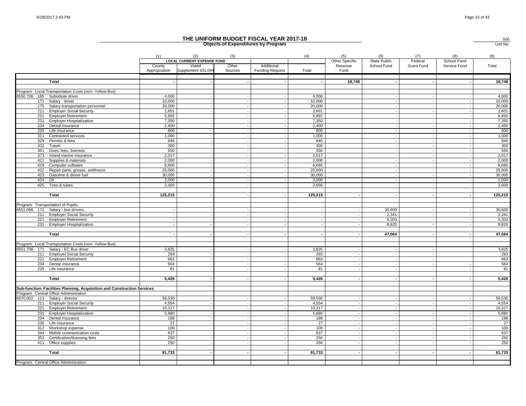500

|               |                                                                          |                         |                                                                  |                  | <b>Objects of Expenditures by Program</b> |                 |                                   |                                    |                          |                             | Unit No.        |
|---------------|--------------------------------------------------------------------------|-------------------------|------------------------------------------------------------------|------------------|-------------------------------------------|-----------------|-----------------------------------|------------------------------------|--------------------------|-----------------------------|-----------------|
|               |                                                                          | (1)                     | (2)                                                              | (3)              |                                           | (4)             | (5)                               | (6)                                | (7)                      | (8)                         | (9)             |
|               |                                                                          | County<br>Appropriation | <b>LOCAL CURRENT EXPENSE FUND</b><br>Voted<br>Supplement 431,044 | Other<br>Sources | Additional<br><b>Funding Request</b>      | Total           | Other Specific<br>Revenue<br>Fund | <b>State Public</b><br>School Fund | Federal<br>Grant Fund    | School Food<br>Service Fund | Total           |
|               | Total                                                                    |                         |                                                                  |                  |                                           |                 | 18,748                            |                                    |                          |                             | 18,748          |
|               | Program: Local Transportation Costs (non-Yellow Bus)                     |                         |                                                                  |                  |                                           |                 |                                   |                                    |                          |                             |                 |
| 6550.706. 165 | Substitute driver                                                        | 4,000                   |                                                                  |                  |                                           | 4,000           |                                   |                                    |                          |                             | 4,000           |
| 171           | Salary - driver                                                          | 10,000                  | $\sim$                                                           |                  |                                           | 10.000          |                                   |                                    |                          |                             | 10,000          |
| 175           | Salary-transportation personnel                                          | 20,000                  |                                                                  |                  |                                           | 20,000          |                                   |                                    |                          |                             | 20,000          |
| 211           | <b>Employer Social Security</b>                                          | 2,601                   |                                                                  |                  |                                           | 2,601           |                                   |                                    |                          |                             | 2,601           |
| 221<br>231    | <b>Employer Retirement</b><br><b>Employer Hospitalization</b>            | 5,892<br>7,350          | $\sim$                                                           |                  |                                           | 5,892<br>7,350  |                                   |                                    |                          |                             | 5,892<br>7,350  |
| 234           | Dental insurance                                                         | 2,400                   |                                                                  |                  |                                           | 2,400           |                                   |                                    |                          |                             | 2,400           |
| 235           | Life insurance                                                           | 600                     | $\overline{\phantom{a}}$                                         |                  |                                           | 600             |                                   | $\sim$                             | $\overline{\phantom{a}}$ |                             | 600             |
| 311           | Contracted services                                                      | 1,000                   | $\sim$                                                           |                  |                                           | 1,000           |                                   |                                    |                          |                             | 1,000           |
| 329           | Permits & fees                                                           | 840                     | $\sim$                                                           |                  |                                           | 840             |                                   |                                    |                          |                             | 840             |
| 332           | Travel                                                                   | 300                     | $\overline{\phantom{a}}$                                         |                  |                                           | 300             |                                   |                                    |                          |                             | 300             |
| 361           | Dues, fees, licenses                                                     | 550                     | $\sim$                                                           |                  |                                           | 550             |                                   |                                    |                          |                             | 550             |
| 373           | Inland marine insurance                                                  | 2,017                   | $\sim$                                                           |                  |                                           | 2,017           |                                   |                                    |                          |                             | 2,017           |
| 411           | Supplies & materials                                                     | 2,000                   | $\overline{\phantom{a}}$                                         |                  |                                           | 2.000           |                                   |                                    |                          |                             | 2,000           |
| 418<br>422    | Computer software                                                        | 6,665<br>25,000         | $\overline{\phantom{a}}$                                         |                  |                                           | 6,665<br>25,000 |                                   | $\sim$                             |                          |                             | 6,665<br>25,000 |
| 423           | Repair parts, grease, antifreeze<br>Gasoline & diesel fuel               | 30.000                  |                                                                  |                  |                                           | 30,000          |                                   |                                    |                          |                             | 30,000          |
| 424           | Oil                                                                      | 2.000                   |                                                                  |                  |                                           | 2,000           |                                   |                                    |                          |                             | 2,000           |
| 425           | Tires & tubes                                                            | 2,000                   |                                                                  |                  |                                           | 2,000           |                                   |                                    |                          |                             | 2,000           |
|               |                                                                          |                         |                                                                  |                  |                                           |                 |                                   |                                    |                          |                             |                 |
|               | <b>Total</b>                                                             | 125,215                 |                                                                  |                  |                                           | 125,215         |                                   |                                    |                          |                             | 125,215         |
|               | Program: Transportation of Pupils.                                       |                         |                                                                  |                  |                                           |                 |                                   |                                    |                          |                             |                 |
|               | 6551.056. 171 Salary - bus drivers                                       |                         |                                                                  |                  |                                           |                 |                                   | 30,600                             |                          |                             | 30,600          |
| 211           | <b>Employer Social Security</b>                                          |                         |                                                                  |                  |                                           |                 |                                   | 2,341                              |                          |                             | 2,341           |
| 221           | <b>Employer Retirement</b>                                               |                         |                                                                  |                  |                                           |                 |                                   | 5,303                              |                          |                             | 5,303           |
|               | 231 Employer Hospitalization                                             |                         | $\sim$                                                           |                  |                                           |                 |                                   | 8,820                              |                          |                             | 8,820           |
|               | Total                                                                    |                         | $\overline{\phantom{a}}$                                         |                  |                                           | $\sim$          |                                   | 47,064                             | $\overline{\phantom{a}}$ |                             | 47,064          |
|               |                                                                          |                         |                                                                  |                  |                                           |                 |                                   |                                    |                          |                             |                 |
|               | Program: Local Transportation Costs (non-Yellow Bus)                     |                         |                                                                  |                  |                                           |                 |                                   |                                    |                          |                             |                 |
|               | 6551.706. 171 Salary - EC Bus driver                                     | 3,825                   |                                                                  |                  |                                           | 3,825           |                                   |                                    |                          |                             | 3,825           |
|               | 211 Employer Social Security                                             | 293                     | $\overline{\phantom{a}}$                                         |                  |                                           | 293             |                                   |                                    |                          |                             | 293             |
| 221           | <b>Employer Retirement</b>                                               | 663                     | $\overline{\phantom{a}}$                                         |                  |                                           | 663             |                                   |                                    |                          |                             | 663             |
| 234<br>235    | Dental insurance<br>Life insurance                                       | 564<br>81               | $\overline{\phantom{a}}$                                         |                  |                                           | 564<br>81       |                                   | $\sim$                             |                          |                             | 564<br>81       |
|               |                                                                          |                         |                                                                  |                  |                                           |                 |                                   |                                    |                          |                             |                 |
|               | Total                                                                    | 5,426                   |                                                                  |                  |                                           | 5,426           |                                   |                                    |                          |                             | 5,426           |
|               | Sub-function: Facilities Planning, Acquisition and Construction Services |                         |                                                                  |                  |                                           |                 |                                   |                                    |                          |                             |                 |
|               | Program: Central Office Administration                                   |                         |                                                                  |                  |                                           |                 |                                   |                                    |                          |                             |                 |
|               | 6570.002. 113 Salary - director                                          | 59,530                  |                                                                  |                  |                                           | 59,530          |                                   |                                    |                          |                             | 59,530          |
|               | 211 Employer Social Security                                             | 4,554                   |                                                                  |                  |                                           | 4,554           |                                   |                                    |                          |                             | 4,554           |
| 221           | <b>Employer Retirement</b>                                               | 10,317                  |                                                                  |                  |                                           | 10,317          |                                   |                                    |                          |                             | 10,317          |
| 231           | <b>Employer Hospitalization</b>                                          | 5,880                   |                                                                  |                  |                                           | 5,880           |                                   |                                    |                          |                             | 5,880           |
| 234           | Dental insurance                                                         | 188                     |                                                                  |                  |                                           | 188             |                                   |                                    |                          |                             | 188             |
| 235           | Life insurance                                                           | 27                      |                                                                  |                  |                                           | 27              |                                   |                                    |                          |                             | 27              |
| 312<br>344    | Workshop expense<br>Mobile communication costs                           | 100<br>637              | $\overline{\phantom{a}}$                                         |                  |                                           | 100<br>637      |                                   |                                    |                          |                             | 100<br>637      |
| 353           | Certification/licensing fees                                             | 250                     |                                                                  |                  |                                           | 250             |                                   |                                    |                          |                             | 250             |
| 411           | Office supplies                                                          | 250                     |                                                                  |                  |                                           | 250             |                                   |                                    |                          |                             | 250             |
|               |                                                                          |                         |                                                                  |                  |                                           |                 |                                   |                                    |                          |                             |                 |
|               | Total                                                                    | 81,733                  |                                                                  |                  |                                           | 81,733          |                                   |                                    |                          |                             | 81,733          |
|               |                                                                          |                         |                                                                  |                  |                                           |                 |                                   |                                    |                          |                             |                 |
|               | Program: Central Office Administration                                   |                         |                                                                  |                  |                                           |                 |                                   |                                    |                          |                             |                 |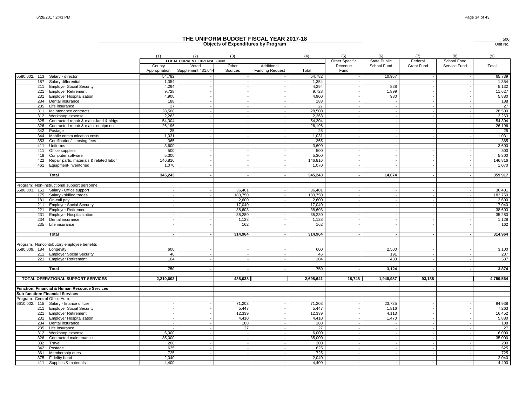|                              |                                                     |                         |                                                                  |                          | Objects of Experientlies by Program  |                 |                                   |                                    |                       |                             | UNII NO         |
|------------------------------|-----------------------------------------------------|-------------------------|------------------------------------------------------------------|--------------------------|--------------------------------------|-----------------|-----------------------------------|------------------------------------|-----------------------|-----------------------------|-----------------|
|                              |                                                     | (1)                     | (2)                                                              | (3)                      |                                      | (4)             | (5)                               | (6)                                | (7)                   | (8)                         | (9)             |
|                              |                                                     | County<br>Appropriation | <b>LOCAL CURRENT EXPENSE FUND</b><br>Voted<br>Supplement 431,044 | Other<br>Sources         | Additional<br><b>Funding Request</b> | Total           | Other Specific<br>Revenue<br>Fund | <b>State Public</b><br>School Fund | Federal<br>Grant Fund | School Food<br>Service Fund | Total           |
|                              | 6580.002. 113 Salary - director                     | 54,782                  |                                                                  |                          |                                      | 54,782          |                                   | 10,957                             | $\sim$                |                             | 65,739          |
| 187                          | Salary differential                                 | 1,354                   |                                                                  |                          |                                      | 1,354           |                                   |                                    | $\sim$                |                             | 1,354           |
|                              | 211 Employer Social Security                        | 4,294                   |                                                                  |                          |                                      | 4,294           |                                   | 838                                |                       |                             | 5,132           |
|                              | 221 Employer Retirement                             | 9,728                   |                                                                  |                          |                                      | 9,728           |                                   | 1,899                              |                       |                             | 11,627          |
| 231                          | <b>Employer Hospitalization</b>                     | 4,900                   |                                                                  | $\sim$                   |                                      | 4,900           |                                   | 980                                |                       |                             | 5,880           |
| 234                          | Dental insurance                                    | 188                     |                                                                  | $\sim$                   |                                      | 188             |                                   | $\sim$                             | $\sim$                |                             | 188             |
| 235                          | Life insurance                                      | 27                      |                                                                  |                          |                                      | 27              |                                   |                                    |                       |                             | 27              |
|                              | 311 Maintenance contracts                           | 28,500                  |                                                                  |                          |                                      | 28,500          |                                   |                                    | $\sim$                |                             | 28,500          |
| 312                          | Workshop expense                                    | 2,263                   |                                                                  |                          |                                      | 2,263           |                                   |                                    | $\overline{a}$        |                             | 2,263           |
| 325                          | Contracted repair & maint-land & bldgs              | 54,304                  |                                                                  |                          |                                      | 54,304          |                                   |                                    |                       |                             | 54,304          |
| 326                          | Contracted repair & maint-equipment                 | 26,196                  |                                                                  | $\sim$                   |                                      | 26,196          |                                   |                                    | $\sim$                |                             | 26,196          |
| 342                          | Postage                                             | 25                      |                                                                  | $\sim$                   |                                      | 25              |                                   |                                    |                       |                             | 25              |
| 344                          | Mobile communication costs                          | 1,031                   |                                                                  |                          |                                      | 1,031           |                                   |                                    |                       |                             | 1,031           |
| 353<br>411                   | Certification/licensing fees                        | 365<br>3,600            |                                                                  |                          |                                      | 365<br>3,600    |                                   |                                    | $\sim$<br>$\sim$      |                             | 365             |
|                              | Uniforms<br>Office supplies                         | 500                     |                                                                  |                          |                                      | 500             |                                   |                                    | $\sim$                |                             | 3,600<br>500    |
| 411<br>418                   | Computer software                                   | 5,300                   |                                                                  |                          |                                      | 5,300           |                                   |                                    |                       |                             | 5,300           |
| 422                          | Repair parts, materials & related labor             | 146,816                 |                                                                  | $\sim$                   |                                      | 146.816         |                                   |                                    | $\overline{a}$        |                             | 146,816         |
| 461                          | Equipment-inventoried                               | 1,070                   |                                                                  |                          |                                      | 1,070           |                                   |                                    |                       |                             | 1,070           |
|                              |                                                     |                         |                                                                  |                          |                                      |                 |                                   |                                    |                       |                             |                 |
|                              | Total                                               | 345,243                 |                                                                  |                          |                                      | 345,243         |                                   | 14,674                             | $\sim$                |                             | 359,917         |
|                              |                                                     |                         |                                                                  |                          |                                      |                 |                                   |                                    |                       |                             |                 |
|                              | Program: Non-instructional support personnel        |                         |                                                                  |                          |                                      |                 |                                   |                                    |                       |                             |                 |
|                              | 6580.003. 151 Salary - Office support               |                         |                                                                  | 36,401                   |                                      | 36,401          |                                   |                                    |                       |                             | 36,401          |
|                              | 175 Salary - skilled trades                         |                         |                                                                  | 183,750                  |                                      | 183,750         |                                   |                                    |                       |                             | 183,750         |
| 181                          | On-call pay                                         |                         |                                                                  | 2,600                    |                                      | 2,600           |                                   |                                    | $\sim$                |                             | 2,600           |
|                              | 211 Employer Social Security                        |                         |                                                                  | 17,040                   |                                      | 17,040          |                                   |                                    |                       |                             | 17,040          |
|                              | 221 Employer Retirement                             |                         |                                                                  | 38,603                   |                                      | 38,603          |                                   |                                    |                       |                             | 38,603          |
| 231<br>234                   | <b>Employer Hospitalization</b><br>Dental insurance |                         |                                                                  | 35,280<br>1,128          |                                      | 35,280<br>1,128 |                                   |                                    |                       |                             | 35,280<br>1,128 |
| 235                          | Life insurance                                      |                         |                                                                  | 162                      |                                      | 162             |                                   |                                    |                       |                             | 162             |
|                              |                                                     |                         |                                                                  |                          |                                      |                 |                                   |                                    |                       |                             |                 |
|                              | Total                                               |                         |                                                                  | 314,964                  |                                      | 314,964         |                                   |                                    |                       |                             | 314,964         |
|                              | Program: Noncontributory employee benefits          |                         |                                                                  |                          |                                      |                 |                                   |                                    |                       |                             |                 |
| 6580.009. 184 Longevity      |                                                     | 600                     |                                                                  |                          |                                      | 600             |                                   | 2,500                              |                       |                             | 3,100           |
|                              | 211 Employer Social Security                        | 46                      |                                                                  |                          |                                      | 46              |                                   | 191                                |                       |                             | 237             |
|                              | 221 Employer Retirement                             | 104                     |                                                                  |                          |                                      | 104             |                                   | 433                                |                       |                             | 537             |
|                              |                                                     |                         |                                                                  |                          |                                      |                 |                                   |                                    |                       |                             |                 |
|                              | Total                                               | 750                     |                                                                  |                          |                                      | 750             |                                   | 3,124                              |                       |                             | 3,874           |
|                              | TOTAL OPERATIONAL SUPPORT SERVICES                  | 2,210,603               |                                                                  | 488,038                  |                                      | 2,698,641       | 18,748                            | 1,948,987                          | 93,188                |                             | 4,759,564       |
|                              |                                                     |                         |                                                                  |                          |                                      |                 |                                   |                                    |                       |                             |                 |
|                              | Function: Financial & Human Resource Services       |                         |                                                                  |                          |                                      |                 |                                   |                                    |                       |                             |                 |
|                              | <b>Sub-function: Financial Services</b>             |                         |                                                                  |                          |                                      |                 |                                   |                                    |                       |                             |                 |
| Program: Central Office Adm. |                                                     |                         |                                                                  |                          |                                      |                 |                                   |                                    |                       |                             |                 |
|                              | 6610.002. 115 Salary - finance officer              |                         |                                                                  | 71,203                   |                                      | 71,203          |                                   | 23,735                             |                       |                             | 94,938          |
|                              | 211 Employer Social Security                        |                         |                                                                  | 5,447                    |                                      | 5,447           |                                   | 1,816                              | $\sim$                |                             | 7,263           |
|                              | 221 Employer Retirement                             |                         |                                                                  | 12,339                   |                                      | 12,339          |                                   | 4,113                              |                       |                             | 16,452          |
| 234                          | 231 Employer Hospitalization                        |                         |                                                                  | 4,410<br>188             |                                      | 4,410<br>188    |                                   | 1,470                              | $\sim$                |                             | 5,880           |
| 235                          | Dental insurance<br>Life insurance                  |                         |                                                                  | 27                       |                                      | 27              |                                   |                                    | $\sim$                |                             | 188<br>27       |
| 312                          |                                                     | 6.000                   |                                                                  | $\sim$                   |                                      | 6.000           |                                   |                                    |                       |                             | 6,000           |
| 326                          | Workshop expense<br>Contracted maintenance          | 35,000                  |                                                                  | $\overline{\phantom{a}}$ |                                      | 35,000          | $\sim$                            |                                    | $\sim$                |                             | 35,000          |
| 332                          | Travel                                              | 200                     |                                                                  | $\sim$                   |                                      | 200             |                                   |                                    | $\sim$                |                             | 200             |
| 342                          | Postage                                             | 625                     |                                                                  | $\sim$                   |                                      | 625             |                                   |                                    | $\sim$                |                             | 625             |
| 361                          | Membership dues                                     | 725                     |                                                                  |                          |                                      | 725             |                                   |                                    |                       |                             | 725             |
| 375                          | Fidelity bond                                       | 2,040                   |                                                                  |                          |                                      | 2,040           |                                   |                                    |                       |                             | 2,040           |
|                              | 411 Supplies & materials                            | 4,400                   |                                                                  |                          |                                      | 4,400           |                                   |                                    | $\sim$                |                             | 4,400           |
|                              |                                                     |                         |                                                                  |                          |                                      |                 |                                   |                                    |                       |                             |                 |

# **Objects of Expenditures by Program THE UNIFORM BUDGET FISCAL YEAR 2017-18**

 Unit No.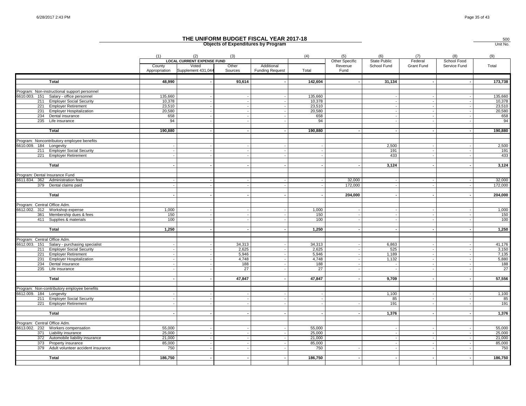|                                |                                                              |                                                                                                                                               |                             |                  | THE UNIFORM BUDGET FISCAL YEAR 2017-18<br><b>Objects of Expenditures by Program</b> |                  |                 |             |            |                             | 500<br>Unit No.  |
|--------------------------------|--------------------------------------------------------------|-----------------------------------------------------------------------------------------------------------------------------------------------|-----------------------------|------------------|-------------------------------------------------------------------------------------|------------------|-----------------|-------------|------------|-----------------------------|------------------|
|                                |                                                              | (2)<br>(4)<br>(5)<br>(6)<br>(7)<br>(8)<br>(1)<br>(3)<br><b>LOCAL CURRENT EXPENSE FUND</b><br>Other Specific<br><b>State Public</b><br>Federal |                             |                  |                                                                                     |                  |                 |             |            |                             |                  |
|                                |                                                              | County<br>Appropriation                                                                                                                       | Voted<br>Supplement 431,044 | Other<br>Sources | Additional<br><b>Funding Request</b>                                                | Total            | Revenue<br>Fund | School Fund | Grant Fund | School Food<br>Service Fund | Total            |
|                                | Total                                                        | 48,990                                                                                                                                        |                             | 93,614           |                                                                                     | 142,604          |                 | 31,134      |            |                             | 173,738          |
|                                |                                                              |                                                                                                                                               |                             |                  |                                                                                     |                  |                 |             |            |                             |                  |
|                                | Program: Non-instructional support personnel                 |                                                                                                                                               |                             |                  |                                                                                     |                  |                 |             |            |                             |                  |
|                                | 6610.003. 151 Salary - office personnel                      | 135,660                                                                                                                                       |                             |                  |                                                                                     | 135,660          |                 |             |            |                             | 135,660          |
| 221                            | 211 Employer Social Security<br><b>Employer Retirement</b>   | 10,378<br>23,510                                                                                                                              |                             |                  |                                                                                     | 10,378<br>23,510 |                 |             |            |                             | 10,378<br>23,510 |
| 231                            | <b>Employer Hospitalization</b>                              | 20,580                                                                                                                                        |                             |                  |                                                                                     | 20,580           |                 |             |            |                             | 20,580           |
| 234                            | Dental insurance                                             | 658                                                                                                                                           |                             |                  |                                                                                     | 658              |                 |             |            |                             | 658              |
| 235                            | Life insurance                                               | 94                                                                                                                                            |                             |                  |                                                                                     | 94               |                 |             |            |                             | 94               |
|                                |                                                              |                                                                                                                                               |                             |                  |                                                                                     |                  |                 |             |            |                             |                  |
|                                | <b>Total</b>                                                 | 190,880                                                                                                                                       |                             |                  | $\sim$                                                                              | 190,880          |                 |             |            | $\blacksquare$              | 190,880          |
|                                |                                                              |                                                                                                                                               |                             |                  |                                                                                     |                  |                 |             |            |                             |                  |
|                                | Program: Noncontributory employee benefits                   |                                                                                                                                               |                             |                  |                                                                                     |                  |                 |             |            |                             |                  |
| 6610.009. 184 Longevity        |                                                              |                                                                                                                                               |                             |                  |                                                                                     |                  |                 | 2,500       |            |                             | 2,500            |
|                                | 211 Employer Social Security                                 |                                                                                                                                               |                             |                  |                                                                                     |                  |                 | 191<br>433  |            |                             | 191<br>433       |
|                                | 221 Employer Retirement                                      |                                                                                                                                               |                             |                  |                                                                                     |                  |                 |             |            |                             |                  |
|                                | Total                                                        |                                                                                                                                               |                             |                  |                                                                                     |                  |                 | 3,124       |            |                             | 3,124            |
|                                |                                                              |                                                                                                                                               |                             |                  |                                                                                     |                  |                 |             |            |                             |                  |
| Program: Dental Insurance Fund |                                                              |                                                                                                                                               |                             |                  |                                                                                     |                  |                 |             |            |                             |                  |
|                                | 6611.834. 362 Administration fees                            |                                                                                                                                               |                             |                  |                                                                                     |                  | 32,000          |             |            |                             | 32,000           |
|                                | 379 Dental claims paid                                       |                                                                                                                                               |                             |                  |                                                                                     |                  | 172,000         |             |            |                             | 172,000          |
|                                |                                                              |                                                                                                                                               |                             |                  |                                                                                     |                  |                 |             |            |                             |                  |
|                                | Total                                                        |                                                                                                                                               |                             |                  |                                                                                     |                  | 204,000         |             |            |                             | 204,000          |
| Program: Central Office Adm.   |                                                              |                                                                                                                                               |                             |                  |                                                                                     |                  |                 |             |            |                             |                  |
|                                | 6612.002. 312 Workshop expense                               | 1,000                                                                                                                                         |                             |                  |                                                                                     | 1,000            |                 |             |            |                             | 1,000            |
|                                | 361 Membership dues & fees                                   | 150                                                                                                                                           |                             |                  | $\sim$                                                                              | 150              |                 |             |            |                             | 150              |
|                                | 411 Supplies & materials                                     | 100                                                                                                                                           |                             |                  |                                                                                     | 100              |                 |             |            |                             | 100              |
|                                |                                                              |                                                                                                                                               |                             |                  |                                                                                     |                  |                 |             |            |                             |                  |
|                                | Total                                                        | 1,250                                                                                                                                         |                             | $\overline{a}$   | $\sim$                                                                              | 1,250            |                 |             |            |                             | 1,250            |
| Program: Central Office Adm.   |                                                              |                                                                                                                                               |                             |                  |                                                                                     |                  |                 |             |            |                             |                  |
|                                | 6612.003. 151 Salary - purchasing specialist                 |                                                                                                                                               |                             | 34,313           |                                                                                     | 34,313           |                 | 6,863       |            |                             | 41,176           |
|                                | 211 Employer Social Security                                 |                                                                                                                                               |                             | 2,625            | $\overline{\phantom{a}}$                                                            | 2,625            |                 | 525         |            |                             | 3,150            |
|                                | 221 Employer Retirement                                      |                                                                                                                                               |                             | 5,946            | $\blacksquare$                                                                      | 5,946            |                 | 1,189       |            |                             | 7,135            |
|                                | 231 Employer Hospitalization                                 |                                                                                                                                               |                             | 4,748            |                                                                                     | 4,748            |                 | 1,132       |            |                             | 5,880            |
|                                | 234 Dental insurance                                         |                                                                                                                                               |                             | 188              |                                                                                     | 188              |                 |             |            |                             | 188              |
|                                | 235 Life insurance                                           |                                                                                                                                               |                             | $\overline{27}$  | $\overline{a}$                                                                      | $\overline{27}$  |                 |             |            |                             | 27               |
|                                |                                                              |                                                                                                                                               |                             |                  |                                                                                     |                  |                 |             |            |                             |                  |
|                                | Total                                                        |                                                                                                                                               |                             | 47,847           |                                                                                     | 47,847           |                 | 9,709       |            |                             | 57,556           |
|                                | Program: Non-contributory employee benefits                  |                                                                                                                                               |                             |                  |                                                                                     |                  |                 |             |            |                             |                  |
| 6612.009. 184 Longevity        |                                                              |                                                                                                                                               |                             |                  |                                                                                     |                  |                 | 1,100       |            |                             | 1,100            |
|                                | 211 Employer Social Security                                 |                                                                                                                                               |                             |                  |                                                                                     |                  |                 | 85          |            |                             | 85               |
| 221                            | <b>Employer Retirement</b>                                   |                                                                                                                                               |                             |                  |                                                                                     |                  |                 | 191         |            |                             | 191              |
|                                |                                                              |                                                                                                                                               |                             |                  |                                                                                     |                  |                 |             |            |                             |                  |
|                                | Total                                                        |                                                                                                                                               |                             |                  |                                                                                     |                  |                 | 1,376       |            |                             | 1,376            |
|                                |                                                              |                                                                                                                                               |                             |                  |                                                                                     |                  |                 |             |            |                             |                  |
| Program: Central Office Adm.   |                                                              |                                                                                                                                               |                             |                  |                                                                                     |                  |                 |             |            |                             |                  |
|                                | 6613.002. 232 Workers compensation                           | 55,000                                                                                                                                        |                             |                  | $\blacksquare$<br>$\sim$                                                            | 55,000           |                 |             |            |                             | 55,000           |
|                                | 371 Liability insurance                                      | 25,000<br>21,000                                                                                                                              |                             |                  |                                                                                     | 25,000<br>21,000 |                 |             |            |                             | 25,000<br>21,000 |
|                                | 372 Automobile liability insurance<br>373 Property insurance | 85,000                                                                                                                                        |                             |                  | $\sim$                                                                              | 85,000           |                 |             |            |                             | 85,000           |
|                                | 379 Adult volunteer accident insurance                       | 750                                                                                                                                           |                             |                  |                                                                                     | 750              |                 |             |            |                             | 750              |
|                                |                                                              |                                                                                                                                               |                             |                  |                                                                                     |                  |                 |             |            |                             |                  |
|                                | Total                                                        | 186,750                                                                                                                                       |                             |                  |                                                                                     | 186,750          |                 |             |            |                             | 186,750          |
|                                |                                                              |                                                                                                                                               |                             |                  |                                                                                     |                  |                 |             |            |                             |                  |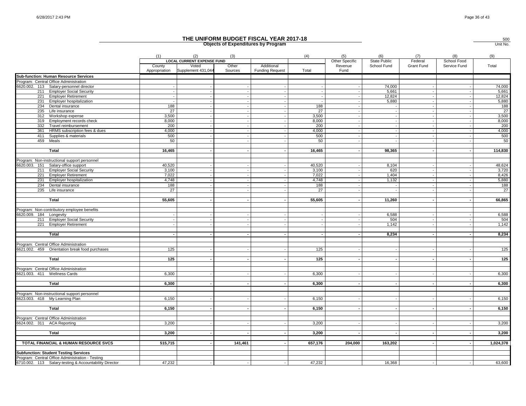|                                                            |                         |                                                                  |                  | <b>Objects of Expenditures by Program</b> |         |                                   |                             |                       |                             | Unit No.     |
|------------------------------------------------------------|-------------------------|------------------------------------------------------------------|------------------|-------------------------------------------|---------|-----------------------------------|-----------------------------|-----------------------|-----------------------------|--------------|
|                                                            | (1)                     | (2)                                                              | (3)              |                                           | (4)     | (5)                               | (6)                         | (7)                   | (8)                         | (9)          |
|                                                            | County<br>Appropriation | <b>LOCAL CURRENT EXPENSE FUND</b><br>Voted<br>Supplement 431,044 | Other<br>Sources | Additional<br><b>Funding Request</b>      | Total   | Other Specific<br>Revenue<br>Fund | State Public<br>School Fund | Federal<br>Grant Fund | School Food<br>Service Fund | Total        |
| <b>Sub-function: Human Resource Services</b>               |                         |                                                                  |                  |                                           |         |                                   |                             |                       |                             |              |
| Program: Central Office Administration                     |                         |                                                                  |                  |                                           |         |                                   |                             |                       |                             |              |
| 6620.002. 113 Salary-personnel director                    |                         |                                                                  |                  |                                           |         |                                   | 74,000                      |                       |                             | 74,000       |
| 211 Employer Social Security                               |                         |                                                                  |                  |                                           |         |                                   | 5,661                       |                       |                             | 5,661        |
| 221 Employer Retirement<br><b>Employer hospitalization</b> |                         |                                                                  |                  |                                           | $\sim$  |                                   | 12,824<br>5,880             |                       |                             | 12,824       |
| 231<br>234<br>Dental insurance                             | 188                     |                                                                  |                  |                                           | 188     |                                   | $\sim$                      |                       |                             | 5,880<br>188 |
| 235 Life insurance                                         | 27                      |                                                                  |                  |                                           | 27      |                                   |                             |                       |                             | 27           |
| 312 Workshop expense                                       | 3,500                   |                                                                  |                  |                                           | 3,500   |                                   |                             |                       |                             | 3,500        |
| 319<br>Employment records check                            | 8,000                   |                                                                  |                  |                                           | 8,000   |                                   |                             |                       |                             | 8,000        |
| 332<br>Travel reimbursement                                | 200                     |                                                                  |                  |                                           | 200     |                                   |                             |                       |                             | 200          |
| 361<br>HRMS subscription fees & dues                       | 4,000                   |                                                                  |                  |                                           | 4,000   |                                   |                             |                       |                             | 4,000        |
| Supplies & materials<br>411                                | 500                     |                                                                  |                  |                                           | 500     |                                   |                             |                       |                             | 500          |
| 459 Meals                                                  | 50                      |                                                                  |                  |                                           | 50      |                                   |                             |                       |                             | 50           |
|                                                            |                         |                                                                  |                  |                                           |         |                                   |                             |                       |                             |              |
| <b>Total</b>                                               | 16,465                  |                                                                  |                  |                                           | 16,465  |                                   | 98,365                      |                       |                             | 114,830      |
| Program: Non-instructional support personnel               |                         |                                                                  |                  |                                           |         |                                   |                             |                       |                             |              |
| 6620.003. 151 Salary-office support                        | 40,520                  |                                                                  | $\sim$           | $\overline{a}$                            | 40,520  |                                   | 8,104                       |                       |                             | 48,624       |
| 211 Employer Social Security                               | 3,100                   |                                                                  |                  |                                           | 3,100   |                                   | 620                         |                       |                             | 3,720        |
| 221 Employer Retirement                                    | 7.022                   |                                                                  |                  |                                           | 7.022   |                                   | 1,404                       |                       |                             | 8,426        |
| 231 Employer hospitalization                               | 4,748                   |                                                                  |                  |                                           | 4,748   |                                   | 1,132                       |                       |                             | 5,880        |
| 234 Dental insurance                                       | 188                     |                                                                  |                  |                                           | 188     |                                   |                             |                       |                             | 188          |
| 235 Life insurance                                         | 27                      |                                                                  |                  |                                           | 27      |                                   |                             |                       |                             | 27           |
| Total                                                      | 55,605                  |                                                                  | $\overline{a}$   | $\overline{\phantom{a}}$                  | 55,605  | $\blacksquare$                    | 11,260                      | $\blacksquare$        |                             | 66,865       |
|                                                            |                         |                                                                  |                  |                                           |         |                                   |                             |                       |                             |              |
| Program: Non-contributory employee benefits                |                         |                                                                  |                  |                                           |         |                                   |                             |                       |                             |              |
| 6620.009. 184 Longevity                                    |                         |                                                                  |                  |                                           |         |                                   | 6,588                       |                       |                             | 6,588        |
| 211 Employer Social Security<br>221 Employer Retirement    |                         |                                                                  |                  |                                           |         |                                   | 504<br>1,142                |                       |                             | 504<br>1,142 |
|                                                            |                         |                                                                  |                  |                                           |         |                                   |                             |                       |                             |              |
| Total                                                      |                         |                                                                  |                  |                                           | $\sim$  |                                   | 8,234                       |                       |                             | 8,234        |
| Program: Central Office Administration                     |                         |                                                                  |                  |                                           |         |                                   |                             |                       |                             |              |
| 6621.002. 459 Orientation break food purchases             | 125                     |                                                                  |                  |                                           | 125     |                                   |                             |                       |                             | 125          |
|                                                            |                         |                                                                  |                  |                                           |         |                                   |                             |                       |                             |              |
| <b>Total</b>                                               | 125                     |                                                                  |                  |                                           | 125     |                                   |                             |                       |                             | 125          |
| Program: Central Office Administration                     |                         |                                                                  |                  |                                           |         |                                   |                             |                       |                             |              |
| 6621.003. 411 Wellness Cards                               | 6,300                   |                                                                  |                  |                                           | 6,300   |                                   |                             |                       |                             | 6,300        |
|                                                            |                         |                                                                  |                  |                                           |         |                                   |                             |                       |                             |              |
| <b>Total</b>                                               | 6,300                   |                                                                  |                  |                                           | 6,300   |                                   |                             |                       |                             | 6,300        |
| Program: Non-instructional support personnel               |                         |                                                                  |                  |                                           |         |                                   |                             |                       |                             |              |
| 6623.003. 418 My Learning Plan                             | 6,150                   |                                                                  |                  |                                           | 6,150   |                                   |                             |                       |                             | 6,150        |
|                                                            | 6,150                   |                                                                  |                  |                                           | 6,150   |                                   |                             |                       |                             |              |
| <b>Total</b>                                               |                         |                                                                  |                  |                                           |         |                                   |                             |                       |                             | 6,150        |
| Program: Central Office Administration                     |                         |                                                                  |                  |                                           |         |                                   |                             |                       |                             |              |
| 6624.002. 311 ACA Reporting                                | 3,200                   |                                                                  |                  |                                           | 3,200   |                                   |                             |                       |                             | 3,200        |
| Total                                                      | 3,200                   |                                                                  |                  |                                           | 3,200   |                                   |                             |                       |                             | 3,200        |
|                                                            |                         |                                                                  |                  |                                           |         |                                   |                             |                       |                             |              |
| TOTAL FINANCIAL & HUMAN RESOURCE SVCS                      | 515,715                 |                                                                  | 141,461          |                                           | 657,176 | 204,000                           | 163,202                     |                       |                             | 1,024,378    |
| <b>Subfunction: Student Testing Services</b>               |                         |                                                                  |                  |                                           |         |                                   |                             |                       |                             |              |
| Program: Central Office Administration - Testing           |                         |                                                                  |                  |                                           |         |                                   |                             |                       |                             |              |
| 6710.002. 113 Salary-testing & Accountability Director     | 47.232                  |                                                                  |                  |                                           | 47.232  |                                   | 16.368                      |                       |                             | 63.600       |

500 Unit No.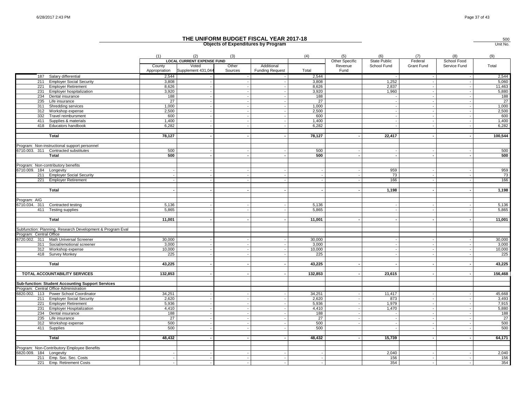|                                                            |                         |                                          |                          | THE UNIFORM BUDGET FISCAL YEAR 2017-18<br><b>Objects of Expenditures by Program</b> |                |                       |                            |                |                          | 500<br>Unit No. |
|------------------------------------------------------------|-------------------------|------------------------------------------|--------------------------|-------------------------------------------------------------------------------------|----------------|-----------------------|----------------------------|----------------|--------------------------|-----------------|
|                                                            |                         |                                          |                          |                                                                                     |                |                       |                            |                |                          |                 |
|                                                            | (1)                     | (2)<br><b>LOCAL CURRENT EXPENSE FUND</b> | (3)                      |                                                                                     | (4)            | (5)<br>Other Specific | (6)<br><b>State Public</b> | (7)<br>Federal | (8)<br>School Food       | (9)             |
|                                                            | County<br>Appropriation | Voted<br>Supplement 431,044              | Other<br>Sources         | Additional<br><b>Funding Request</b>                                                | Total          | Revenue<br>Fund       | School Fund                | Grant Fund     | Service Fund             | Total           |
| 187 Salary differential                                    | 2,544                   |                                          |                          |                                                                                     | 2,544          |                       |                            |                |                          | 2,544           |
| 211<br><b>Employer Social Security</b>                     | 3,808                   |                                          |                          |                                                                                     | 3,808          |                       | 1,252                      |                |                          | 5,060           |
| 221<br><b>Employer Retirement</b>                          | 8,626                   |                                          |                          |                                                                                     | 8,626          |                       | 2,837                      |                |                          | 11,463          |
| 231<br>Employer hospitalization                            | 3,920                   |                                          | $\overline{\phantom{a}}$ |                                                                                     | 3,920          |                       | 1,960                      |                |                          | 5,880           |
| 234 Dental insurance                                       | 188                     |                                          | $\sim$                   | $\overline{\phantom{a}}$                                                            | 188            |                       |                            |                |                          | 188             |
| 235 Life insurance                                         | 27                      |                                          | $\sim$                   |                                                                                     | 27             |                       |                            |                |                          | 27              |
| Shredding services<br>311                                  | 1,000                   |                                          | $\sim$                   | $\sim$                                                                              | 1,000          |                       |                            |                |                          | 1,000           |
| 312<br>Workshop expense                                    | 2,500                   |                                          |                          |                                                                                     | 2,500          |                       |                            |                |                          | 2,500           |
| 332<br>Travel reimbursment                                 | 600                     |                                          |                          | $\sim$                                                                              | 600            |                       |                            |                |                          | 600             |
| 411<br>Supplies & materials<br>418 Educators handbook      | 1,400<br>6,282          |                                          |                          |                                                                                     | 1,400<br>6,282 |                       |                            |                |                          | 1,400<br>6,282  |
|                                                            |                         |                                          |                          |                                                                                     |                |                       |                            |                |                          |                 |
| Total                                                      | 78,127                  |                                          | $\blacksquare$           | $\sim$                                                                              | 78,127         |                       | 22,417                     |                |                          | 100,544         |
|                                                            |                         |                                          |                          |                                                                                     |                |                       |                            |                |                          |                 |
| Program: Non-instructional support personnel               |                         |                                          |                          |                                                                                     |                |                       |                            |                |                          |                 |
| 6710.003. 311 Contracted substitutes                       | 500                     |                                          |                          |                                                                                     | 500            |                       |                            |                |                          | 500             |
| Total                                                      | 500                     | $\overline{\phantom{a}}$                 | $\sim$                   | $\overline{a}$                                                                      | 500            |                       | $\overline{\phantom{a}}$   | $\sim$         | $\overline{\phantom{a}}$ | 500             |
|                                                            |                         |                                          |                          |                                                                                     |                |                       |                            |                |                          |                 |
| Program: Non-contributory benefits                         |                         |                                          |                          |                                                                                     |                |                       |                            |                |                          |                 |
| 6710.009. 184 Longevity                                    |                         |                                          |                          |                                                                                     |                |                       | 959                        |                |                          | 959             |
| 211 Employer Social Security                               |                         |                                          | $\sim$                   | $\overline{\phantom{a}}$                                                            |                |                       | 73                         |                |                          | 73              |
| 221 Employer Retirement                                    |                         |                                          |                          |                                                                                     |                |                       | 166                        |                |                          | 166             |
|                                                            |                         |                                          |                          |                                                                                     |                |                       |                            |                |                          |                 |
| Total                                                      |                         |                                          |                          | $\sim$                                                                              |                |                       | 1,198                      |                |                          | 1,198           |
|                                                            |                         |                                          |                          |                                                                                     |                |                       |                            |                |                          |                 |
| Program: AIG<br>Contracted testing<br>6710.034. 311        | 5,136                   |                                          |                          |                                                                                     | 5,136          |                       |                            |                |                          | 5,136           |
| 411 Testing supplies                                       | 5,865                   |                                          |                          | $\overline{\phantom{a}}$                                                            | 5,865          |                       |                            |                |                          | 5,865           |
|                                                            |                         |                                          |                          |                                                                                     |                |                       |                            |                |                          |                 |
| Total                                                      | 11,001                  |                                          |                          | $\overline{\phantom{a}}$                                                            | 11,001         |                       |                            |                |                          | 11,001          |
|                                                            |                         |                                          |                          |                                                                                     |                |                       |                            |                |                          |                 |
| Subfunction: Planning, Research Development & Program Eval |                         |                                          |                          |                                                                                     |                |                       |                            |                |                          |                 |
| Program: Central Office                                    |                         |                                          |                          |                                                                                     |                |                       |                            |                |                          |                 |
| 6720.002. 311 Math Universal Screener                      | 30,000                  |                                          |                          |                                                                                     | 30,000         |                       |                            |                |                          | 30,000          |
| 311 Social/emotional screener                              | 3.000                   |                                          |                          |                                                                                     | 3.000          |                       |                            |                |                          | 3,000           |
| 312 Workshop expense                                       | 10,000                  |                                          |                          |                                                                                     | 10,000         |                       |                            |                |                          | 10,000          |
| 418 Survey Monkey                                          | 225                     |                                          |                          | $\blacksquare$                                                                      | 225            |                       |                            |                |                          | 225             |
|                                                            |                         |                                          |                          |                                                                                     |                |                       |                            |                |                          |                 |
| Total                                                      | 43,225                  |                                          |                          |                                                                                     | 43,225         |                       |                            |                |                          | 43,225          |
|                                                            |                         |                                          |                          | $\sim$                                                                              |                |                       |                            |                |                          |                 |
| TOTAL ACCOUNTABILITY SERVICES                              | 132,853                 |                                          |                          |                                                                                     | 132,853        |                       | 23,615                     |                |                          | 156,468         |
| Sub-function: Student Accounting Support Services          |                         |                                          |                          |                                                                                     |                |                       |                            |                |                          |                 |
| Program: Central Office Administration                     |                         |                                          |                          |                                                                                     |                |                       |                            |                |                          |                 |
| 6820.002. 113 Power School Coordinator                     | 34,251                  |                                          |                          |                                                                                     | 34,251         |                       | 11,417                     |                |                          | 45,668          |
| 211 Employer Social Security                               | 2,620                   |                                          |                          | $\overline{a}$                                                                      | 2,620          |                       | 873                        |                |                          | 3,493           |
| 221 Employer Retirement                                    | 5.936                   |                                          |                          |                                                                                     | 5.936          |                       | 1.979                      |                |                          | 7,915           |
| 231 Employer Hospitalization                               | 4,410                   |                                          |                          | $\overline{a}$                                                                      | 4,410          |                       | 1,470                      |                |                          | 5,880           |
| 234 Dental insurance                                       | 188                     |                                          |                          |                                                                                     | 188            |                       |                            |                |                          | 188             |
| 235<br>Life insurance                                      | 27                      |                                          |                          |                                                                                     | 27             |                       |                            |                |                          | 27              |
| 312<br>Workshop expense                                    | 500                     |                                          |                          |                                                                                     | 500            |                       |                            |                |                          | 500             |
| 411 Supplies                                               | 500                     |                                          |                          | $\overline{a}$                                                                      | 500            |                       |                            |                |                          | 500             |
|                                                            |                         |                                          |                          |                                                                                     |                |                       |                            |                |                          |                 |
| Total                                                      | 48,432                  |                                          |                          |                                                                                     | 48,432         |                       | 15,739                     |                |                          | 64,171          |
|                                                            |                         |                                          |                          |                                                                                     |                |                       |                            |                |                          |                 |
| Program: Non-Contributory Employee Benefits                |                         |                                          |                          |                                                                                     |                |                       |                            |                |                          | 2,040           |
| 6820.009. 184 Longevity<br>211 Emp. Soc. Sec. Costs        | $\sim$                  |                                          |                          |                                                                                     |                |                       | 2,040<br>156               |                |                          | 156             |
| 221 Emp. Retirement Costs                                  | $\sim$                  |                                          |                          |                                                                                     |                |                       | 354                        |                |                          | 354             |
|                                                            |                         |                                          |                          |                                                                                     |                |                       |                            |                |                          |                 |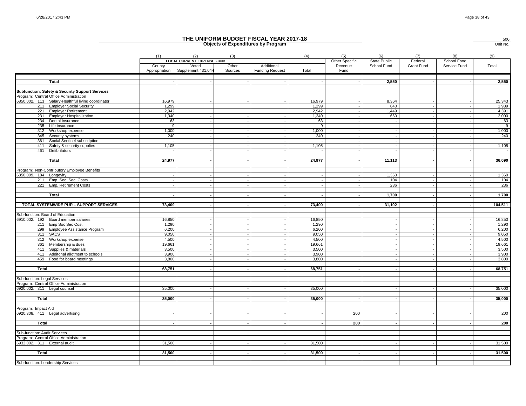500

|                                                   |                         |                                                                  |                  | <b>Objects of Expenditures by Program</b> |        |                                   |                                    |                       |                             | Unit No.      |
|---------------------------------------------------|-------------------------|------------------------------------------------------------------|------------------|-------------------------------------------|--------|-----------------------------------|------------------------------------|-----------------------|-----------------------------|---------------|
|                                                   | (1)                     | (2)                                                              | (3)              |                                           | (4)    | (5)                               | (6)                                | (7)                   | (8)                         | (9)           |
|                                                   | County<br>Appropriation | <b>LOCAL CURRENT EXPENSE FUND</b><br>Voted<br>Supplement 431,044 | Other<br>Sources | Additional<br><b>Funding Request</b>      | Total  | Other Specific<br>Revenue<br>Fund | <b>State Public</b><br>School Fund | Federal<br>Grant Fund | School Food<br>Service Fund | Total         |
| Total                                             |                         |                                                                  |                  |                                           |        |                                   | 2,550                              |                       |                             | 2,550         |
| Subfunction: Safety & Security Support Services   |                         |                                                                  |                  |                                           |        |                                   |                                    |                       |                             |               |
| Program: Central Office Administration            |                         |                                                                  |                  |                                           |        |                                   |                                    |                       |                             |               |
| 6850.002. 113 Salary-Healthful living coordinator | 16,979                  |                                                                  |                  |                                           | 16,979 |                                   | 8,364                              |                       |                             | 25,343        |
| 211 Employer Social Security                      | 1,299                   |                                                                  |                  |                                           | 1,299  |                                   | 640                                |                       |                             | 1,939         |
| 221 Employer Retirement                           | 2,942                   |                                                                  |                  |                                           | 2,942  |                                   | 1,449                              |                       |                             | 4,391         |
| 231 Employer Hospitalization                      | 1,340                   |                                                                  |                  |                                           | 1,340  |                                   | 660                                |                       |                             | 2,000         |
| 234<br>Dental insurance                           | 63                      |                                                                  |                  |                                           | 63     |                                   |                                    |                       |                             | 63            |
| 235<br>Life insurance                             | 9                       |                                                                  |                  |                                           | 9      |                                   |                                    |                       |                             | 9             |
| Workshop expense<br>312                           | 1,000                   | $\sim$                                                           |                  |                                           | 1,000  |                                   | $\overline{\phantom{a}}$           | $\sim$                |                             | 1,000         |
| 345<br>Security systems                           | 240                     | $\sim$                                                           |                  |                                           | 240    |                                   |                                    |                       |                             | 240           |
| Social Sentinel subscription<br>361               |                         | $\overline{\phantom{a}}$                                         |                  |                                           | ÷.     |                                   |                                    |                       |                             | $\sim$ $\sim$ |
| 411<br>Safety & security supplies                 | 1,105                   |                                                                  |                  |                                           | 1,105  |                                   |                                    |                       |                             | 1,105         |
| 461<br>Defibrilators                              |                         |                                                                  |                  |                                           |        |                                   |                                    |                       |                             | $\sim$        |
| <b>Total</b>                                      | 24,977                  |                                                                  |                  |                                           | 24,977 |                                   | 11,113                             |                       |                             | 36,090        |
|                                                   |                         |                                                                  |                  |                                           |        |                                   |                                    |                       |                             |               |
| Program: Non-Contributory Employee Benefits       |                         |                                                                  |                  |                                           |        |                                   |                                    |                       |                             |               |
| 6850.009. 184 Longevity                           |                         |                                                                  |                  |                                           |        |                                   | 1,360                              |                       |                             | 1,360         |
| 211 Emp. Soc. Sec. Costs                          |                         |                                                                  |                  |                                           |        |                                   | 104                                |                       |                             | 104           |
| 221 Emp. Retirement Costs                         |                         |                                                                  |                  |                                           |        |                                   | 236                                |                       |                             | 236           |
| Total                                             |                         | $\sim$                                                           |                  |                                           |        |                                   | 1,700                              |                       |                             | 1,700         |
|                                                   |                         |                                                                  |                  |                                           |        |                                   |                                    |                       |                             |               |
| TOTAL SYSTEMWIDE PUPIL SUPPORT SERVICES           | 73,409                  |                                                                  |                  |                                           | 73,409 |                                   | 31,102                             |                       |                             | 104,511       |
| Sub-function: Board of Education                  |                         |                                                                  |                  |                                           |        |                                   |                                    |                       |                             |               |
| 6910.002. 192 Board member salaries               | 16,850                  |                                                                  |                  |                                           | 16,850 |                                   |                                    |                       |                             | 16,850        |
| 211 Emp Soc Sec Cost                              | 1,290                   | $\sim$                                                           |                  |                                           | 1,290  |                                   |                                    |                       |                             | 1,290         |
| 299 Employee Assistance Program                   | 6,200                   | $\sim$                                                           |                  |                                           | 6,200  |                                   |                                    |                       |                             | 6,200         |
| 311 SACS                                          | 9,050                   | $\overline{\phantom{a}}$                                         |                  |                                           | 9,050  |                                   |                                    |                       |                             | 9,050         |
| 312 Workshop expense                              | 4,500                   |                                                                  |                  |                                           | 4,500  |                                   |                                    |                       |                             | 4,500         |
| 361 Membership & dues                             | 19,661                  |                                                                  |                  |                                           | 19,661 |                                   |                                    |                       |                             | 19,661        |
| 411<br>Supplies & materials                       | 3,500                   | $\sim$                                                           |                  |                                           | 3,500  |                                   |                                    |                       |                             | 3,500         |
| 411<br>Additonal allotment to schools             | 3,900                   |                                                                  |                  |                                           | 3,900  |                                   |                                    |                       |                             | 3,900         |
| 459 Food for board meetings                       | 3,800                   |                                                                  |                  |                                           | 3,800  |                                   |                                    |                       |                             | 3,800         |
|                                                   |                         |                                                                  |                  |                                           |        |                                   |                                    |                       |                             |               |
| Total                                             | 68,751                  |                                                                  |                  |                                           | 68,751 |                                   |                                    |                       |                             | 68,751        |
| Sub-function: Legal Services                      |                         |                                                                  |                  |                                           |        |                                   |                                    |                       |                             |               |
| Program: Central Office Administration            |                         |                                                                  |                  |                                           |        |                                   |                                    |                       |                             |               |
| 6920.002. 311 Legal counsel                       | 35,000                  |                                                                  |                  |                                           | 35,000 |                                   |                                    |                       |                             | 35,000        |
|                                                   |                         |                                                                  |                  |                                           |        |                                   |                                    |                       |                             |               |
| Total                                             | 35,000                  |                                                                  |                  |                                           | 35,000 |                                   |                                    |                       |                             | 35,000        |
| Program: Impact Aid                               |                         |                                                                  |                  |                                           |        |                                   |                                    |                       |                             |               |
| 6920.308. 411 Legal advertising                   |                         |                                                                  |                  |                                           |        | 200                               |                                    |                       |                             | 200           |
|                                                   |                         |                                                                  |                  |                                           |        |                                   |                                    |                       |                             |               |
| Total                                             |                         |                                                                  |                  |                                           |        | 200                               |                                    |                       |                             | 200           |
| Sub-function: Audit Services                      |                         |                                                                  |                  |                                           |        |                                   |                                    |                       |                             |               |
| Program: Central Office Administration            |                         |                                                                  |                  |                                           |        |                                   |                                    |                       |                             |               |
| 6932.002. 311 External audit                      | 31,500                  |                                                                  |                  |                                           | 31,500 |                                   |                                    |                       |                             | 31,500        |
|                                                   |                         |                                                                  |                  |                                           |        |                                   |                                    |                       |                             |               |
| Total                                             | 31,500                  |                                                                  |                  |                                           | 31,500 |                                   |                                    |                       |                             | 31,500        |
| Sub-function: Leadership Services                 |                         |                                                                  |                  |                                           |        |                                   |                                    |                       |                             |               |
|                                                   |                         |                                                                  |                  |                                           |        |                                   |                                    |                       |                             |               |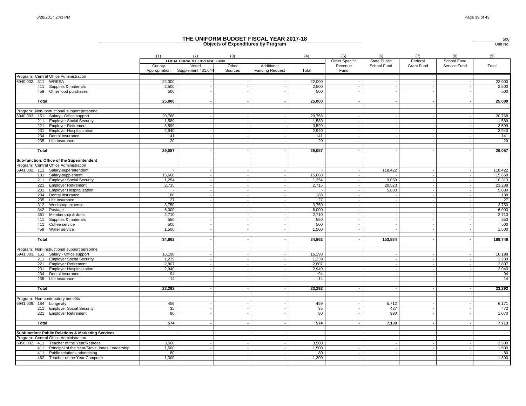|                                                                  |                         |                                          |                          | THE UNIFORM BUDGET FISCAL YEAR 2017-18<br><b>Objects of Expenditures by Program</b> |        |                       |                     |                       |                          | 500<br>Unit No. |
|------------------------------------------------------------------|-------------------------|------------------------------------------|--------------------------|-------------------------------------------------------------------------------------|--------|-----------------------|---------------------|-----------------------|--------------------------|-----------------|
|                                                                  | (1)                     | (2)<br><b>LOCAL CURRENT EXPENSE FUND</b> | (3)                      |                                                                                     | (4)    | (5)<br>Other Specific | (6)<br>State Public | (7)                   | (8)<br>School Food       | (9)             |
|                                                                  | County<br>Appropriation | Voted<br>Supplement 431,044              | Other<br>Sources         | Additional<br><b>Funding Request</b>                                                | Total  | Revenue<br>Fund       | School Fund         | Federal<br>Grant Fund | Service Fund             | Total           |
| Program: Central Office Administration                           |                         |                                          |                          |                                                                                     |        |                       |                     |                       |                          |                 |
| 6940.002. 311 WRESA                                              | 22,000                  |                                          |                          |                                                                                     | 22,000 |                       |                     |                       |                          | 22,000          |
| 411 Supplies & materials                                         | 2,500                   |                                          | $\overline{\phantom{a}}$ | $\sim$                                                                              | 2,500  |                       |                     |                       | $\overline{\phantom{a}}$ | 2,500           |
| 459 Other food purchases                                         | 500                     |                                          |                          |                                                                                     | 500    |                       |                     |                       |                          | 500             |
| Total                                                            | 25,000                  |                                          |                          |                                                                                     | 25,000 |                       |                     |                       |                          | 25,000          |
| Program: Non-instructional support personnel                     |                         |                                          |                          |                                                                                     |        |                       |                     |                       |                          |                 |
| 6940.003. 151 Salary - Office support                            | 20,768                  |                                          |                          |                                                                                     | 20,768 |                       |                     |                       |                          | 20,768          |
| 211 Employer Social Security                                     | 1,589                   |                                          |                          |                                                                                     | 1,589  |                       |                     |                       |                          | 1,589           |
| 221 Employer Retirement                                          | 3,599                   |                                          |                          |                                                                                     | 3,599  |                       |                     |                       |                          | 3,599           |
| 231 Employer Hospitalization                                     | 2,940                   |                                          |                          |                                                                                     | 2,940  |                       |                     |                       |                          | 2,940           |
| 234 Dental insurance                                             | 141                     |                                          |                          |                                                                                     | 141    |                       |                     |                       |                          | 141             |
| 235 Life insurance                                               | 20                      |                                          |                          |                                                                                     | 20     |                       |                     |                       |                          | 20              |
|                                                                  |                         |                                          |                          |                                                                                     |        |                       |                     |                       |                          |                 |
| Total                                                            | 29,057                  |                                          |                          |                                                                                     | 29,057 |                       |                     |                       |                          | 29,057          |
| Sub-function: Office of the Superintendent                       |                         |                                          |                          |                                                                                     |        |                       |                     |                       |                          |                 |
| Program: Central Office Administration                           |                         |                                          |                          |                                                                                     |        |                       |                     |                       |                          |                 |
| 6941.002. 111 Salary-superintendent                              |                         |                                          |                          | $\sim$                                                                              |        |                       | 118,422             |                       |                          | 118,422         |
| 181 Salary-supplement                                            | 15,668                  |                                          |                          | $\sim$                                                                              | 15,668 |                       |                     |                       |                          | 15,668          |
| 211 Employer Social Security                                     | 1,254                   |                                          | $\sim$                   |                                                                                     | 1,254  |                       | 9,059               |                       |                          | 10,313          |
| 221<br><b>Employer Retirement</b>                                | 2,715                   |                                          |                          |                                                                                     | 2,715  |                       | 20,523              |                       |                          | 23,238          |
| 231 Employer Hospitalization                                     |                         |                                          | $\overline{\phantom{a}}$ | $\overline{\phantom{a}}$                                                            |        |                       | 5,880               |                       |                          | 5,880           |
| 234 Dental insurance                                             | 188                     |                                          |                          |                                                                                     | 188    |                       |                     |                       |                          | 188             |
| 235<br>Life insurance                                            | 27                      |                                          |                          |                                                                                     | 27     |                       |                     |                       |                          | 27              |
| 312<br>Workshop expense                                          | 3,750                   |                                          |                          |                                                                                     | 3,750  |                       |                     |                       |                          | 3,750           |
| 342 Postage                                                      | 6,000                   |                                          | $\sim$                   | $\sim$                                                                              | 6,000  |                       |                     |                       |                          | 6,000           |
| Membership & dues<br>361                                         | 2,710                   |                                          |                          |                                                                                     | 2,710  |                       |                     |                       |                          | 2,710           |
| Supplies & materials<br>411                                      | 550                     |                                          | $\sim$                   | $\sim$                                                                              | 550    |                       |                     |                       |                          | 550             |
| 411<br>Coffee service                                            | 500                     |                                          |                          |                                                                                     | 500    |                       |                     |                       |                          | 500             |
| 459 Water service                                                | 1,500                   |                                          |                          |                                                                                     | 1,500  |                       |                     |                       |                          | 1,500           |
| <b>Total</b>                                                     | 34,862                  |                                          |                          |                                                                                     | 34,862 |                       | 153,884             |                       |                          | 188,746         |
| Program: Non-instructional support personnel                     |                         |                                          |                          |                                                                                     |        |                       |                     |                       |                          |                 |
| 6941.003. 151 Salary - Office support                            | 16,198                  |                                          |                          |                                                                                     | 16,198 |                       |                     |                       |                          | 16,198          |
| 211 Employer Social Security                                     | 1,239                   |                                          |                          |                                                                                     | 1,239  |                       |                     |                       |                          | 1,239           |
| 221<br><b>Employer Retirement</b>                                | 2.807                   |                                          |                          |                                                                                     | 2.807  |                       |                     |                       |                          | 2,807           |
| 231<br><b>Employer Hospitalization</b>                           | 2,940                   |                                          |                          |                                                                                     | 2,940  |                       |                     |                       |                          | 2,940           |
| 234 Dental insurance                                             | 94                      |                                          |                          |                                                                                     | 94     |                       |                     |                       |                          | 94              |
| 235<br>Life insurance                                            | 14                      |                                          |                          |                                                                                     | 14     |                       |                     |                       |                          | 14              |
|                                                                  |                         |                                          |                          |                                                                                     |        |                       |                     |                       |                          |                 |
| Total                                                            | 23,292                  |                                          |                          | $\overline{\phantom{a}}$                                                            | 23,292 |                       |                     |                       | $\overline{\phantom{a}}$ | 23,292          |
|                                                                  |                         |                                          |                          |                                                                                     |        |                       |                     |                       |                          |                 |
| Program: Non-contributory benefits<br>6941.009.<br>184 Longevity | 459                     |                                          |                          |                                                                                     | 459    |                       | 5.712               |                       |                          | 6,171           |
| 211 Employer Social Security                                     | 35                      |                                          |                          |                                                                                     | 35     |                       | 437                 |                       |                          | 472             |
| 221 Employer Retirement                                          | 80                      |                                          |                          |                                                                                     | 80     |                       | 990                 |                       |                          | 1.070           |
|                                                                  |                         |                                          |                          |                                                                                     |        |                       |                     |                       |                          |                 |
| Total                                                            | 574                     |                                          |                          |                                                                                     | 574    |                       | 7,139               |                       |                          | 7,713           |
| Subfunction: Public Relations & Marketing Services               |                         |                                          |                          |                                                                                     |        |                       |                     |                       |                          |                 |
| Program: Central Office Administration                           |                         |                                          |                          |                                                                                     |        |                       |                     |                       |                          |                 |
| 6950.002. 411<br>Teacher of the Year/Retirees                    | 3,500                   |                                          |                          |                                                                                     | 3,500  |                       |                     |                       |                          | 3,500           |
| Principal of the Year/Steve Jones Leadership<br>411              | 1,500                   |                                          |                          |                                                                                     | 1,500  |                       |                     |                       |                          | 1,500           |
| 411<br>Public relations advertising                              | 80                      |                                          | $\sim$                   | $\sim$                                                                              | 80     |                       |                     |                       |                          | 80              |
| 462 Teacher of the Year Computer                                 | 1,300                   |                                          |                          |                                                                                     | 1.300  |                       |                     |                       |                          | 1,300           |
|                                                                  |                         |                                          |                          |                                                                                     |        |                       |                     |                       |                          |                 |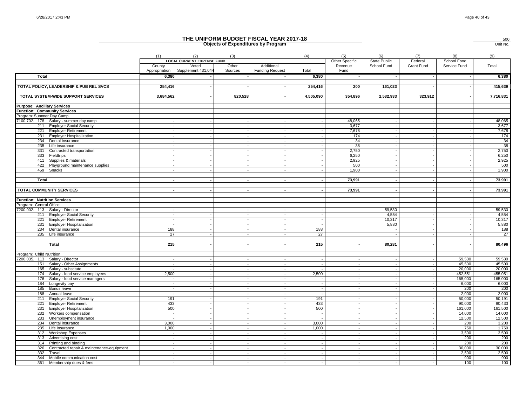|                                                             |                                                               |                          |                                          |                          | THE UNIFORM BUDGET FISCAL YEAR 2017-18<br><b>Objects of Expenditures by Program</b> |                |                                                     |             |                |                          | 500<br>Unit No.  |
|-------------------------------------------------------------|---------------------------------------------------------------|--------------------------|------------------------------------------|--------------------------|-------------------------------------------------------------------------------------|----------------|-----------------------------------------------------|-------------|----------------|--------------------------|------------------|
|                                                             |                                                               | (1)                      | (2)<br><b>LOCAL CURRENT EXPENSE FUND</b> | (3)                      |                                                                                     | (4)            | (5)<br>(6)<br>Other Specific<br><b>State Public</b> |             | (7)<br>Federal | (8)<br>School Food       | (9)              |
|                                                             |                                                               | County<br>Appropriation  | Voted<br>Supplement 431,044              | Other<br>Sources         | Additional<br><b>Funding Request</b>                                                | Total          | Revenue<br>Fund                                     | School Fund | Grant Fund     | Service Fund             | Total            |
| Total                                                       |                                                               | 6,380                    |                                          |                          |                                                                                     | 6,380          |                                                     |             |                |                          | 6,380            |
|                                                             | TOTAL POLICY, LEADERSHIP & PUB REL SVCS                       | 254,416                  |                                          |                          | $\sim$                                                                              | 254,416        | 200                                                 | 161,023     |                | $\overline{\phantom{a}}$ | 415,639          |
|                                                             | TOTAL SYSTEM-WIDE SUPPORT SERVICES                            | 3,684,562                |                                          | 820,528                  | $\overline{\phantom{a}}$                                                            | 4,505,090      | 354,896                                             | 2,532,933   | 323,912        |                          | 7,716,831        |
| <b>Purpose: Ancillary Services</b>                          |                                                               |                          |                                          |                          |                                                                                     |                |                                                     |             |                |                          |                  |
| <b>Function: Community Services</b>                         |                                                               |                          |                                          |                          |                                                                                     |                |                                                     |             |                |                          |                  |
| Program: Summer Day Camp                                    |                                                               |                          |                                          |                          |                                                                                     |                |                                                     |             |                |                          |                  |
|                                                             | 7100.702. 178 Salary - summer day camp                        |                          |                                          |                          |                                                                                     |                | 48,065                                              |             |                |                          | 48,065           |
|                                                             | 211 Employer Social Security                                  |                          |                                          |                          | $\overline{\phantom{a}}$                                                            |                | 3,677                                               |             |                |                          | 3,677            |
|                                                             | 221 Employer Retirement                                       |                          |                                          | $\sim$                   | $\overline{\phantom{a}}$                                                            |                | 7,678                                               |             |                |                          | 7,678            |
|                                                             | 231 Employer Hospitalization<br>234 Dental insurance          |                          |                                          |                          | $\overline{\phantom{a}}$                                                            |                | 174<br>34                                           |             |                |                          | 174<br>34        |
| 235                                                         | Life insurance                                                |                          |                                          |                          |                                                                                     |                | 38                                                  |             |                |                          | 38               |
| 331                                                         | Contracted transportation                                     |                          |                                          |                          | $\sim$                                                                              |                | 2,750                                               |             |                |                          | 2,750            |
|                                                             | 333 Fieldtrips                                                |                          |                                          |                          | $\overline{a}$                                                                      |                | 6,250                                               |             |                |                          | 6,250            |
| 411                                                         | Supplies & materials                                          |                          |                                          |                          |                                                                                     |                | 2,925                                               |             |                |                          | 2,925            |
|                                                             | 422 Playground maintenance supplies                           |                          |                                          |                          | $\overline{\phantom{a}}$                                                            |                | 500                                                 |             |                |                          | 500              |
| 459 Snacks                                                  |                                                               |                          |                                          |                          | $\overline{\phantom{a}}$                                                            | $\sim$         | 1,900                                               |             |                |                          | 1,900            |
|                                                             |                                                               |                          |                                          |                          |                                                                                     |                |                                                     |             |                |                          |                  |
| Total                                                       |                                                               |                          |                                          |                          | $\overline{\phantom{a}}$                                                            |                | 73,991                                              |             |                |                          | 73,991           |
| <b>TOTAL COMMUNITY SERVICES</b>                             |                                                               |                          |                                          |                          | $\sim$                                                                              |                | 73,991                                              |             |                |                          | 73,991           |
|                                                             |                                                               |                          |                                          |                          |                                                                                     |                |                                                     |             |                |                          |                  |
| <b>Function: Nutrition Services</b>                         |                                                               |                          |                                          |                          |                                                                                     |                |                                                     |             |                |                          |                  |
| Program: Central Office                                     |                                                               |                          |                                          |                          |                                                                                     |                |                                                     |             |                |                          |                  |
| 7200.002. 113 Salary - Director                             |                                                               |                          |                                          |                          | $\overline{a}$                                                                      |                |                                                     | 59,530      |                |                          | 59,530           |
|                                                             | 211 Employer Social Security                                  |                          |                                          |                          |                                                                                     |                |                                                     | 4,554       |                |                          | 4,554            |
| 221                                                         | <b>Employer Retirement</b>                                    |                          |                                          |                          | $\overline{a}$                                                                      |                |                                                     | 10,317      |                |                          | 10,317           |
| 231                                                         | <b>Employer Hospitalization</b>                               |                          |                                          |                          |                                                                                     |                |                                                     | 5,880       |                |                          | 5,880            |
|                                                             | 234 Dental insurance<br>235 Life insurance                    | 188<br>27                |                                          |                          | $\overline{a}$                                                                      | 188<br>27      |                                                     |             |                |                          | 188<br>27        |
|                                                             |                                                               |                          |                                          |                          |                                                                                     |                |                                                     |             |                |                          |                  |
|                                                             | Total                                                         | 215                      |                                          |                          | $\sim$                                                                              | 215            |                                                     | 80,281      |                |                          | 80,496           |
|                                                             |                                                               |                          |                                          |                          |                                                                                     |                |                                                     |             |                |                          |                  |
| Program: Child Nutrition<br>7200.035. 113 Salary - Director |                                                               |                          |                                          |                          |                                                                                     |                |                                                     |             |                | 59,530                   | 59,530           |
| 151                                                         | Salary - Other Assignments                                    |                          |                                          |                          |                                                                                     |                |                                                     |             |                | 45.500                   | 45.500           |
| 165                                                         | Salary - substitute                                           |                          |                                          |                          | $\sim$                                                                              |                |                                                     |             |                | 20,000                   | 20,000           |
| 174                                                         | Salary - food service employees                               | 2.500                    |                                          |                          | $\sim$                                                                              | 2.500          |                                                     |             |                | 452.551                  | 455,051          |
| 176                                                         | Salary - food service managers                                |                          |                                          |                          |                                                                                     |                |                                                     |             |                | 165,000                  | 165,000          |
|                                                             | 184 Longevity pay                                             |                          |                                          |                          |                                                                                     |                |                                                     |             |                | 6,000                    | 6,000            |
|                                                             | 185 Bonus leave                                               |                          |                                          | $\overline{\phantom{a}}$ | $\overline{\phantom{a}}$                                                            |                |                                                     |             |                | 200                      | 200              |
| 188                                                         | Annual leave                                                  |                          |                                          |                          | $\sim$                                                                              |                |                                                     |             |                | 2,000                    | 2,000            |
| 211<br>221                                                  | <b>Employer Social Security</b><br><b>Employer Retirement</b> | 191<br>433               |                                          |                          |                                                                                     | 191<br>433     |                                                     |             |                | 50,000<br>90.000         | 50,191<br>90,433 |
| 231                                                         | <b>Employer Hospitalization</b>                               | 500                      |                                          |                          | $\sim$                                                                              | 500            |                                                     |             |                | 161,000                  | 161,500          |
| 232                                                         | Workers compensation                                          |                          |                                          |                          | $\sim$                                                                              |                |                                                     |             |                | 14.000                   | 14,000           |
| 233                                                         | Unemployment insurance                                        |                          |                                          |                          |                                                                                     |                |                                                     |             |                | 12,500                   | 12,500           |
| 234                                                         | Dental insurance                                              | 3,000                    |                                          |                          |                                                                                     | 3,000          |                                                     |             |                | 200                      | 3,200            |
| 235                                                         | Life insurance                                                | 1,000                    |                                          |                          | $\overline{\phantom{a}}$                                                            | 1,000          |                                                     |             |                | 750                      | 1,750            |
| 312                                                         | <b>Workshop Expenses</b>                                      |                          |                                          | $\sim$                   | $\sim$                                                                              |                |                                                     |             |                | 3,500                    | 3,500            |
| 313                                                         | Advertising cost                                              |                          |                                          |                          |                                                                                     |                |                                                     |             |                | 200                      | 200              |
| 314                                                         | Printing and binding                                          |                          |                                          |                          |                                                                                     |                |                                                     |             |                | 200                      | 200              |
| 326                                                         | Contracted repair & maintenance-equipment                     | $\overline{\phantom{a}}$ | $\overline{\phantom{a}}$                 | $\sim$                   | $\sim$                                                                              | $\overline{a}$ |                                                     |             |                | 30.000                   | 30,000<br>2,500  |
| 332                                                         | Travel<br>344 Mobile communication cost                       | $\sim$                   |                                          |                          | $\sim$                                                                              |                |                                                     |             |                | 2,500<br>900             | 900              |
| 361                                                         | Membership dues & fees                                        |                          |                                          |                          |                                                                                     |                |                                                     |             |                | 100                      | 100              |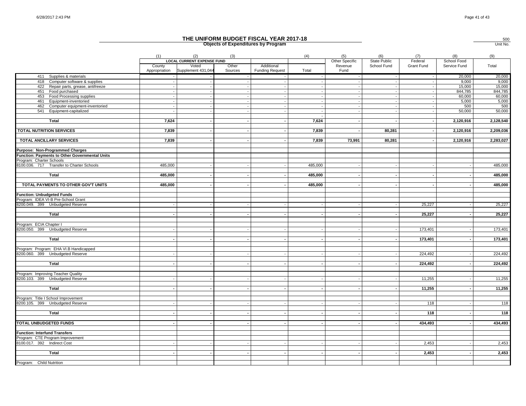|                                                    |                         |                                                                  |                  | THE UNIFORM BUDGET FISCAL YEAR 2017-18<br><b>Objects of Expenditures by Program</b> |         |                                   |                             |                       |                             | $\frac{500}{\text{Unit No.}}$ |
|----------------------------------------------------|-------------------------|------------------------------------------------------------------|------------------|-------------------------------------------------------------------------------------|---------|-----------------------------------|-----------------------------|-----------------------|-----------------------------|-------------------------------|
|                                                    | (1)                     | (2)                                                              | (3)              |                                                                                     | (4)     | (5)<br>(6)                        |                             | (7)                   | (8)                         | (9)                           |
|                                                    | County<br>Appropriation | <b>LOCAL CURRENT EXPENSE FUND</b><br>Voted<br>Supplement 431,044 | Other<br>Sources | Additional<br><b>Funding Request</b>                                                | Total   | Other Specific<br>Revenue<br>Fund | State Public<br>School Fund | Federal<br>Grant Fund | School Food<br>Service Fund | Total                         |
| 411 Supplies & materials                           |                         |                                                                  |                  |                                                                                     |         |                                   |                             |                       | 20,000                      | 20,000                        |
| 418<br>Computer software & supplies                |                         |                                                                  |                  | $\overline{\phantom{a}}$                                                            |         |                                   |                             |                       | 9,000                       | 9,000                         |
| 422 Repair parts, grease, antifreeze               |                         |                                                                  |                  | $\overline{\phantom{a}}$<br>$\sim$                                                  |         |                                   |                             |                       | 15,000                      | 15,000                        |
| 451 Food purchased<br>453 Food Processing supplies |                         |                                                                  |                  |                                                                                     |         |                                   |                             |                       | 844,785<br>60,000           | 844,785<br>60,000             |
| 461<br>Equipment-inventoried                       |                         |                                                                  |                  |                                                                                     |         |                                   |                             |                       | 5.000                       | 5,000                         |
| 462 Computer equipment-inventoried                 |                         |                                                                  |                  | $\overline{\phantom{a}}$                                                            |         |                                   |                             |                       | 500                         | 500                           |
| 541 Equipment-capitalized                          |                         |                                                                  |                  | $\blacksquare$                                                                      |         |                                   |                             |                       | 50,000                      | 50,000                        |
|                                                    |                         |                                                                  |                  |                                                                                     |         |                                   |                             |                       |                             |                               |
| Total                                              | 7,624                   |                                                                  | $\blacksquare$   |                                                                                     | 7,624   |                                   |                             |                       | 2,120,916                   | 2,128,540                     |
| <b>TOTAL NUTRITION SERVICES</b>                    | 7,839                   |                                                                  |                  | $\sim$                                                                              | 7,839   |                                   | 80,281                      |                       | 2,120,916                   | 2,209,036                     |
| <b>TOTAL ANCILLARY SERVICES</b>                    | 7,839                   |                                                                  |                  |                                                                                     | 7,839   | 73,991                            | 80,281                      |                       | 2,120,916                   | 2,283,027                     |
| Purpose: Non-Programmed Charges                    |                         |                                                                  |                  |                                                                                     |         |                                   |                             |                       |                             |                               |
| Function: Payments to Other Governmental Units     |                         |                                                                  |                  |                                                                                     |         |                                   |                             |                       |                             |                               |
| Program: Charter Schools                           |                         |                                                                  |                  |                                                                                     |         |                                   |                             |                       |                             |                               |
| 8100.036. 717 Transfer to Charter Schools          | 485,000                 |                                                                  |                  |                                                                                     | 485,000 |                                   |                             |                       |                             | 485,000                       |
| Total                                              | 485,000                 |                                                                  |                  |                                                                                     | 485,000 |                                   |                             |                       |                             | 485,000                       |
| TOTAL PAYMENTS TO OTHER GOV'T UNITS                | 485,000                 |                                                                  |                  |                                                                                     | 485,000 |                                   |                             |                       |                             | 485,000                       |
| <b>Function: Unbudgeted Funds</b>                  |                         |                                                                  |                  |                                                                                     |         |                                   |                             |                       |                             |                               |
| Program: IDEA VI-B Pre-School Grant                |                         |                                                                  |                  |                                                                                     |         |                                   |                             |                       |                             |                               |
| 8200.049. 399 Unbudgeted Reserve                   |                         |                                                                  |                  |                                                                                     |         |                                   |                             | 25,227                |                             | 25,227                        |
|                                                    |                         |                                                                  |                  |                                                                                     |         |                                   |                             |                       |                             |                               |
| Total                                              |                         |                                                                  |                  | $\overline{\phantom{a}}$                                                            |         |                                   |                             | 25,227                |                             | 25,227                        |
| Program: ECIA Chapter I                            |                         |                                                                  |                  |                                                                                     |         |                                   |                             |                       |                             |                               |
| 8200.050. 399 Unbudgeted Reserve                   |                         |                                                                  |                  |                                                                                     |         |                                   |                             | 173,401               |                             | 173,401                       |
|                                                    |                         |                                                                  |                  |                                                                                     |         |                                   |                             |                       |                             |                               |
| Total                                              |                         |                                                                  |                  |                                                                                     |         |                                   |                             | 173,401               |                             | 173,401                       |
| Program: Program: EHA VI.B Handicapped             |                         |                                                                  |                  |                                                                                     |         |                                   |                             |                       |                             |                               |
| 8200.060. 399 Unbudgeted Reserve                   |                         |                                                                  |                  |                                                                                     |         |                                   |                             | 224,492               |                             | 224,492                       |
|                                                    |                         |                                                                  |                  |                                                                                     |         |                                   |                             |                       |                             |                               |
| Total                                              |                         |                                                                  |                  |                                                                                     |         |                                   |                             | 224,492               |                             | 224,492                       |
| Program: Improving Teacher Quality                 |                         |                                                                  |                  |                                                                                     |         |                                   |                             |                       |                             |                               |
| 8200.103. 399 Unbudgeted Reserve                   |                         |                                                                  |                  |                                                                                     |         |                                   |                             | 11,255                |                             | 11,255                        |
|                                                    |                         |                                                                  |                  |                                                                                     |         |                                   |                             |                       |                             |                               |
| Total                                              |                         |                                                                  |                  | $\sim$                                                                              |         |                                   |                             | 11,255                |                             | 11,255                        |
|                                                    |                         |                                                                  |                  |                                                                                     |         |                                   |                             |                       |                             |                               |
| Program: Title I School Improvement                |                         |                                                                  |                  |                                                                                     |         |                                   |                             |                       |                             |                               |
| 8200.105. 399 Unbudgeted Reserve                   |                         |                                                                  |                  |                                                                                     |         |                                   |                             | 118                   |                             | 118                           |
| Total                                              |                         |                                                                  |                  | $\sim$                                                                              |         |                                   |                             | 118                   |                             | 118                           |
|                                                    |                         |                                                                  |                  |                                                                                     |         |                                   |                             |                       |                             |                               |
| <b>TOTAL UNBUDGETED FUNDS</b>                      |                         |                                                                  |                  |                                                                                     |         |                                   |                             | 434,493               |                             | 434,493                       |
| <b>Function: Interfund Transfers</b>               |                         |                                                                  |                  |                                                                                     |         |                                   |                             |                       |                             |                               |
| Program: CTE Program Improvement                   |                         |                                                                  |                  |                                                                                     |         |                                   |                             |                       |                             |                               |
| 8100.017. 392 Indirect Cost                        |                         |                                                                  |                  |                                                                                     |         |                                   |                             | 2,453                 |                             | 2,453                         |
|                                                    |                         |                                                                  |                  |                                                                                     |         |                                   |                             |                       |                             |                               |
| Total                                              |                         |                                                                  |                  |                                                                                     |         |                                   |                             | 2,453                 |                             | 2,453                         |
|                                                    |                         |                                                                  |                  |                                                                                     |         |                                   |                             |                       |                             |                               |
| Program: Child Nutrition                           |                         |                                                                  |                  |                                                                                     |         |                                   |                             |                       |                             |                               |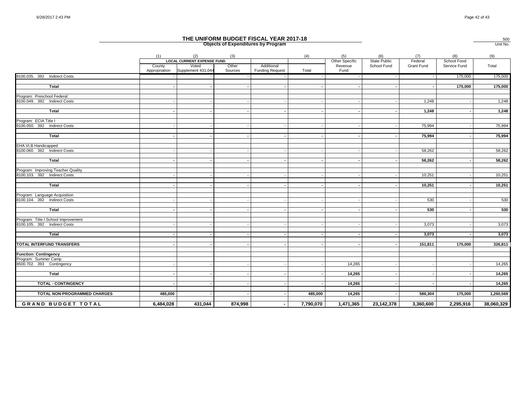|                                                                     | THE UNIFORM BUDGET FISCAL YEAR 2017-18<br><b>Objects of Expenditures by Program</b> |                                                                  |                          |                                      |           |                                                                                |            |                       |                             |            |  |
|---------------------------------------------------------------------|-------------------------------------------------------------------------------------|------------------------------------------------------------------|--------------------------|--------------------------------------|-----------|--------------------------------------------------------------------------------|------------|-----------------------|-----------------------------|------------|--|
|                                                                     | (1)                                                                                 | (2)                                                              | (3)                      |                                      | (4)       | (5)<br>(6)<br>Other Specific<br>State Public<br>School Fund<br>Revenue<br>Fund |            | (7)                   | (8)                         | (9)        |  |
|                                                                     | County<br>Appropriation                                                             | <b>LOCAL CURRENT EXPENSE FUND</b><br>Voted<br>Supplement 431,044 | Other<br>Sources         | Additional<br><b>Funding Request</b> | Total     |                                                                                |            | Federal<br>Grant Fund | School Food<br>Service Fund | Total      |  |
| 8100.035. 392 Indirect Costs                                        |                                                                                     |                                                                  |                          |                                      |           |                                                                                |            |                       | 175,000                     | 175,000    |  |
|                                                                     |                                                                                     |                                                                  |                          |                                      |           |                                                                                |            |                       |                             |            |  |
| Total                                                               |                                                                                     |                                                                  |                          |                                      |           |                                                                                |            |                       | 175,000                     | 175,000    |  |
| Program: Preschool Federal                                          |                                                                                     |                                                                  |                          |                                      |           |                                                                                |            |                       |                             |            |  |
| 8100.049. 392 Indirect Costs                                        |                                                                                     |                                                                  |                          |                                      |           |                                                                                |            | 1,248                 |                             | 1,248      |  |
| Total                                                               |                                                                                     |                                                                  |                          |                                      |           |                                                                                |            | 1,248                 |                             | 1,248      |  |
|                                                                     |                                                                                     |                                                                  |                          |                                      |           |                                                                                |            |                       |                             |            |  |
| Program: ECIA Title I<br>8100.050. 392 Indirect Costs               |                                                                                     |                                                                  |                          |                                      |           |                                                                                |            | 75,994                |                             | 75,994     |  |
|                                                                     |                                                                                     |                                                                  |                          |                                      |           |                                                                                |            |                       |                             |            |  |
| Total                                                               |                                                                                     |                                                                  |                          |                                      |           |                                                                                |            | 75,994                |                             | 75,994     |  |
| EHA VI.B Handicapped                                                |                                                                                     |                                                                  |                          |                                      |           |                                                                                |            |                       |                             |            |  |
| 8100.060. 392 Indirect Costs                                        |                                                                                     |                                                                  |                          |                                      |           |                                                                                |            | 58,262                |                             | 58,262     |  |
| Total                                                               |                                                                                     |                                                                  |                          |                                      |           |                                                                                |            | 58,262                |                             | 58,262     |  |
|                                                                     |                                                                                     |                                                                  |                          |                                      |           |                                                                                |            |                       |                             |            |  |
| Program: Improving Teacher Quality                                  |                                                                                     |                                                                  |                          |                                      |           |                                                                                |            |                       |                             |            |  |
| 8100.103. 392 Indirect Costs                                        |                                                                                     |                                                                  |                          |                                      |           |                                                                                |            | 10,251                |                             | 10,251     |  |
| Total                                                               |                                                                                     |                                                                  |                          |                                      |           |                                                                                |            | 10,251                |                             | 10,251     |  |
|                                                                     |                                                                                     |                                                                  |                          |                                      |           |                                                                                |            |                       |                             |            |  |
| Program: Language Acquisition                                       |                                                                                     |                                                                  |                          |                                      |           |                                                                                |            |                       |                             |            |  |
| 8100.104. 392 Indirect Costs                                        |                                                                                     |                                                                  |                          |                                      |           |                                                                                |            | 530                   |                             | 530        |  |
| Total                                                               |                                                                                     |                                                                  |                          |                                      |           |                                                                                |            | 530                   |                             | 530        |  |
|                                                                     |                                                                                     |                                                                  |                          |                                      |           |                                                                                |            |                       |                             |            |  |
| Program: Title I School Improvement<br>8100.105. 392 Indirect Costs |                                                                                     |                                                                  |                          |                                      |           |                                                                                |            | 3,073                 |                             | 3,073      |  |
|                                                                     |                                                                                     |                                                                  |                          |                                      |           |                                                                                |            |                       |                             |            |  |
| Total                                                               |                                                                                     |                                                                  |                          |                                      |           |                                                                                |            | 3,073                 |                             | 3,073      |  |
| TOTAL INTERFUND TRANSFERS                                           |                                                                                     | $\overline{\phantom{a}}$                                         | $\overline{\phantom{a}}$ | $\overline{\phantom{a}}$             |           |                                                                                |            | 151,811               | 175,000                     | 326,811    |  |
|                                                                     |                                                                                     |                                                                  |                          |                                      |           |                                                                                |            |                       |                             |            |  |
| <b>Function: Contingency</b>                                        |                                                                                     |                                                                  |                          |                                      |           |                                                                                |            |                       |                             |            |  |
| Program: Summer Camp                                                |                                                                                     |                                                                  |                          |                                      |           |                                                                                |            |                       |                             |            |  |
| 8500.702. 393 Contingency                                           |                                                                                     |                                                                  |                          |                                      |           | 14.265                                                                         |            |                       |                             | 14,265     |  |
| Total                                                               |                                                                                     |                                                                  |                          |                                      |           | 14,265                                                                         |            |                       |                             | 14,265     |  |
|                                                                     |                                                                                     |                                                                  |                          |                                      |           |                                                                                |            |                       |                             |            |  |
| <b>TOTAL - CONTINGENCY</b>                                          |                                                                                     |                                                                  |                          |                                      |           | 14,265                                                                         |            |                       |                             | 14,265     |  |
| TOTAL NON-PROGRAMMED CHARGES                                        | 485,000                                                                             |                                                                  |                          |                                      | 485,000   | 14,265                                                                         |            | 586,304               | 175,000                     | 1,260,569  |  |
| <b>GRAND BUDGET TOTAL</b>                                           | 6,484,028                                                                           | 431,044                                                          | 874,998                  | $\sim$                               | 7,790,070 | 1,471,365                                                                      | 23,142,378 | 3,360,600             | 2,295,916                   | 38,060,329 |  |
|                                                                     |                                                                                     |                                                                  |                          |                                      |           |                                                                                |            |                       |                             |            |  |